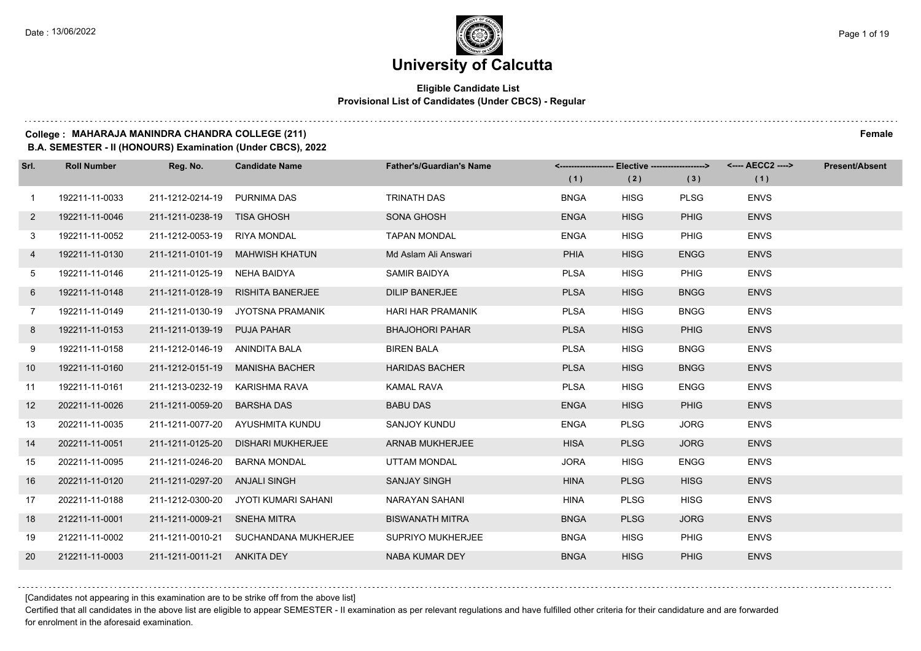#### **Eligible Candidate List Provisional List of Candidates (Under CBCS) - Regular**

#### **College : MAHARAJA MANINDRA CHANDRA COLLEGE (211) Female**

**B.A. SEMESTER - II (HONOURS) Examination (Under CBCS), 2022**

| Srl.           | <b>Roll Number</b> | Reg. No.                       | <b>Candidate Name</b>                 | <b>Father's/Guardian's Name</b> | (1)         | <-------------------- Elective -------------------><br>(2) | (3)         | <---- AECC2 ----><br>(1) | <b>Present/Absent</b> |
|----------------|--------------------|--------------------------------|---------------------------------------|---------------------------------|-------------|------------------------------------------------------------|-------------|--------------------------|-----------------------|
| $\mathbf{1}$   | 192211-11-0033     | 211-1212-0214-19 PURNIMA DAS   |                                       | <b>TRINATH DAS</b>              | <b>BNGA</b> | <b>HISG</b>                                                | <b>PLSG</b> | <b>ENVS</b>              |                       |
| $2^{\circ}$    | 192211-11-0046     | 211-1211-0238-19 TISA GHOSH    |                                       | SONA GHOSH                      | <b>ENGA</b> | <b>HISG</b>                                                | <b>PHIG</b> | <b>ENVS</b>              |                       |
| 3              | 192211-11-0052     | 211-1212-0053-19 RIYA MONDAL   |                                       | <b>TAPAN MONDAL</b>             | <b>ENGA</b> | <b>HISG</b>                                                | <b>PHIG</b> | <b>ENVS</b>              |                       |
| 4              | 192211-11-0130     |                                | 211-1211-0101-19 MAHWISH KHATUN       | Md Aslam Ali Answari            | <b>PHIA</b> | <b>HISG</b>                                                | <b>ENGG</b> | <b>ENVS</b>              |                       |
| 5              | 192211-11-0146     | 211-1211-0125-19               | NEHA BAIDYA                           | SAMIR BAIDYA                    | <b>PLSA</b> | <b>HISG</b>                                                | <b>PHIG</b> | <b>ENVS</b>              |                       |
| 6              | 192211-11-0148     | 211-1211-0128-19               | RISHITA BANERJEE                      | <b>DILIP BANERJEE</b>           | <b>PLSA</b> | <b>HISG</b>                                                | <b>BNGG</b> | <b>ENVS</b>              |                       |
| $\overline{7}$ | 192211-11-0149     |                                | 211-1211-0130-19 JYOTSNA PRAMANIK     | <b>HARI HAR PRAMANIK</b>        | <b>PLSA</b> | <b>HISG</b>                                                | <b>BNGG</b> | <b>ENVS</b>              |                       |
| 8              | 192211-11-0153     | 211-1211-0139-19 PUJA PAHAR    |                                       | <b>BHAJOHORI PAHAR</b>          | <b>PLSA</b> | <b>HISG</b>                                                | <b>PHIG</b> | <b>ENVS</b>              |                       |
| 9              | 192211-11-0158     | 211-1212-0146-19 ANINDITA BALA |                                       | <b>BIREN BALA</b>               | <b>PLSA</b> | <b>HISG</b>                                                | <b>BNGG</b> | <b>ENVS</b>              |                       |
| 10             | 192211-11-0160     | 211-1212-0151-19               | MANISHA BACHER                        | <b>HARIDAS BACHER</b>           | <b>PLSA</b> | <b>HISG</b>                                                | <b>BNGG</b> | <b>ENVS</b>              |                       |
| 11             | 192211-11-0161     |                                | 211-1213-0232-19 KARISHMA RAVA        | <b>KAMAL RAVA</b>               | <b>PLSA</b> | <b>HISG</b>                                                | <b>ENGG</b> | <b>ENVS</b>              |                       |
| 12             | 202211-11-0026     | 211-1211-0059-20               | <b>BARSHA DAS</b>                     | <b>BABU DAS</b>                 | <b>ENGA</b> | <b>HISG</b>                                                | <b>PHIG</b> | <b>ENVS</b>              |                       |
| 13             | 202211-11-0035     |                                | 211-1211-0077-20 AYUSHMITA KUNDU      | SANJOY KUNDU                    | <b>ENGA</b> | <b>PLSG</b>                                                | <b>JORG</b> | <b>ENVS</b>              |                       |
| 14             | 202211-11-0051     | 211-1211-0125-20               | DISHARI MUKHERJEE                     | <b>ARNAB MUKHERJEE</b>          | <b>HISA</b> | <b>PLSG</b>                                                | <b>JORG</b> | <b>ENVS</b>              |                       |
| 15             | 202211-11-0095     | 211-1211-0246-20               | <b>BARNA MONDAL</b>                   | UTTAM MONDAL                    | <b>JORA</b> | <b>HISG</b>                                                | <b>ENGG</b> | <b>ENVS</b>              |                       |
| 16             | 202211-11-0120     | 211-1211-0297-20 ANJALI SINGH  |                                       | <b>SANJAY SINGH</b>             | <b>HINA</b> | <b>PLSG</b>                                                | <b>HISG</b> | <b>ENVS</b>              |                       |
| 17             | 202211-11-0188     | 211-1212-0300-20               | JYOTI KUMARI SAHANI                   | NARAYAN SAHANI                  | <b>HINA</b> | <b>PLSG</b>                                                | <b>HISG</b> | <b>ENVS</b>              |                       |
| 18             | 212211-11-0001     | 211-1211-0009-21 SNEHA MITRA   |                                       | <b>BISWANATH MITRA</b>          | <b>BNGA</b> | <b>PLSG</b>                                                | <b>JORG</b> | <b>ENVS</b>              |                       |
| 19             | 212211-11-0002     |                                | 211-1211-0010-21 SUCHANDANA MUKHERJEE | SUPRIYO MUKHERJEE               | <b>BNGA</b> | <b>HISG</b>                                                | <b>PHIG</b> | <b>ENVS</b>              |                       |
| 20             | 212211-11-0003     | 211-1211-0011-21 ANKITA DEY    |                                       | NABA KUMAR DEY                  | <b>BNGA</b> | <b>HISG</b>                                                | <b>PHIG</b> | <b>ENVS</b>              |                       |

[Candidates not appearing in this examination are to be strike off from the above list]

Certified that all candidates in the above list are eligible to appear SEMESTER - II examination as per relevant regulations and have fulfilled other criteria for their candidature and are forwarded for enrolment in the aforesaid examination.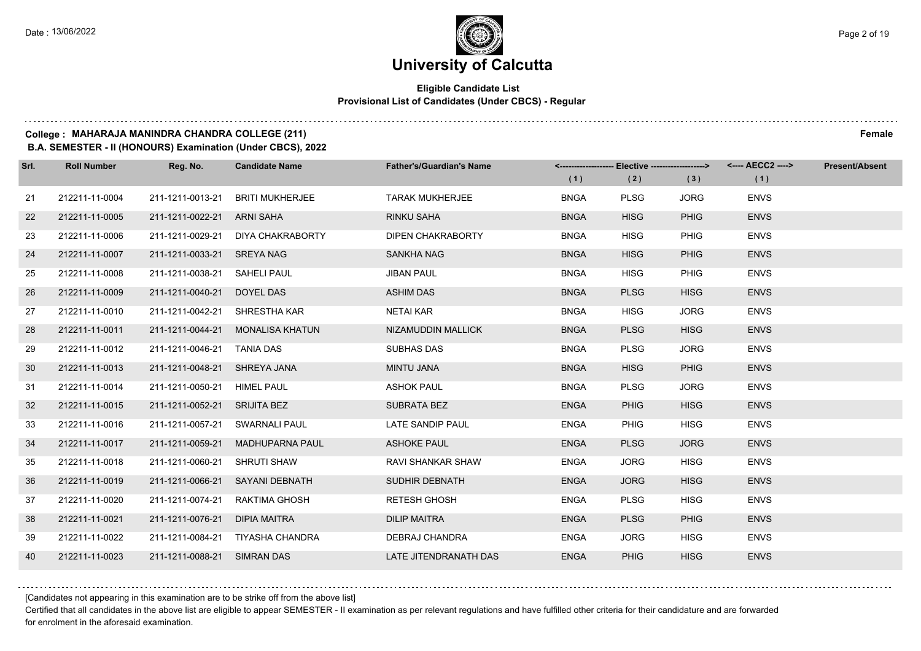### **University of Calcutta**

#### **Eligible Candidate List Provisional List of Candidates (Under CBCS) - Regular**

#### **College : MAHARAJA MANINDRA CHANDRA COLLEGE (211) Female**

**B.A. SEMESTER - II (HONOURS) Examination (Under CBCS), 2022**

| Srl. | <b>Roll Number</b> | Reg. No.                      | <b>Candidate Name</b>             | <b>Father's/Guardian's Name</b> |             | <------------------- Elective ------------------> |             |             | <b>Present/Absent</b> |
|------|--------------------|-------------------------------|-----------------------------------|---------------------------------|-------------|---------------------------------------------------|-------------|-------------|-----------------------|
|      |                    |                               |                                   |                                 | (1)         | (2)                                               | (3)         | (1)         |                       |
| 21   | 212211-11-0004     | 211-1211-0013-21              | <b>BRITI MUKHERJEE</b>            | <b>TARAK MUKHERJEE</b>          | <b>BNGA</b> | <b>PLSG</b>                                       | <b>JORG</b> | <b>ENVS</b> |                       |
| 22   | 212211-11-0005     | 211-1211-0022-21 ARNI SAHA    |                                   | <b>RINKU SAHA</b>               | <b>BNGA</b> | <b>HISG</b>                                       | PHIG        | <b>ENVS</b> |                       |
| 23   | 212211-11-0006     |                               | 211-1211-0029-21 DIYA CHAKRABORTY | <b>DIPEN CHAKRABORTY</b>        | <b>BNGA</b> | <b>HISG</b>                                       | <b>PHIG</b> | <b>ENVS</b> |                       |
| 24   | 212211-11-0007     | 211-1211-0033-21 SREYA NAG    |                                   | SANKHA NAG                      | <b>BNGA</b> | <b>HISG</b>                                       | <b>PHIG</b> | <b>ENVS</b> |                       |
| 25   | 212211-11-0008     | 211-1211-0038-21              | SAHELI PAUL                       | <b>JIBAN PAUL</b>               | <b>BNGA</b> | <b>HISG</b>                                       | <b>PHIG</b> | <b>ENVS</b> |                       |
| 26   | 212211-11-0009     | 211-1211-0040-21 DOYEL DAS    |                                   | <b>ASHIM DAS</b>                | <b>BNGA</b> | <b>PLSG</b>                                       | <b>HISG</b> | <b>ENVS</b> |                       |
| 27   | 212211-11-0010     | 211-1211-0042-21 SHRESTHA KAR |                                   | NETAI KAR                       | <b>BNGA</b> | <b>HISG</b>                                       | <b>JORG</b> | <b>ENVS</b> |                       |
| 28   | 212211-11-0011     |                               | 211-1211-0044-21 MONALISA KHATUN  | NIZAMUDDIN MALLICK              | <b>BNGA</b> | <b>PLSG</b>                                       | <b>HISG</b> | <b>ENVS</b> |                       |
| 29   | 212211-11-0012     | 211-1211-0046-21              | TANIA DAS                         | <b>SUBHAS DAS</b>               | <b>BNGA</b> | <b>PLSG</b>                                       | <b>JORG</b> | <b>ENVS</b> |                       |
| 30   | 212211-11-0013     | 211-1211-0048-21 SHREYA JANA  |                                   | <b>MINTU JANA</b>               | <b>BNGA</b> | <b>HISG</b>                                       | PHIG        | <b>ENVS</b> |                       |
| 31   | 212211-11-0014     | 211-1211-0050-21 HIMEL PAUL   |                                   | <b>ASHOK PAUL</b>               | <b>BNGA</b> | <b>PLSG</b>                                       | <b>JORG</b> | <b>ENVS</b> |                       |
| 32   | 212211-11-0015     | 211-1211-0052-21 SRIJITA BEZ  |                                   | <b>SUBRATA BEZ</b>              | <b>ENGA</b> | <b>PHIG</b>                                       | <b>HISG</b> | <b>ENVS</b> |                       |
| 33   | 212211-11-0016     | 211-1211-0057-21              | SWARNALI PAUL                     | LATE SANDIP PAUL                | <b>ENGA</b> | <b>PHIG</b>                                       | <b>HISG</b> | <b>ENVS</b> |                       |
| 34   | 212211-11-0017     | 211-1211-0059-21              | MADHUPARNA PAUL                   | <b>ASHOKE PAUL</b>              | <b>ENGA</b> | <b>PLSG</b>                                       | <b>JORG</b> | <b>ENVS</b> |                       |
| 35   | 212211-11-0018     | 211-1211-0060-21 SHRUTI SHAW  |                                   | RAVI SHANKAR SHAW               | <b>ENGA</b> | <b>JORG</b>                                       | <b>HISG</b> | <b>ENVS</b> |                       |
| 36   | 212211-11-0019     |                               | 211-1211-0066-21 SAYANI DEBNATH   | <b>SUDHIR DEBNATH</b>           | <b>ENGA</b> | <b>JORG</b>                                       | <b>HISG</b> | <b>ENVS</b> |                       |
| 37   | 212211-11-0020     | 211-1211-0074-21              | RAKTIMA GHOSH                     | <b>RETESH GHOSH</b>             | <b>ENGA</b> | <b>PLSG</b>                                       | <b>HISG</b> | <b>ENVS</b> |                       |
| 38   | 212211-11-0021     | 211-1211-0076-21              | <b>DIPIA MAITRA</b>               | <b>DILIP MAITRA</b>             | <b>ENGA</b> | <b>PLSG</b>                                       | PHIG        | <b>ENVS</b> |                       |
| 39   | 212211-11-0022     |                               | 211-1211-0084-21 TIYASHA CHANDRA  | DEBRAJ CHANDRA                  | <b>ENGA</b> | <b>JORG</b>                                       | <b>HISG</b> | <b>ENVS</b> |                       |
| 40   | 212211-11-0023     | 211-1211-0088-21 SIMRAN DAS   |                                   | LATE JITENDRANATH DAS           | <b>ENGA</b> | <b>PHIG</b>                                       | <b>HISG</b> | <b>ENVS</b> |                       |

[Candidates not appearing in this examination are to be strike off from the above list]

Certified that all candidates in the above list are eligible to appear SEMESTER - II examination as per relevant regulations and have fulfilled other criteria for their candidature and are forwarded for enrolment in the aforesaid examination.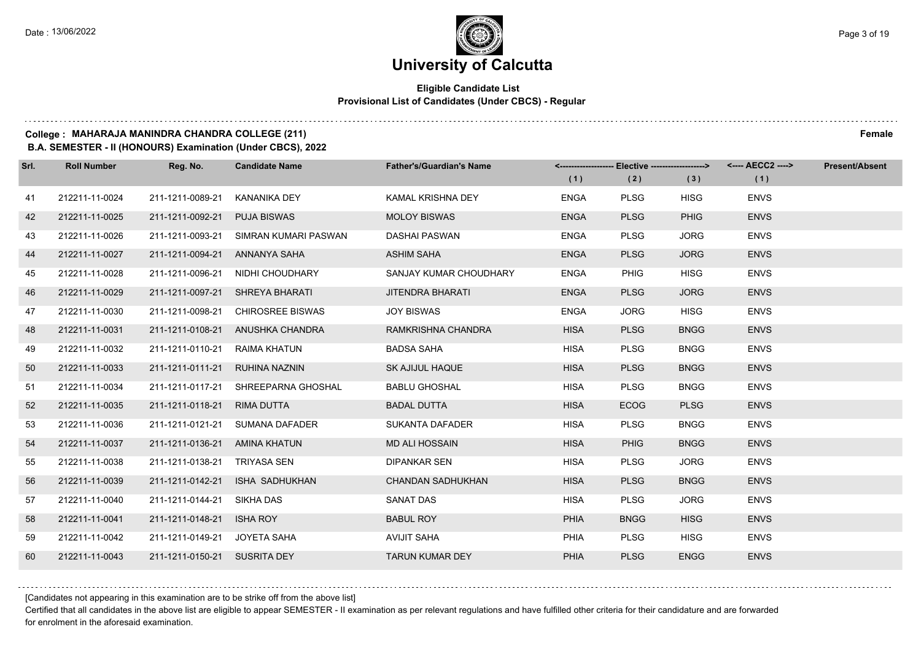#### **Eligible Candidate List Provisional List of Candidates (Under CBCS) - Regular**

#### **College : MAHARAJA MANINDRA CHANDRA COLLEGE (211) Female**

**B.A. SEMESTER - II (HONOURS) Examination (Under CBCS), 2022**

| Srl. | <b>Roll Number</b> | Reg. No.                      | <b>Candidate Name</b>               | <b>Father's/Guardian's Name</b> | <-------------------- Elective -------------------> |             |             |             | <b>Present/Absent</b> |
|------|--------------------|-------------------------------|-------------------------------------|---------------------------------|-----------------------------------------------------|-------------|-------------|-------------|-----------------------|
|      |                    |                               |                                     |                                 | (1)                                                 | (2)         | (3)         | (1)         |                       |
| 41   | 212211-11-0024     | 211-1211-0089-21              | KANANIKA DEY                        | KAMAL KRISHNA DEY               | <b>ENGA</b>                                         | <b>PLSG</b> | <b>HISG</b> | <b>ENVS</b> |                       |
| 42   | 212211-11-0025     | 211-1211-0092-21              | <b>PUJA BISWAS</b>                  | <b>MOLOY BISWAS</b>             | <b>ENGA</b>                                         | <b>PLSG</b> | <b>PHIG</b> | <b>ENVS</b> |                       |
| 43   | 212211-11-0026     | 211-1211-0093-21              | SIMRAN KUMARI PASWAN                | <b>DASHAI PASWAN</b>            | <b>ENGA</b>                                         | <b>PLSG</b> | <b>JORG</b> | <b>ENVS</b> |                       |
| 44   | 212211-11-0027     | 211-1211-0094-21 ANNANYA SAHA |                                     | ASHIM SAHA                      | <b>ENGA</b>                                         | <b>PLSG</b> | <b>JORG</b> | <b>ENVS</b> |                       |
| 45   | 212211-11-0028     | 211-1211-0096-21              | NIDHI CHOUDHARY                     | SANJAY KUMAR CHOUDHARY          | <b>ENGA</b>                                         | <b>PHIG</b> | <b>HISG</b> | <b>ENVS</b> |                       |
| 46   | 212211-11-0029     | 211-1211-0097-21              | SHREYA BHARATI                      | <b>JITENDRA BHARATI</b>         | <b>ENGA</b>                                         | <b>PLSG</b> | <b>JORG</b> | <b>ENVS</b> |                       |
| 47   | 212211-11-0030     | 211-1211-0098-21              | <b>CHIROSREE BISWAS</b>             | <b>JOY BISWAS</b>               | <b>ENGA</b>                                         | <b>JORG</b> | <b>HISG</b> | <b>ENVS</b> |                       |
| 48   | 212211-11-0031     |                               | 211-1211-0108-21 ANUSHKA CHANDRA    | RAMKRISHNA CHANDRA              | <b>HISA</b>                                         | <b>PLSG</b> | <b>BNGG</b> | <b>ENVS</b> |                       |
| 49   | 212211-11-0032     | 211-1211-0110-21              | RAIMA KHATUN                        | <b>BADSA SAHA</b>               | <b>HISA</b>                                         | <b>PLSG</b> | <b>BNGG</b> | <b>ENVS</b> |                       |
| 50   | 212211-11-0033     | 211-1211-0111-21              | RUHINA NAZNIN                       | <b>SK AJIJUL HAQUE</b>          | <b>HISA</b>                                         | <b>PLSG</b> | <b>BNGG</b> | <b>ENVS</b> |                       |
| 51   | 212211-11-0034     |                               | 211-1211-0117-21 SHREEPARNA GHOSHAL | <b>BABLU GHOSHAL</b>            | <b>HISA</b>                                         | <b>PLSG</b> | <b>BNGG</b> | <b>ENVS</b> |                       |
| 52   | 212211-11-0035     | 211-1211-0118-21              | RIMA DUTTA                          | <b>BADAL DUTTA</b>              | <b>HISA</b>                                         | <b>ECOG</b> | <b>PLSG</b> | <b>ENVS</b> |                       |
| 53   | 212211-11-0036     | 211-1211-0121-21              | SUMANA DAFADER                      | SUKANTA DAFADER                 | <b>HISA</b>                                         | <b>PLSG</b> | <b>BNGG</b> | <b>ENVS</b> |                       |
| 54   | 212211-11-0037     | 211-1211-0136-21              | AMINA KHATUN                        | <b>MD ALI HOSSAIN</b>           | <b>HISA</b>                                         | <b>PHIG</b> | <b>BNGG</b> | <b>ENVS</b> |                       |
| 55   | 212211-11-0038     | 211-1211-0138-21 TRIYASA SEN  |                                     | <b>DIPANKAR SEN</b>             | <b>HISA</b>                                         | <b>PLSG</b> | <b>JORG</b> | <b>ENVS</b> |                       |
| 56   | 212211-11-0039     | 211-1211-0142-21              | ISHA SADHUKHAN                      | <b>CHANDAN SADHUKHAN</b>        | <b>HISA</b>                                         | <b>PLSG</b> | <b>BNGG</b> | <b>ENVS</b> |                       |
| 57   | 212211-11-0040     | 211-1211-0144-21              | SIKHA DAS                           | <b>SANAT DAS</b>                | <b>HISA</b>                                         | <b>PLSG</b> | <b>JORG</b> | <b>ENVS</b> |                       |
| 58   | 212211-11-0041     | 211-1211-0148-21              | <b>ISHA ROY</b>                     | <b>BABUL ROY</b>                | <b>PHIA</b>                                         | <b>BNGG</b> | <b>HISG</b> | <b>ENVS</b> |                       |
| 59   | 212211-11-0042     | 211-1211-0149-21 JOYETA SAHA  |                                     | <b>AVIJIT SAHA</b>              | <b>PHIA</b>                                         | <b>PLSG</b> | <b>HISG</b> | <b>ENVS</b> |                       |
| 60   | 212211-11-0043     | 211-1211-0150-21 SUSRITA DEY  |                                     | <b>TARUN KUMAR DEY</b>          | <b>PHIA</b>                                         | <b>PLSG</b> | <b>ENGG</b> | <b>ENVS</b> |                       |

[Candidates not appearing in this examination are to be strike off from the above list]

Certified that all candidates in the above list are eligible to appear SEMESTER - II examination as per relevant regulations and have fulfilled other criteria for their candidature and are forwarded for enrolment in the aforesaid examination.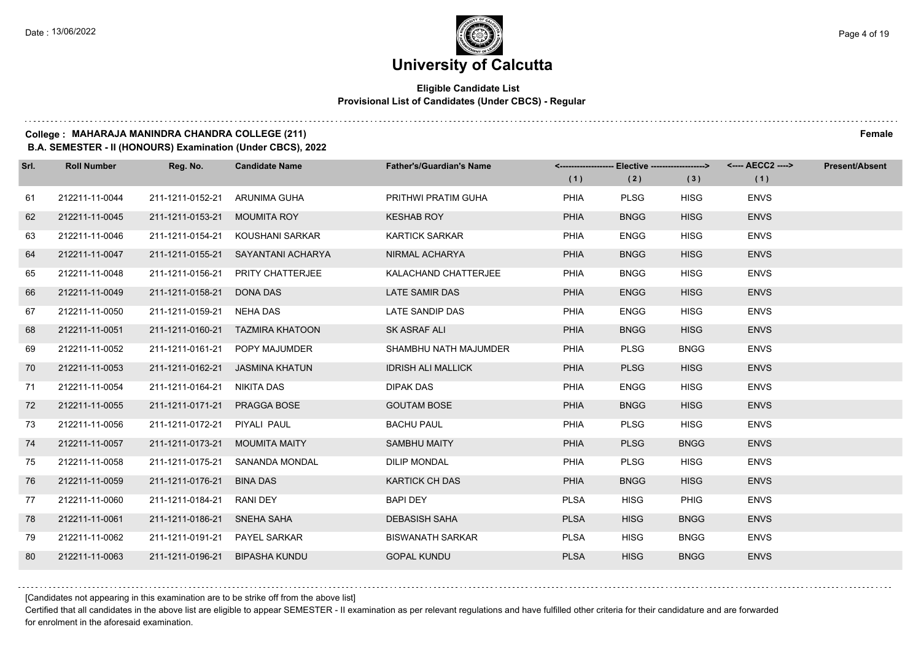#### **Eligible Candidate List Provisional List of Candidates (Under CBCS) - Regular**

### **College : MAHARAJA MANINDRA CHANDRA COLLEGE (211) Female**

**B.A. SEMESTER - II (HONOURS) Examination (Under CBCS), 2022**

| Srl. | <b>Roll Number</b> | Reg. No.         | <b>Candidate Name</b>            | <b>Father's/Guardian's Name</b> |             | <------------------- Elective -------------------> |             | <---- AECC2 ----> | <b>Present/Absent</b> |
|------|--------------------|------------------|----------------------------------|---------------------------------|-------------|----------------------------------------------------|-------------|-------------------|-----------------------|
|      |                    |                  |                                  |                                 | (1)         | (2)                                                | (3)         | (1)               |                       |
| 61   | 212211-11-0044     | 211-1211-0152-21 | ARUNIMA GUHA                     | PRITHWI PRATIM GUHA             | PHIA        | <b>PLSG</b>                                        | <b>HISG</b> | <b>ENVS</b>       |                       |
| 62   | 212211-11-0045     | 211-1211-0153-21 | <b>MOUMITA ROY</b>               | <b>KESHAB ROY</b>               | <b>PHIA</b> | <b>BNGG</b>                                        | <b>HISG</b> | <b>ENVS</b>       |                       |
| 63   | 212211-11-0046     | 211-1211-0154-21 | KOUSHANI SARKAR                  | <b>KARTICK SARKAR</b>           | PHIA        | <b>ENGG</b>                                        | <b>HISG</b> | <b>ENVS</b>       |                       |
| 64   | 212211-11-0047     | 211-1211-0155-21 | SAYANTANI ACHARYA                | NIRMAL ACHARYA                  | <b>PHIA</b> | <b>BNGG</b>                                        | <b>HISG</b> | <b>ENVS</b>       |                       |
| 65   | 212211-11-0048     | 211-1211-0156-21 | PRITY CHATTERJEE                 | KALACHAND CHATTERJEE            | PHIA        | <b>BNGG</b>                                        | <b>HISG</b> | <b>ENVS</b>       |                       |
| 66   | 212211-11-0049     | 211-1211-0158-21 | DONA DAS                         | <b>LATE SAMIR DAS</b>           | <b>PHIA</b> | <b>ENGG</b>                                        | <b>HISG</b> | <b>ENVS</b>       |                       |
| 67   | 212211-11-0050     | 211-1211-0159-21 | NEHA DAS                         | LATE SANDIP DAS                 | PHIA        | <b>ENGG</b>                                        | <b>HISG</b> | <b>ENVS</b>       |                       |
| 68   | 212211-11-0051     |                  | 211-1211-0160-21 TAZMIRA KHATOON | SK ASRAF ALI                    | <b>PHIA</b> | <b>BNGG</b>                                        | <b>HISG</b> | <b>ENVS</b>       |                       |
| 69   | 212211-11-0052     | 211-1211-0161-21 | POPY MAJUMDER                    | SHAMBHU NATH MAJUMDER           | PHIA        | <b>PLSG</b>                                        | <b>BNGG</b> | <b>ENVS</b>       |                       |
| 70   | 212211-11-0053     | 211-1211-0162-21 | <b>JASMINA KHATUN</b>            | <b>IDRISH ALI MALLICK</b>       | <b>PHIA</b> | <b>PLSG</b>                                        | <b>HISG</b> | <b>ENVS</b>       |                       |
| 71   | 212211-11-0054     | 211-1211-0164-21 | NIKITA DAS                       | <b>DIPAK DAS</b>                | PHIA        | <b>ENGG</b>                                        | <b>HISG</b> | <b>ENVS</b>       |                       |
| 72   | 212211-11-0055     | 211-1211-0171-21 | PRAGGA BOSE                      | <b>GOUTAM BOSE</b>              | <b>PHIA</b> | <b>BNGG</b>                                        | <b>HISG</b> | <b>ENVS</b>       |                       |
| 73   | 212211-11-0056     | 211-1211-0172-21 | PIYALI PAUL                      | <b>BACHU PAUL</b>               | PHIA        | <b>PLSG</b>                                        | <b>HISG</b> | <b>ENVS</b>       |                       |
| 74   | 212211-11-0057     | 211-1211-0173-21 | <b>MOUMITA MAITY</b>             | <b>SAMBHU MAITY</b>             | <b>PHIA</b> | <b>PLSG</b>                                        | <b>BNGG</b> | <b>ENVS</b>       |                       |
| 75   | 212211-11-0058     | 211-1211-0175-21 | SANANDA MONDAL                   | <b>DILIP MONDAL</b>             | PHIA        | <b>PLSG</b>                                        | <b>HISG</b> | <b>ENVS</b>       |                       |
| 76   | 212211-11-0059     | 211-1211-0176-21 | <b>BINA DAS</b>                  | <b>KARTICK CH DAS</b>           | <b>PHIA</b> | <b>BNGG</b>                                        | <b>HISG</b> | <b>ENVS</b>       |                       |
| 77   | 212211-11-0060     | 211-1211-0184-21 | <b>RANI DEY</b>                  | <b>BAPI DEY</b>                 | <b>PLSA</b> | <b>HISG</b>                                        | <b>PHIG</b> | <b>ENVS</b>       |                       |
| 78   | 212211-11-0061     | 211-1211-0186-21 | SNEHA SAHA                       | <b>DEBASISH SAHA</b>            | <b>PLSA</b> | <b>HISG</b>                                        | <b>BNGG</b> | <b>ENVS</b>       |                       |
| 79   | 212211-11-0062     | 211-1211-0191-21 | PAYEL SARKAR                     | <b>BISWANATH SARKAR</b>         | <b>PLSA</b> | <b>HISG</b>                                        | <b>BNGG</b> | <b>ENVS</b>       |                       |
| 80   | 212211-11-0063     | 211-1211-0196-21 | <b>BIPASHA KUNDU</b>             | <b>GOPAL KUNDU</b>              | <b>PLSA</b> | <b>HISG</b>                                        | <b>BNGG</b> | <b>ENVS</b>       |                       |

[Candidates not appearing in this examination are to be strike off from the above list]

Certified that all candidates in the above list are eligible to appear SEMESTER - II examination as per relevant regulations and have fulfilled other criteria for their candidature and are forwarded for enrolment in the aforesaid examination.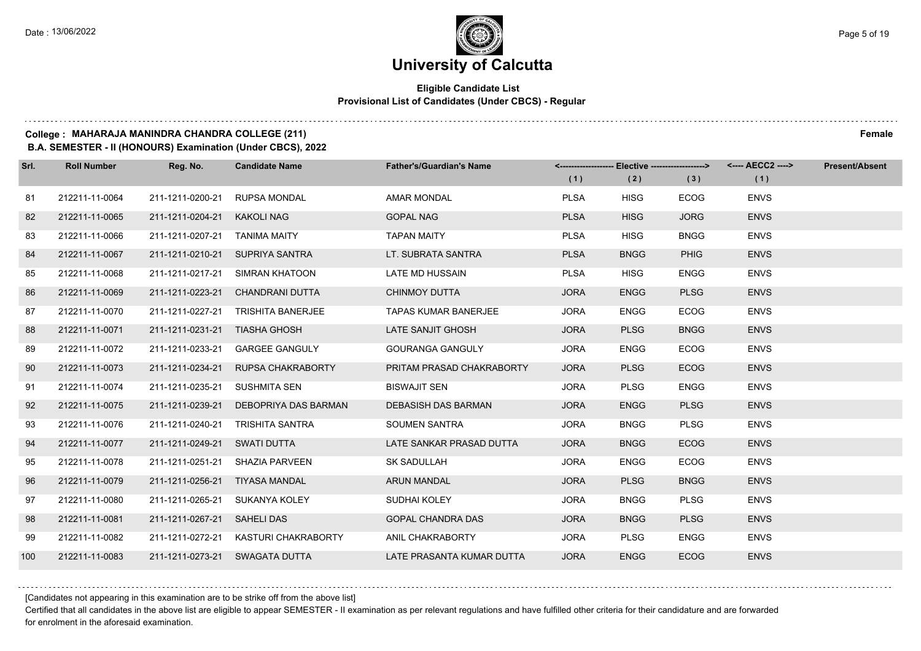#### **Eligible Candidate List Provisional List of Candidates (Under CBCS) - Regular**

#### **College : MAHARAJA MANINDRA CHANDRA COLLEGE (211) Female**

**B.A. SEMESTER - II (HONOURS) Examination (Under CBCS), 2022**

| Srl. | <b>Roll Number</b> | Reg. No.                       | <b>Candidate Name</b>           | <b>Father's/Guardian's Name</b> |             |             |             | <------------------- Elective ------------------> <---- AECC2 ----> | <b>Present/Absent</b> |
|------|--------------------|--------------------------------|---------------------------------|---------------------------------|-------------|-------------|-------------|---------------------------------------------------------------------|-----------------------|
|      |                    |                                |                                 |                                 | (1)         | (2)         | (3)         | (1)                                                                 |                       |
| 81   | 212211-11-0064     | 211-1211-0200-21               | <b>RUPSA MONDAL</b>             | AMAR MONDAL                     | <b>PLSA</b> | <b>HISG</b> | <b>ECOG</b> | <b>ENVS</b>                                                         |                       |
| 82   | 212211-11-0065     | 211-1211-0204-21               | <b>KAKOLI NAG</b>               | <b>GOPAL NAG</b>                | <b>PLSA</b> | <b>HISG</b> | <b>JORG</b> | <b>ENVS</b>                                                         |                       |
| 83   | 212211-11-0066     | 211-1211-0207-21               | <b>TANIMA MAITY</b>             | <b>TAPAN MAITY</b>              | <b>PLSA</b> | <b>HISG</b> | <b>BNGG</b> | <b>ENVS</b>                                                         |                       |
| 84   | 212211-11-0067     |                                | 211-1211-0210-21 SUPRIYA SANTRA | LT. SUBRATA SANTRA              | <b>PLSA</b> | <b>BNGG</b> | <b>PHIG</b> | <b>ENVS</b>                                                         |                       |
| 85   | 212211-11-0068     | 211-1211-0217-21               | SIMRAN KHATOON                  | <b>LATE MD HUSSAIN</b>          | <b>PLSA</b> | <b>HISG</b> | <b>ENGG</b> | <b>ENVS</b>                                                         |                       |
| 86   | 212211-11-0069     | 211-1211-0223-21               | CHANDRANI DUTTA                 | <b>CHINMOY DUTTA</b>            | <b>JORA</b> | <b>ENGG</b> | <b>PLSG</b> | <b>ENVS</b>                                                         |                       |
| 87   | 212211-11-0070     | 211-1211-0227-21               | <b>TRISHITA BANERJEE</b>        | <b>TAPAS KUMAR BANERJEE</b>     | <b>JORA</b> | <b>ENGG</b> | <b>ECOG</b> | <b>ENVS</b>                                                         |                       |
| 88   | 212211-11-0071     | 211-1211-0231-21 TIASHA GHOSH  |                                 | LATE SANJIT GHOSH               | <b>JORA</b> | <b>PLSG</b> | <b>BNGG</b> | <b>ENVS</b>                                                         |                       |
| 89   | 212211-11-0072     | 211-1211-0233-21               | <b>GARGEE GANGULY</b>           | <b>GOURANGA GANGULY</b>         | <b>JORA</b> | <b>ENGG</b> | <b>ECOG</b> | <b>ENVS</b>                                                         |                       |
| 90   | 212211-11-0073     | 211-1211-0234-21               | RUPSA CHAKRABORTY               | PRITAM PRASAD CHAKRABORTY       | <b>JORA</b> | <b>PLSG</b> | <b>ECOG</b> | <b>ENVS</b>                                                         |                       |
| 91   | 212211-11-0074     | 211-1211-0235-21               | SUSHMITA SEN                    | <b>BISWAJIT SEN</b>             | <b>JORA</b> | <b>PLSG</b> | <b>ENGG</b> | <b>ENVS</b>                                                         |                       |
| 92   | 212211-11-0075     | 211-1211-0239-21               | DEBOPRIYA DAS BARMAN            | DEBASISH DAS BARMAN             | <b>JORA</b> | <b>ENGG</b> | <b>PLSG</b> | <b>ENVS</b>                                                         |                       |
| 93   | 212211-11-0076     | 211-1211-0240-21               | TRISHITA SANTRA                 | <b>SOUMEN SANTRA</b>            | <b>JORA</b> | <b>BNGG</b> | <b>PLSG</b> | <b>ENVS</b>                                                         |                       |
| 94   | 212211-11-0077     | 211-1211-0249-21               | SWATI DUTTA                     | LATE SANKAR PRASAD DUTTA        | <b>JORA</b> | <b>BNGG</b> | <b>ECOG</b> | <b>ENVS</b>                                                         |                       |
| 95   | 212211-11-0078     | 211-1211-0251-21               | SHAZIA PARVEEN                  | <b>SK SADULLAH</b>              | <b>JORA</b> | <b>ENGG</b> | <b>ECOG</b> | <b>ENVS</b>                                                         |                       |
| 96   | 212211-11-0079     | 211-1211-0256-21 TIYASA MANDAL |                                 | <b>ARUN MANDAL</b>              | <b>JORA</b> | <b>PLSG</b> | <b>BNGG</b> | <b>ENVS</b>                                                         |                       |
| 97   | 212211-11-0080     | 211-1211-0265-21               | SUKANYA KOLEY                   | SUDHAI KOLEY                    | <b>JORA</b> | <b>BNGG</b> | <b>PLSG</b> | <b>ENVS</b>                                                         |                       |
| 98   | 212211-11-0081     | 211-1211-0267-21               | <b>SAHELI DAS</b>               | <b>GOPAL CHANDRA DAS</b>        | <b>JORA</b> | <b>BNGG</b> | <b>PLSG</b> | <b>ENVS</b>                                                         |                       |
| 99   | 212211-11-0082     | 211-1211-0272-21               | KASTURI CHAKRABORTY             | ANIL CHAKRABORTY                | <b>JORA</b> | <b>PLSG</b> | <b>ENGG</b> | <b>ENVS</b>                                                         |                       |
| 100  | 212211-11-0083     |                                | 211-1211-0273-21 SWAGATA DUTTA  | LATE PRASANTA KUMAR DUTTA       | <b>JORA</b> | <b>ENGG</b> | <b>ECOG</b> | <b>ENVS</b>                                                         |                       |

[Candidates not appearing in this examination are to be strike off from the above list]

Certified that all candidates in the above list are eligible to appear SEMESTER - II examination as per relevant regulations and have fulfilled other criteria for their candidature and are forwarded for enrolment in the aforesaid examination.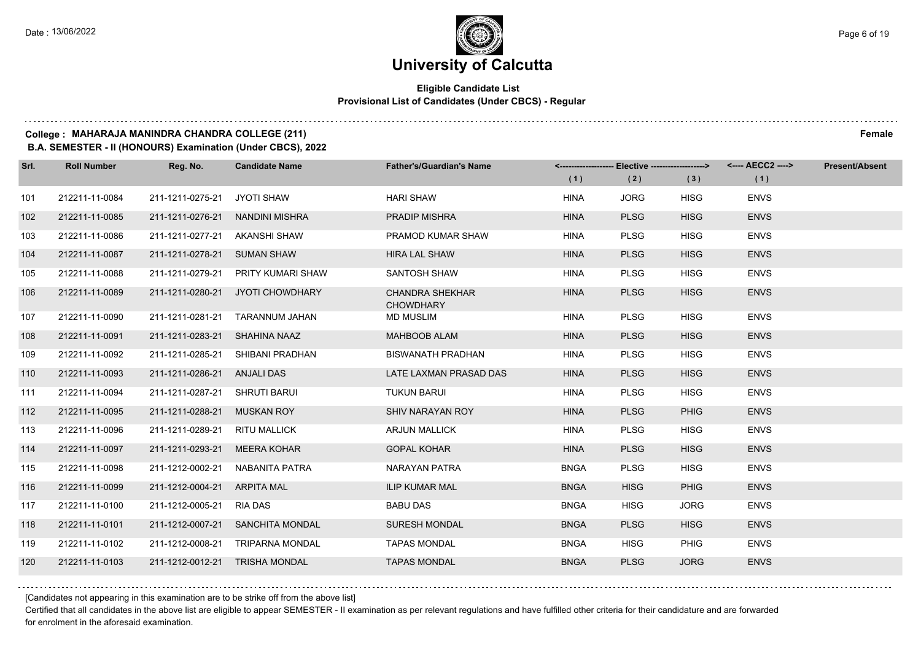#### **Eligible Candidate List Provisional List of Candidates (Under CBCS) - Regular**

#### **College : MAHARAJA MANINDRA CHANDRA COLLEGE (211) Female**

**B.A. SEMESTER - II (HONOURS) Examination (Under CBCS), 2022**

| Srl. | <b>Roll Number</b> | Reg. No.                       | <b>Candidate Name</b>            | <b>Father's/Guardian's Name</b>            |             | <-------------------- Elective ------------------> |             |             | <b>Present/Absent</b> |
|------|--------------------|--------------------------------|----------------------------------|--------------------------------------------|-------------|----------------------------------------------------|-------------|-------------|-----------------------|
|      |                    |                                |                                  |                                            | (1)         | (2)                                                | (3)         | (1)         |                       |
| 101  | 212211-11-0084     | 211-1211-0275-21               | JYOTI SHAW                       | <b>HARI SHAW</b>                           | <b>HINA</b> | <b>JORG</b>                                        | <b>HISG</b> | <b>ENVS</b> |                       |
| 102  | 212211-11-0085     |                                | 211-1211-0276-21 NANDINI MISHRA  | <b>PRADIP MISHRA</b>                       | <b>HINA</b> | <b>PLSG</b>                                        | <b>HISG</b> | <b>ENVS</b> |                       |
| 103  | 212211-11-0086     | 211-1211-0277-21 AKANSHI SHAW  |                                  | PRAMOD KUMAR SHAW                          | <b>HINA</b> | <b>PLSG</b>                                        | <b>HISG</b> | <b>ENVS</b> |                       |
| 104  | 212211-11-0087     | 211-1211-0278-21 SUMAN SHAW    |                                  | <b>HIRA LAL SHAW</b>                       | <b>HINA</b> | <b>PLSG</b>                                        | <b>HISG</b> | <b>ENVS</b> |                       |
| 105  | 212211-11-0088     | 211-1211-0279-21               | PRITY KUMARI SHAW                | SANTOSH SHAW                               | <b>HINA</b> | <b>PLSG</b>                                        | <b>HISG</b> | <b>ENVS</b> |                       |
| 106  | 212211-11-0089     |                                | 211-1211-0280-21 JYOTI CHOWDHARY | <b>CHANDRA SHEKHAR</b><br><b>CHOWDHARY</b> | <b>HINA</b> | <b>PLSG</b>                                        | <b>HISG</b> | <b>ENVS</b> |                       |
| 107  | 212211-11-0090     | 211-1211-0281-21               | TARANNUM JAHAN                   | MD MUSLIM                                  | <b>HINA</b> | <b>PLSG</b>                                        | <b>HISG</b> | <b>ENVS</b> |                       |
| 108  | 212211-11-0091     | 211-1211-0283-21 SHAHINA NAAZ  |                                  | <b>MAHBOOB ALAM</b>                        | <b>HINA</b> | <b>PLSG</b>                                        | <b>HISG</b> | <b>ENVS</b> |                       |
| 109  | 212211-11-0092     |                                | 211-1211-0285-21 SHIBANI PRADHAN | <b>BISWANATH PRADHAN</b>                   | <b>HINA</b> | <b>PLSG</b>                                        | <b>HISG</b> | <b>ENVS</b> |                       |
| 110  | 212211-11-0093     | 211-1211-0286-21 ANJALI DAS    |                                  | LATE LAXMAN PRASAD DAS                     | <b>HINA</b> | <b>PLSG</b>                                        | <b>HISG</b> | <b>ENVS</b> |                       |
| 111  | 212211-11-0094     | 211-1211-0287-21 SHRUTI BARUI  |                                  | <b>TUKUN BARUI</b>                         | <b>HINA</b> | <b>PLSG</b>                                        | <b>HISG</b> | <b>ENVS</b> |                       |
| 112  | 212211-11-0095     | 211-1211-0288-21 MUSKAN ROY    |                                  | SHIV NARAYAN ROY                           | <b>HINA</b> | <b>PLSG</b>                                        | <b>PHIG</b> | <b>ENVS</b> |                       |
| 113  | 212211-11-0096     | 211-1211-0289-21 RITU MALLICK  |                                  | <b>ARJUN MALLICK</b>                       | <b>HINA</b> | <b>PLSG</b>                                        | <b>HISG</b> | <b>ENVS</b> |                       |
| 114  | 212211-11-0097     | 211-1211-0293-21               | MEERA KOHAR                      | <b>GOPAL KOHAR</b>                         | <b>HINA</b> | <b>PLSG</b>                                        | <b>HISG</b> | <b>ENVS</b> |                       |
| 115  | 212211-11-0098     | 211-1212-0002-21               | NABANITA PATRA                   | NARAYAN PATRA                              | <b>BNGA</b> | <b>PLSG</b>                                        | <b>HISG</b> | <b>ENVS</b> |                       |
| 116  | 212211-11-0099     | 211-1212-0004-21 ARPITA MAL    |                                  | <b>ILIP KUMAR MAL</b>                      | <b>BNGA</b> | <b>HISG</b>                                        | <b>PHIG</b> | <b>ENVS</b> |                       |
| 117  | 212211-11-0100     | 211-1212-0005-21               | RIA DAS                          | <b>BABU DAS</b>                            | <b>BNGA</b> | <b>HISG</b>                                        | <b>JORG</b> | <b>ENVS</b> |                       |
| 118  | 212211-11-0101     |                                | 211-1212-0007-21 SANCHITA MONDAL | <b>SURESH MONDAL</b>                       | <b>BNGA</b> | <b>PLSG</b>                                        | <b>HISG</b> | <b>ENVS</b> |                       |
| 119  | 212211-11-0102     |                                | 211-1212-0008-21 TRIPARNA MONDAL | <b>TAPAS MONDAL</b>                        | <b>BNGA</b> | <b>HISG</b>                                        | <b>PHIG</b> | <b>ENVS</b> |                       |
| 120  | 212211-11-0103     | 211-1212-0012-21 TRISHA MONDAL |                                  | <b>TAPAS MONDAL</b>                        | <b>BNGA</b> | <b>PLSG</b>                                        | <b>JORG</b> | <b>ENVS</b> |                       |

[Candidates not appearing in this examination are to be strike off from the above list]

Certified that all candidates in the above list are eligible to appear SEMESTER - II examination as per relevant regulations and have fulfilled other criteria for their candidature and are forwarded for enrolment in the aforesaid examination.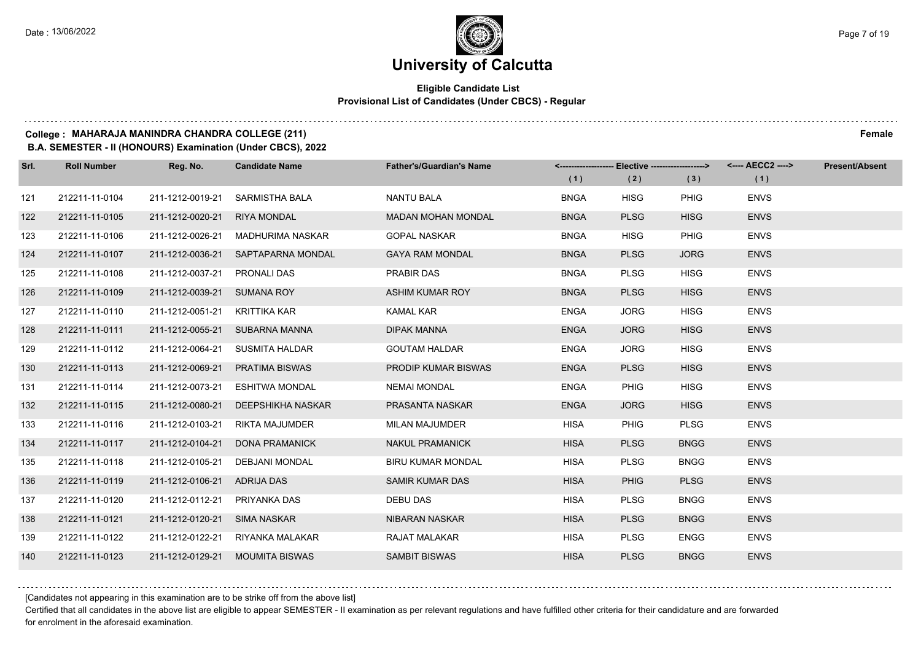#### **Eligible Candidate List Provisional List of Candidates (Under CBCS) - Regular**

#### **College : MAHARAJA MANINDRA CHANDRA COLLEGE (211) Female**

**B.A. SEMESTER - II (HONOURS) Examination (Under CBCS), 2022**

| Srl. | <b>Roll Number</b> | Reg. No.                    | <b>Candidate Name</b>          | <b>Father's/Guardian's Name</b> |             | <------------------- Elective ------------------> |             | <---- AECC2 ----> | <b>Present/Absent</b> |
|------|--------------------|-----------------------------|--------------------------------|---------------------------------|-------------|---------------------------------------------------|-------------|-------------------|-----------------------|
|      |                    |                             |                                |                                 | (1)         | (2)                                               | (3)         | (1)               |                       |
| 121  | 212211-11-0104     | 211-1212-0019-21            | SARMISTHA BALA                 | <b>NANTU BALA</b>               | <b>BNGA</b> | <b>HISG</b>                                       | <b>PHIG</b> | <b>ENVS</b>       |                       |
| 122  | 212211-11-0105     | 211-1212-0020-21            | <b>RIYA MONDAL</b>             | <b>MADAN MOHAN MONDAL</b>       | <b>BNGA</b> | <b>PLSG</b>                                       | <b>HISG</b> | <b>ENVS</b>       |                       |
| 123  | 212211-11-0106     | 211-1212-0026-21            | MADHURIMA NASKAR               | <b>GOPAL NASKAR</b>             | <b>BNGA</b> | <b>HISG</b>                                       | <b>PHIG</b> | <b>ENVS</b>       |                       |
| 124  | 212211-11-0107     | 211-1212-0036-21            | SAPTAPARNA MONDAL              | <b>GAYA RAM MONDAL</b>          | <b>BNGA</b> | <b>PLSG</b>                                       | <b>JORG</b> | <b>ENVS</b>       |                       |
| 125  | 212211-11-0108     | 211-1212-0037-21            | PRONALI DAS                    | PRABIR DAS                      | <b>BNGA</b> | <b>PLSG</b>                                       | <b>HISG</b> | <b>ENVS</b>       |                       |
| 126  | 212211-11-0109     | 211-1212-0039-21 SUMANA ROY |                                | <b>ASHIM KUMAR ROY</b>          | <b>BNGA</b> | <b>PLSG</b>                                       | <b>HISG</b> | <b>ENVS</b>       |                       |
| 127  | 212211-11-0110     | 211-1212-0051-21            | KRITTIKA KAR                   | <b>KAMAL KAR</b>                | <b>ENGA</b> | <b>JORG</b>                                       | <b>HISG</b> | <b>ENVS</b>       |                       |
| 128  | 212211-11-0111     |                             | 211-1212-0055-21 SUBARNA MANNA | <b>DIPAK MANNA</b>              | <b>ENGA</b> | <b>JORG</b>                                       | <b>HISG</b> | <b>ENVS</b>       |                       |
| 129  | 212211-11-0112     | 211-1212-0064-21            | SUSMITA HALDAR                 | <b>GOUTAM HALDAR</b>            | <b>ENGA</b> | <b>JORG</b>                                       | <b>HISG</b> | <b>ENVS</b>       |                       |
| 130  | 212211-11-0113     | 211-1212-0069-21            | <b>PRATIMA BISWAS</b>          | <b>PRODIP KUMAR BISWAS</b>      | <b>ENGA</b> | <b>PLSG</b>                                       | <b>HISG</b> | <b>ENVS</b>       |                       |
| 131  | 212211-11-0114     | 211-1212-0073-21            | <b>ESHITWA MONDAL</b>          | <b>NEMAI MONDAL</b>             | <b>ENGA</b> | <b>PHIG</b>                                       | <b>HISG</b> | <b>ENVS</b>       |                       |
| 132  | 212211-11-0115     | 211-1212-0080-21            | DEEPSHIKHA NASKAR              | PRASANTA NASKAR                 | <b>ENGA</b> | <b>JORG</b>                                       | <b>HISG</b> | <b>ENVS</b>       |                       |
| 133  | 212211-11-0116     | 211-1212-0103-21            | RIKTA MAJUMDER                 | <b>MILAN MAJUMDER</b>           | <b>HISA</b> | <b>PHIG</b>                                       | <b>PLSG</b> | <b>ENVS</b>       |                       |
| 134  | 212211-11-0117     | 211-1212-0104-21            | DONA PRAMANICK                 | <b>NAKUL PRAMANICK</b>          | <b>HISA</b> | <b>PLSG</b>                                       | <b>BNGG</b> | <b>ENVS</b>       |                       |
| 135  | 212211-11-0118     | 211-1212-0105-21            | <b>DEBJANI MONDAL</b>          | <b>BIRU KUMAR MONDAL</b>        | <b>HISA</b> | <b>PLSG</b>                                       | <b>BNGG</b> | <b>ENVS</b>       |                       |
| 136  | 212211-11-0119     | 211-1212-0106-21 ADRIJA DAS |                                | SAMIR KUMAR DAS                 | <b>HISA</b> | <b>PHIG</b>                                       | <b>PLSG</b> | <b>ENVS</b>       |                       |
| 137  | 212211-11-0120     | 211-1212-0112-21            | PRIYANKA DAS                   | <b>DEBU DAS</b>                 | <b>HISA</b> | <b>PLSG</b>                                       | <b>BNGG</b> | <b>ENVS</b>       |                       |
| 138  | 212211-11-0121     | 211-1212-0120-21            | SIMA NASKAR                    | NIBARAN NASKAR                  | <b>HISA</b> | <b>PLSG</b>                                       | <b>BNGG</b> | <b>ENVS</b>       |                       |
| 139  | 212211-11-0122     | 211-1212-0122-21            | RIYANKA MALAKAR                | RAJAT MALAKAR                   | <b>HISA</b> | <b>PLSG</b>                                       | <b>ENGG</b> | <b>ENVS</b>       |                       |
| 140  | 212211-11-0123     | 211-1212-0129-21            | <b>MOUMITA BISWAS</b>          | <b>SAMBIT BISWAS</b>            | <b>HISA</b> | <b>PLSG</b>                                       | <b>BNGG</b> | <b>ENVS</b>       |                       |

[Candidates not appearing in this examination are to be strike off from the above list]

Certified that all candidates in the above list are eligible to appear SEMESTER - II examination as per relevant regulations and have fulfilled other criteria for their candidature and are forwarded for enrolment in the aforesaid examination.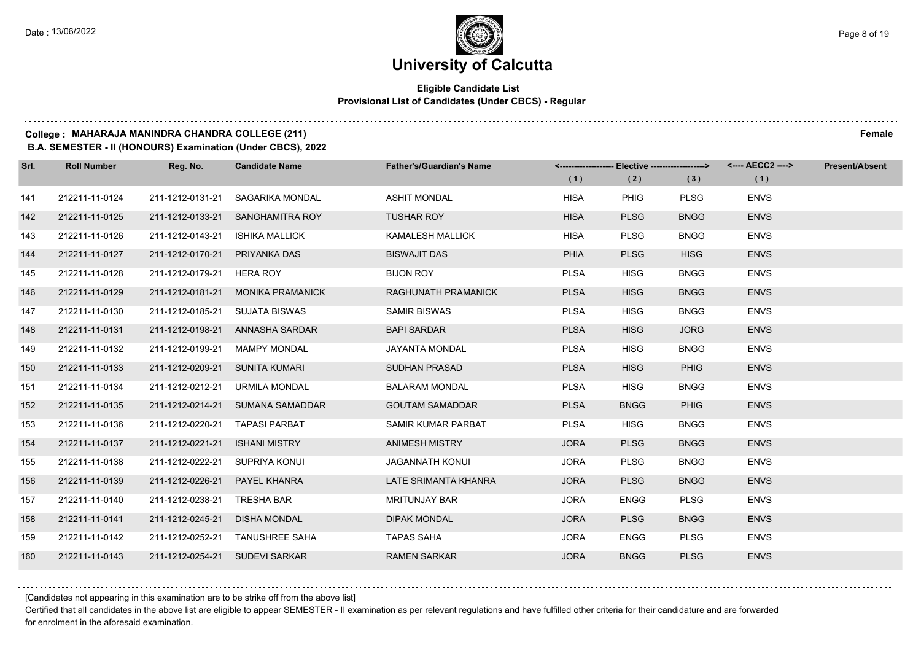#### **Eligible Candidate List Provisional List of Candidates (Under CBCS) - Regular**

### **College : MAHARAJA MANINDRA CHANDRA COLLEGE (211) Female**

**B.A. SEMESTER - II (HONOURS) Examination (Under CBCS), 2022**

| Srl. | <b>Roll Number</b> | Reg. No.                       | <b>Candidate Name</b>            | <b>Father's/Guardian's Name</b> |             | <------------------- Elective ------------------> |             | <---- AECC2 ----> | <b>Present/Absent</b> |
|------|--------------------|--------------------------------|----------------------------------|---------------------------------|-------------|---------------------------------------------------|-------------|-------------------|-----------------------|
|      |                    |                                |                                  |                                 | (1)         | (2)                                               | (3)         | (1)               |                       |
| 141  | 212211-11-0124     | 211-1212-0131-21               | SAGARIKA MONDAL                  | <b>ASHIT MONDAL</b>             | <b>HISA</b> | <b>PHIG</b>                                       | <b>PLSG</b> | <b>ENVS</b>       |                       |
| 142  | 212211-11-0125     |                                | 211-1212-0133-21 SANGHAMITRA ROY | <b>TUSHAR ROY</b>               | <b>HISA</b> | <b>PLSG</b>                                       | <b>BNGG</b> | <b>ENVS</b>       |                       |
| 143  | 212211-11-0126     | 211-1212-0143-21               | <b>ISHIKA MALLICK</b>            | <b>KAMALESH MALLICK</b>         | <b>HISA</b> | <b>PLSG</b>                                       | <b>BNGG</b> | <b>ENVS</b>       |                       |
| 144  | 212211-11-0127     | 211-1212-0170-21               | PRIYANKA DAS                     | <b>BISWAJIT DAS</b>             | <b>PHIA</b> | <b>PLSG</b>                                       | <b>HISG</b> | <b>ENVS</b>       |                       |
| 145  | 212211-11-0128     | 211-1212-0179-21               | HERA ROY                         | <b>BIJON ROY</b>                | <b>PLSA</b> | <b>HISG</b>                                       | <b>BNGG</b> | <b>ENVS</b>       |                       |
| 146  | 212211-11-0129     | 211-1212-0181-21               | <b>MONIKA PRAMANICK</b>          | RAGHUNATH PRAMANICK             | <b>PLSA</b> | <b>HISG</b>                                       | <b>BNGG</b> | <b>ENVS</b>       |                       |
| 147  | 212211-11-0130     | 211-1212-0185-21 SUJATA BISWAS |                                  | <b>SAMIR BISWAS</b>             | <b>PLSA</b> | <b>HISG</b>                                       | <b>BNGG</b> | <b>ENVS</b>       |                       |
| 148  | 212211-11-0131     |                                | 211-1212-0198-21 ANNASHA SARDAR  | <b>BAPI SARDAR</b>              | <b>PLSA</b> | <b>HISG</b>                                       | <b>JORG</b> | <b>ENVS</b>       |                       |
| 149  | 212211-11-0132     | 211-1212-0199-21               | <b>MAMPY MONDAL</b>              | <b>JAYANTA MONDAL</b>           | <b>PLSA</b> | <b>HISG</b>                                       | <b>BNGG</b> | <b>ENVS</b>       |                       |
| 150  | 212211-11-0133     | 211-1212-0209-21               | SUNITA KUMARI                    | <b>SUDHAN PRASAD</b>            | <b>PLSA</b> | <b>HISG</b>                                       | <b>PHIG</b> | <b>ENVS</b>       |                       |
| 151  | 212211-11-0134     | 211-1212-0212-21               | URMILA MONDAL                    | <b>BALARAM MONDAL</b>           | <b>PLSA</b> | <b>HISG</b>                                       | <b>BNGG</b> | <b>ENVS</b>       |                       |
| 152  | 212211-11-0135     |                                | 211-1212-0214-21 SUMANA SAMADDAR | <b>GOUTAM SAMADDAR</b>          | <b>PLSA</b> | <b>BNGG</b>                                       | <b>PHIG</b> | <b>ENVS</b>       |                       |
| 153  | 212211-11-0136     | 211-1212-0220-21               | <b>TAPASI PARBAT</b>             | SAMIR KUMAR PARBAT              | <b>PLSA</b> | <b>HISG</b>                                       | <b>BNGG</b> | <b>ENVS</b>       |                       |
| 154  | 212211-11-0137     | 211-1212-0221-21               | <b>ISHANI MISTRY</b>             | <b>ANIMESH MISTRY</b>           | <b>JORA</b> | <b>PLSG</b>                                       | <b>BNGG</b> | <b>ENVS</b>       |                       |
| 155  | 212211-11-0138     | 211-1212-0222-21               | SUPRIYA KONUI                    | <b>JAGANNATH KONUI</b>          | <b>JORA</b> | <b>PLSG</b>                                       | <b>BNGG</b> | <b>ENVS</b>       |                       |
| 156  | 212211-11-0139     | 211-1212-0226-21               | PAYEL KHANRA                     | LATE SRIMANTA KHANRA            | <b>JORA</b> | <b>PLSG</b>                                       | <b>BNGG</b> | <b>ENVS</b>       |                       |
| 157  | 212211-11-0140     | 211-1212-0238-21               | <b>TRESHA BAR</b>                | <b>MRITUNJAY BAR</b>            | <b>JORA</b> | <b>ENGG</b>                                       | <b>PLSG</b> | <b>ENVS</b>       |                       |
| 158  | 212211-11-0141     | 211-1212-0245-21               | <b>DISHA MONDAL</b>              | <b>DIPAK MONDAL</b>             | <b>JORA</b> | <b>PLSG</b>                                       | <b>BNGG</b> | <b>ENVS</b>       |                       |
| 159  | 212211-11-0142     |                                | 211-1212-0252-21 TANUSHREE SAHA  | <b>TAPAS SAHA</b>               | <b>JORA</b> | <b>ENGG</b>                                       | <b>PLSG</b> | <b>ENVS</b>       |                       |
| 160  | 212211-11-0143     | 211-1212-0254-21 SUDEVI SARKAR |                                  | <b>RAMEN SARKAR</b>             | <b>JORA</b> | <b>BNGG</b>                                       | <b>PLSG</b> | <b>ENVS</b>       |                       |

[Candidates not appearing in this examination are to be strike off from the above list]

Certified that all candidates in the above list are eligible to appear SEMESTER - II examination as per relevant regulations and have fulfilled other criteria for their candidature and are forwarded for enrolment in the aforesaid examination.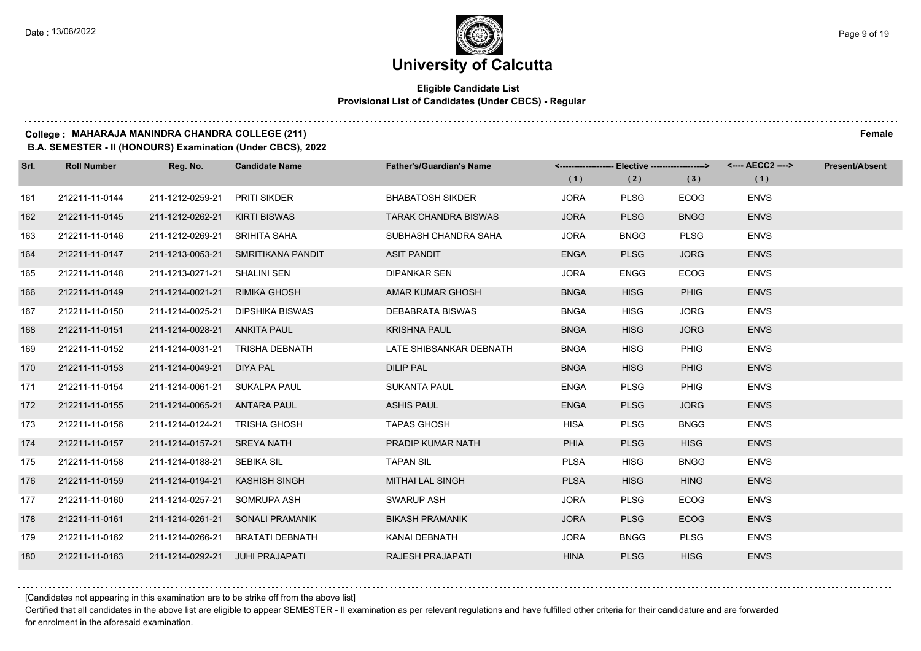#### **Eligible Candidate List Provisional List of Candidates (Under CBCS) - Regular**

#### **College : MAHARAJA MANINDRA CHANDRA COLLEGE (211) Female**

**B.A. SEMESTER - II (HONOURS) Examination (Under CBCS), 2022**

| Srl. | <b>Roll Number</b> | Reg. No.                        | <b>Candidate Name</b>              | <b>Father's/Guardian's Name</b> | <-------------------- Elective -------------------> |             |             | <---- AECC2 ----> | <b>Present/Absent</b> |
|------|--------------------|---------------------------------|------------------------------------|---------------------------------|-----------------------------------------------------|-------------|-------------|-------------------|-----------------------|
|      |                    |                                 |                                    |                                 | (1)                                                 | (2)         | (3)         | (1)               |                       |
| 161  | 212211-11-0144     | 211-1212-0259-21                | PRITI SIKDER                       | <b>BHABATOSH SIKDER</b>         | <b>JORA</b>                                         | <b>PLSG</b> | <b>ECOG</b> | <b>ENVS</b>       |                       |
| 162  | 212211-11-0145     | 211-1212-0262-21                | KIRTI BISWAS                       | <b>TARAK CHANDRA BISWAS</b>     | <b>JORA</b>                                         | <b>PLSG</b> | <b>BNGG</b> | <b>ENVS</b>       |                       |
| 163  | 212211-11-0146     | 211-1212-0269-21 SRIHITA SAHA   |                                    | SUBHASH CHANDRA SAHA            | <b>JORA</b>                                         | <b>BNGG</b> | <b>PLSG</b> | <b>ENVS</b>       |                       |
| 164  | 212211-11-0147     |                                 | 211-1213-0053-21 SMRITIKANA PANDIT | <b>ASIT PANDIT</b>              | <b>ENGA</b>                                         | <b>PLSG</b> | <b>JORG</b> | <b>ENVS</b>       |                       |
| 165  | 212211-11-0148     | 211-1213-0271-21                | SHALINI SEN                        | <b>DIPANKAR SEN</b>             | <b>JORA</b>                                         | <b>ENGG</b> | <b>ECOG</b> | <b>ENVS</b>       |                       |
| 166  | 212211-11-0149     | 211-1214-0021-21                | <b>RIMIKA GHOSH</b>                | AMAR KUMAR GHOSH                | <b>BNGA</b>                                         | <b>HISG</b> | <b>PHIG</b> | <b>ENVS</b>       |                       |
| 167  | 212211-11-0150     |                                 | 211-1214-0025-21 DIPSHIKA BISWAS   | DEBABRATA BISWAS                | <b>BNGA</b>                                         | <b>HISG</b> | <b>JORG</b> | <b>ENVS</b>       |                       |
| 168  | 212211-11-0151     | 211-1214-0028-21 ANKITA PAUL    |                                    | <b>KRISHNA PAUL</b>             | <b>BNGA</b>                                         | <b>HISG</b> | <b>JORG</b> | <b>ENVS</b>       |                       |
| 169  | 212211-11-0152     | 211-1214-0031-21                | TRISHA DEBNATH                     | LATE SHIBSANKAR DEBNATH         | <b>BNGA</b>                                         | <b>HISG</b> | <b>PHIG</b> | <b>ENVS</b>       |                       |
| 170  | 212211-11-0153     | 211-1214-0049-21                | DIYA PAL                           | <b>DILIP PAL</b>                | <b>BNGA</b>                                         | <b>HISG</b> | <b>PHIG</b> | <b>ENVS</b>       |                       |
| 171  | 212211-11-0154     | 211-1214-0061-21 SUKALPA PAUL   |                                    | <b>SUKANTA PAUL</b>             | <b>ENGA</b>                                         | <b>PLSG</b> | <b>PHIG</b> | <b>ENVS</b>       |                       |
| 172  | 212211-11-0155     | 211-1214-0065-21 ANTARA PAUL    |                                    | <b>ASHIS PAUL</b>               | <b>ENGA</b>                                         | <b>PLSG</b> | <b>JORG</b> | <b>ENVS</b>       |                       |
| 173  | 212211-11-0156     | 211-1214-0124-21                | TRISHA GHOSH                       | <b>TAPAS GHOSH</b>              | <b>HISA</b>                                         | <b>PLSG</b> | <b>BNGG</b> | <b>ENVS</b>       |                       |
| 174  | 212211-11-0157     | 211-1214-0157-21 SREYA NATH     |                                    | PRADIP KUMAR NATH               | <b>PHIA</b>                                         | <b>PLSG</b> | <b>HISG</b> | <b>ENVS</b>       |                       |
| 175  | 212211-11-0158     | 211-1214-0188-21                | SEBIKA SIL                         | <b>TAPAN SIL</b>                | <b>PLSA</b>                                         | <b>HISG</b> | <b>BNGG</b> | <b>ENVS</b>       |                       |
| 176  | 212211-11-0159     | 211-1214-0194-21                | KASHISH SINGH                      | <b>MITHAI LAL SINGH</b>         | <b>PLSA</b>                                         | <b>HISG</b> | <b>HING</b> | <b>ENVS</b>       |                       |
| 177  | 212211-11-0160     | 211-1214-0257-21                | SOMRUPA ASH                        | <b>SWARUP ASH</b>               | <b>JORA</b>                                         | <b>PLSG</b> | <b>ECOG</b> | <b>ENVS</b>       |                       |
| 178  | 212211-11-0161     |                                 | 211-1214-0261-21 SONALI PRAMANIK   | <b>BIKASH PRAMANIK</b>          | <b>JORA</b>                                         | <b>PLSG</b> | <b>ECOG</b> | <b>ENVS</b>       |                       |
| 179  | 212211-11-0162     |                                 | 211-1214-0266-21 BRATATI DEBNATH   | KANAI DEBNATH                   | <b>JORA</b>                                         | <b>BNGG</b> | <b>PLSG</b> | <b>ENVS</b>       |                       |
| 180  | 212211-11-0163     | 211-1214-0292-21 JUHI PRAJAPATI |                                    | <b>RAJESH PRAJAPATI</b>         | <b>HINA</b>                                         | <b>PLSG</b> | <b>HISG</b> | <b>ENVS</b>       |                       |

[Candidates not appearing in this examination are to be strike off from the above list]

Certified that all candidates in the above list are eligible to appear SEMESTER - II examination as per relevant regulations and have fulfilled other criteria for their candidature and are forwarded for enrolment in the aforesaid examination.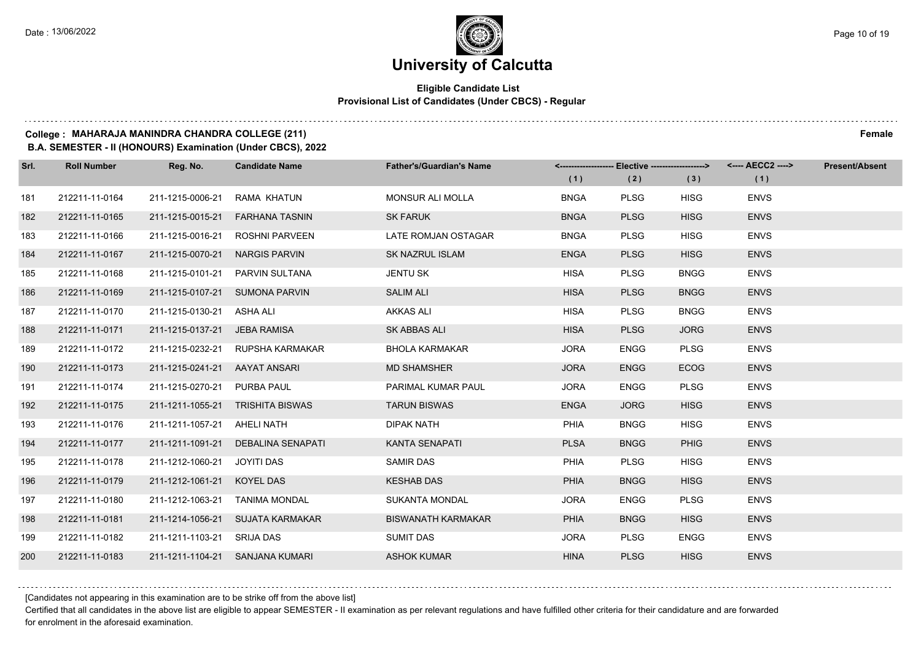#### **Eligible Candidate List Provisional List of Candidates (Under CBCS) - Regular**

and a strategic control

**College : MAHARAJA MANINDRA CHANDRA COLLEGE (211) Female**

#### **B.A. SEMESTER - II (HONOURS) Examination (Under CBCS), 2022**

| Srl. | <b>Roll Number</b> | Reg. No.                     | <b>Candidate Name</b>            | <b>Father's/Guardian's Name</b> | <-------------------- Elective -------------------> |             |             | <---- AECC2 ----> | <b>Present/Absent</b> |
|------|--------------------|------------------------------|----------------------------------|---------------------------------|-----------------------------------------------------|-------------|-------------|-------------------|-----------------------|
|      |                    |                              |                                  |                                 | (1)                                                 | (2)         | (3)         | (1)               |                       |
| 181  | 212211-11-0164     | 211-1215-0006-21             | RAMA KHATUN                      | MONSUR ALI MOLLA                | <b>BNGA</b>                                         | <b>PLSG</b> | <b>HISG</b> | <b>ENVS</b>       |                       |
| 182  | 212211-11-0165     | 211-1215-0015-21             | <b>FARHANA TASNIN</b>            | <b>SK FARUK</b>                 | <b>BNGA</b>                                         | <b>PLSG</b> | <b>HISG</b> | <b>ENVS</b>       |                       |
| 183  | 212211-11-0166     |                              | 211-1215-0016-21 ROSHNI PARVEEN  | LATE ROMJAN OSTAGAR             | <b>BNGA</b>                                         | <b>PLSG</b> | <b>HISG</b> | <b>ENVS</b>       |                       |
| 184  | 212211-11-0167     | 211-1215-0070-21             | <b>NARGIS PARVIN</b>             | <b>SK NAZRUL ISLAM</b>          | <b>ENGA</b>                                         | <b>PLSG</b> | <b>HISG</b> | <b>ENVS</b>       |                       |
| 185  | 212211-11-0168     |                              | 211-1215-0101-21  PARVIN SULTANA | <b>JENTU SK</b>                 | <b>HISA</b>                                         | <b>PLSG</b> | <b>BNGG</b> | <b>ENVS</b>       |                       |
| 186  | 212211-11-0169     | 211-1215-0107-21             | <b>SUMONA PARVIN</b>             | <b>SALIM ALI</b>                | <b>HISA</b>                                         | <b>PLSG</b> | <b>BNGG</b> | <b>ENVS</b>       |                       |
| 187  | 212211-11-0170     | 211-1215-0130-21 ASHA ALI    |                                  | <b>AKKAS ALI</b>                | <b>HISA</b>                                         | <b>PLSG</b> | <b>BNGG</b> | <b>ENVS</b>       |                       |
| 188  | 212211-11-0171     | 211-1215-0137-21 JEBA RAMISA |                                  | SK ABBAS ALI                    | <b>HISA</b>                                         | <b>PLSG</b> | <b>JORG</b> | <b>ENVS</b>       |                       |
| 189  | 212211-11-0172     |                              | 211-1215-0232-21 RUPSHA KARMAKAR | <b>BHOLA KARMAKAR</b>           | <b>JORA</b>                                         | <b>ENGG</b> | <b>PLSG</b> | <b>ENVS</b>       |                       |
| 190  | 212211-11-0173     | 211-1215-0241-21             | AAYAT ANSARI                     | <b>MD SHAMSHER</b>              | <b>JORA</b>                                         | <b>ENGG</b> | <b>ECOG</b> | <b>ENVS</b>       |                       |
| 191  | 212211-11-0174     | 211-1215-0270-21 PURBA PAUL  |                                  | PARIMAL KUMAR PAUL              | <b>JORA</b>                                         | <b>ENGG</b> | <b>PLSG</b> | <b>ENVS</b>       |                       |
| 192  | 212211-11-0175     |                              | 211-1211-1055-21 TRISHITA BISWAS | <b>TARUN BISWAS</b>             | <b>ENGA</b>                                         | <b>JORG</b> | <b>HISG</b> | <b>ENVS</b>       |                       |
| 193  | 212211-11-0176     | 211-1211-1057-21             | AHELI NATH                       | <b>DIPAK NATH</b>               | PHIA                                                | <b>BNGG</b> | <b>HISG</b> | <b>ENVS</b>       |                       |
| 194  | 212211-11-0177     | 211-1211-1091-21             | DEBALINA SENAPATI                | KANTA SENAPATI                  | <b>PLSA</b>                                         | <b>BNGG</b> | <b>PHIG</b> | <b>ENVS</b>       |                       |
| 195  | 212211-11-0178     | 211-1212-1060-21 JOYITI DAS  |                                  | <b>SAMIR DAS</b>                | PHIA                                                | <b>PLSG</b> | <b>HISG</b> | <b>ENVS</b>       |                       |
| 196  | 212211-11-0179     | 211-1212-1061-21 KOYEL DAS   |                                  | <b>KESHAB DAS</b>               | <b>PHIA</b>                                         | <b>BNGG</b> | <b>HISG</b> | <b>ENVS</b>       |                       |
| 197  | 212211-11-0180     | 211-1212-1063-21             | <b>TANIMA MONDAL</b>             | <b>SUKANTA MONDAL</b>           | <b>JORA</b>                                         | <b>ENGG</b> | <b>PLSG</b> | <b>ENVS</b>       |                       |
| 198  | 212211-11-0181     |                              | 211-1214-1056-21 SUJATA KARMAKAR | <b>BISWANATH KARMAKAR</b>       | PHIA                                                | <b>BNGG</b> | <b>HISG</b> | <b>ENVS</b>       |                       |
| 199  | 212211-11-0182     | 211-1211-1103-21 SRIJA DAS   |                                  | <b>SUMIT DAS</b>                | <b>JORA</b>                                         | <b>PLSG</b> | <b>ENGG</b> | <b>ENVS</b>       |                       |
| 200  | 212211-11-0183     |                              | 211-1211-1104-21 SANJANA KUMARI  | <b>ASHOK KUMAR</b>              | <b>HINA</b>                                         | <b>PLSG</b> | <b>HISG</b> | <b>ENVS</b>       |                       |

[Candidates not appearing in this examination are to be strike off from the above list]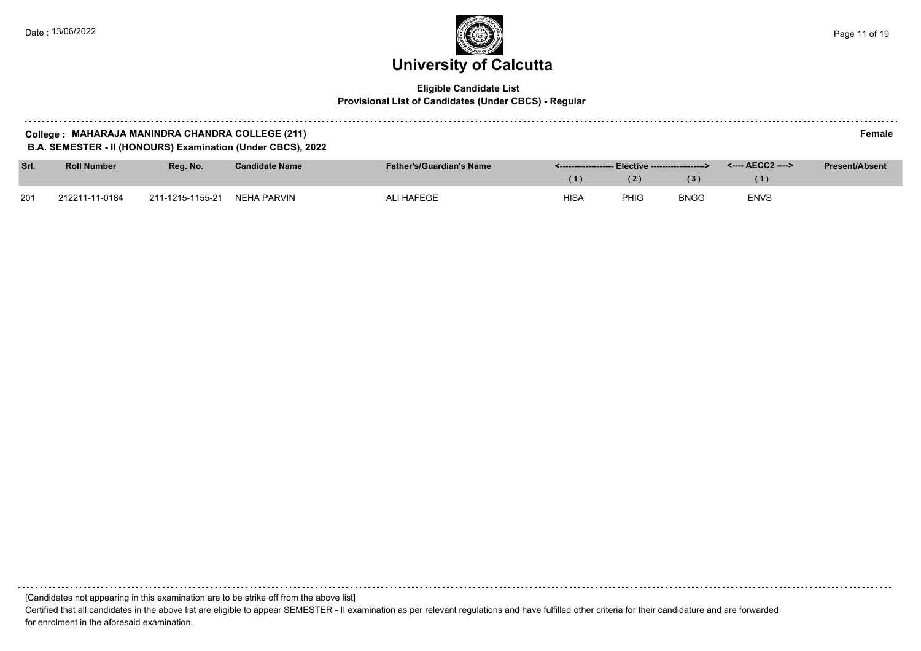and and

### **University of Calcutta**  Date : 13/06/2022 Page 11 of 19

#### **Eligible Candidate List Provisional List of Candidates (Under CBCS) - Regular**

| College: MAHARAJA MANINDRA CHANDRA COLLEGE (211)                  | <b>Female</b> |
|-------------------------------------------------------------------|---------------|
| EMESTER - II (HONOURS) Examination (Under CBCS), 2022<br>B.A. SEN |               |

| Srl. | <b>Roll Number</b> | Rea. No.         | <b>Candidate Name</b> | <b>Father's/Guardian's Name</b> | <u> S------------------- Elective -----------------&gt; Theory Service of The Service of The Service of The Service of The Service of The Service of The Service of The Service of The Service of The Service of The Service of The</u> |      |             | <---- AECC2 ----> | <b>Present/Absent</b> |
|------|--------------------|------------------|-----------------------|---------------------------------|-----------------------------------------------------------------------------------------------------------------------------------------------------------------------------------------------------------------------------------------|------|-------------|-------------------|-----------------------|
|      |                    |                  |                       |                                 |                                                                                                                                                                                                                                         |      | (3)         |                   |                       |
| 201  | 212211-11-0184     | 211-1215-1155-21 | NEHA PARVIN           | <b>ALI HAFEGE</b>               | <b>HISA</b>                                                                                                                                                                                                                             | PHIG | <b>BNGG</b> | <b>ENVS</b>       |                       |

[Candidates not appearing in this examination are to be strike off from the above list]

Certified that all candidates in the above list are eligible to appear SEMESTER - II examination as per relevant regulations and have fulfilled other criteria for their candidature and are forwarded for enrolment in the aforesaid examination.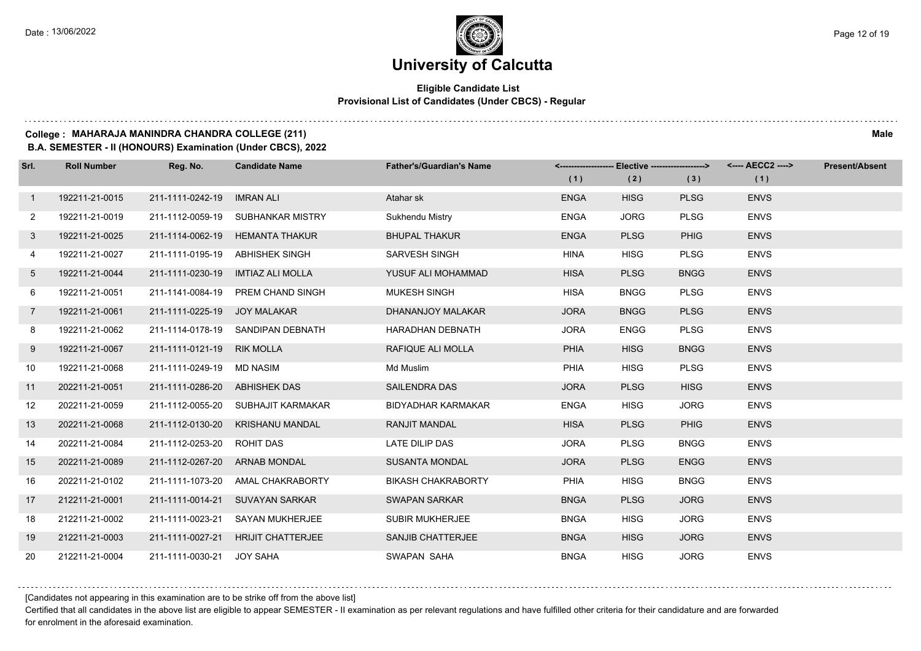#### **Eligible Candidate List Provisional List of Candidates (Under CBCS) - Regular**

### **College : MAHARAJA MANINDRA CHANDRA COLLEGE (211) Male**

**B.A. SEMESTER - II (HONOURS) Examination (Under CBCS), 2022**

| Srl.            | <b>Roll Number</b> | Reg. No.                      | <b>Candidate Name</b>              | <b>Father's/Guardian's Name</b> | <-------------------- Elective -------------------> |             |             |             | <b>Present/Absent</b> |
|-----------------|--------------------|-------------------------------|------------------------------------|---------------------------------|-----------------------------------------------------|-------------|-------------|-------------|-----------------------|
|                 |                    |                               |                                    |                                 | (1)                                                 | (2)         | (3)         | (1)         |                       |
| $\mathbf{1}$    | 192211-21-0015     | 211-1111-0242-19              | <b>IMRAN ALI</b>                   | Atahar <sub>sk</sub>            | <b>ENGA</b>                                         | <b>HISG</b> | <b>PLSG</b> | <b>ENVS</b> |                       |
| 2               | 192211-21-0019     | 211-1112-0059-19              | SUBHANKAR MISTRY                   | Sukhendu Mistry                 | <b>ENGA</b>                                         | <b>JORG</b> | <b>PLSG</b> | <b>ENVS</b> |                       |
| $\mathbf{3}$    | 192211-21-0025     | 211-1114-0062-19              | HEMANTA THAKUR                     | <b>BHUPAL THAKUR</b>            | <b>ENGA</b>                                         | <b>PLSG</b> | <b>PHIG</b> | <b>ENVS</b> |                       |
| 4               | 192211-21-0027     | 211-1111-0195-19              | <b>ABHISHEK SINGH</b>              | SARVESH SINGH                   | <b>HINA</b>                                         | <b>HISG</b> | <b>PLSG</b> | <b>ENVS</b> |                       |
| 5               | 192211-21-0044     | 211-1111-0230-19              | IMTIAZ ALI MOLLA                   | YUSUF ALI MOHAMMAD              | <b>HISA</b>                                         | <b>PLSG</b> | <b>BNGG</b> | <b>ENVS</b> |                       |
| 6               | 192211-21-0051     | 211-1141-0084-19              | PREM CHAND SINGH                   | <b>MUKESH SINGH</b>             | <b>HISA</b>                                         | <b>BNGG</b> | <b>PLSG</b> | <b>ENVS</b> |                       |
| $7\overline{ }$ | 192211-21-0061     | 211-1111-0225-19 JOY MALAKAR  |                                    | DHANANJOY MALAKAR               | <b>JORA</b>                                         | <b>BNGG</b> | <b>PLSG</b> | <b>ENVS</b> |                       |
| 8               | 192211-21-0062     |                               | 211-1114-0178-19 SANDIPAN DEBNATH  | <b>HARADHAN DEBNATH</b>         | <b>JORA</b>                                         | <b>ENGG</b> | <b>PLSG</b> | <b>ENVS</b> |                       |
| 9               | 192211-21-0067     | 211-1111-0121-19              | <b>RIK MOLLA</b>                   | RAFIQUE ALI MOLLA               | <b>PHIA</b>                                         | <b>HISG</b> | <b>BNGG</b> | <b>ENVS</b> |                       |
| 10 <sup>°</sup> | 192211-21-0068     | 211-1111-0249-19              | MD NASIM                           | Md Muslim                       | <b>PHIA</b>                                         | <b>HISG</b> | <b>PLSG</b> | <b>ENVS</b> |                       |
| 11              | 202211-21-0051     | 211-1111-0286-20 ABHISHEK DAS |                                    | <b>SAILENDRA DAS</b>            | <b>JORA</b>                                         | <b>PLSG</b> | <b>HISG</b> | <b>ENVS</b> |                       |
| 12              | 202211-21-0059     |                               | 211-1112-0055-20 SUBHAJIT KARMAKAR | <b>BIDYADHAR KARMAKAR</b>       | <b>ENGA</b>                                         | <b>HISG</b> | <b>JORG</b> | <b>ENVS</b> |                       |
| 13              | 202211-21-0068     | 211-1112-0130-20              | <b>KRISHANU MANDAL</b>             | <b>RANJIT MANDAL</b>            | <b>HISA</b>                                         | <b>PLSG</b> | <b>PHIG</b> | <b>ENVS</b> |                       |
| 14              | 202211-21-0084     | 211-1112-0253-20              | <b>ROHIT DAS</b>                   | LATE DILIP DAS                  | <b>JORA</b>                                         | <b>PLSG</b> | <b>BNGG</b> | <b>ENVS</b> |                       |
| 15              | 202211-21-0089     | 211-1112-0267-20 ARNAB MONDAL |                                    | <b>SUSANTA MONDAL</b>           | <b>JORA</b>                                         | <b>PLSG</b> | <b>ENGG</b> | <b>ENVS</b> |                       |
| 16              | 202211-21-0102     |                               | 211-1111-1073-20 AMAL CHAKRABORTY  | <b>BIKASH CHAKRABORTY</b>       | <b>PHIA</b>                                         | <b>HISG</b> | <b>BNGG</b> | <b>ENVS</b> |                       |
| 17              | 212211-21-0001     | 211-1111-0014-21              | <b>SUVAYAN SARKAR</b>              | <b>SWAPAN SARKAR</b>            | <b>BNGA</b>                                         | <b>PLSG</b> | <b>JORG</b> | <b>ENVS</b> |                       |
| 18              | 212211-21-0002     | 211-1111-0023-21              | <b>SAYAN MUKHERJEE</b>             | <b>SUBIR MUKHERJEE</b>          | <b>BNGA</b>                                         | <b>HISG</b> | <b>JORG</b> | <b>ENVS</b> |                       |
| 19              | 212211-21-0003     | 211-1111-0027-21              | <b>HRIJIT CHATTERJEE</b>           | SANJIB CHATTERJEE               | <b>BNGA</b>                                         | <b>HISG</b> | <b>JORG</b> | <b>ENVS</b> |                       |
| 20              | 212211-21-0004     | 211-1111-0030-21              | <b>JOY SAHA</b>                    | SWAPAN SAHA                     | <b>BNGA</b>                                         | <b>HISG</b> | <b>JORG</b> | <b>ENVS</b> |                       |

[Candidates not appearing in this examination are to be strike off from the above list]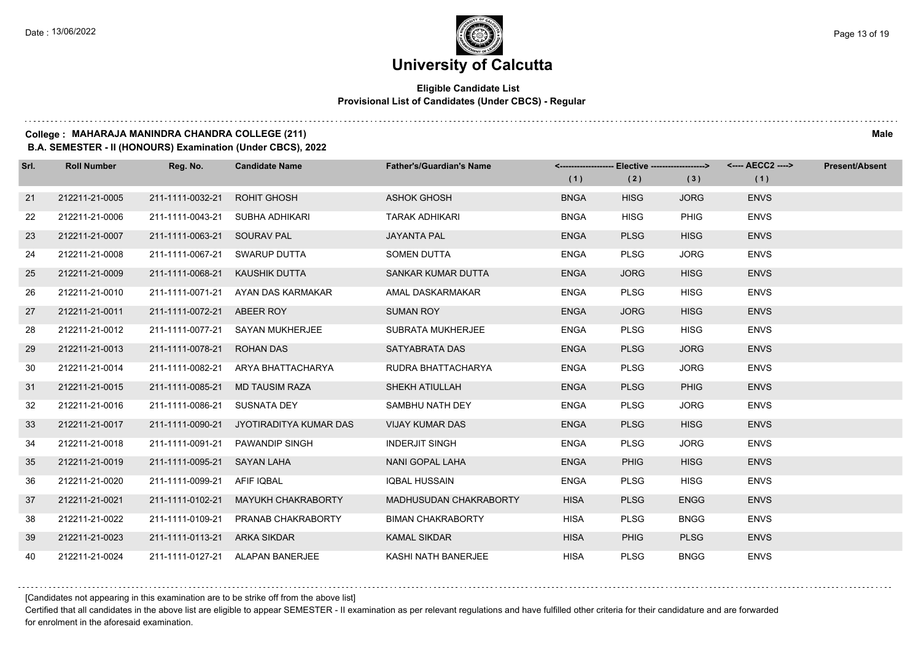#### **Eligible Candidate List Provisional List of Candidates (Under CBCS) - Regular**

#### **College : MAHARAJA MANINDRA CHANDRA COLLEGE (211) Male**

**B.A. SEMESTER - II (HONOURS) Examination (Under CBCS), 2022**

| Srl. | <b>Roll Number</b> | Reg. No.                       | <b>Candidate Name</b>                   | <b>Father's/Guardian's Name</b> |             | <-------------------- Elective -------------------> |             |             | <b>Present/Absent</b> |
|------|--------------------|--------------------------------|-----------------------------------------|---------------------------------|-------------|-----------------------------------------------------|-------------|-------------|-----------------------|
|      |                    |                                |                                         |                                 | (1)         | (2)                                                 | (3)         | (1)         |                       |
| 21   | 212211-21-0005     | 211-1111-0032-21               | <b>ROHIT GHOSH</b>                      | <b>ASHOK GHOSH</b>              | <b>BNGA</b> | <b>HISG</b>                                         | <b>JORG</b> | <b>ENVS</b> |                       |
| 22   | 212211-21-0006     |                                | 211-1111-0043-21 SUBHA ADHIKARI         | <b>TARAK ADHIKARI</b>           | <b>BNGA</b> | <b>HISG</b>                                         | PHIG        | <b>ENVS</b> |                       |
| 23   | 212211-21-0007     | 211-1111-0063-21 SOURAV PAL    |                                         | <b>JAYANTA PAL</b>              | <b>ENGA</b> | <b>PLSG</b>                                         | <b>HISG</b> | <b>ENVS</b> |                       |
| 24   | 212211-21-0008     |                                | 211-1111-0067-21 SWARUP DUTTA           | <b>SOMEN DUTTA</b>              | <b>ENGA</b> | <b>PLSG</b>                                         | <b>JORG</b> | <b>ENVS</b> |                       |
| 25   | 212211-21-0009     | 211-1111-0068-21 KAUSHIK DUTTA |                                         | SANKAR KUMAR DUTTA              | <b>ENGA</b> | <b>JORG</b>                                         | <b>HISG</b> | <b>ENVS</b> |                       |
| 26   | 212211-21-0010     |                                | 211-1111-0071-21 AYAN DAS KARMAKAR      | AMAL DASKARMAKAR                | <b>ENGA</b> | <b>PLSG</b>                                         | <b>HISG</b> | <b>ENVS</b> |                       |
| 27   | 212211-21-0011     | 211-1111-0072-21 ABEER ROY     |                                         | <b>SUMAN ROY</b>                | <b>ENGA</b> | <b>JORG</b>                                         | <b>HISG</b> | <b>ENVS</b> |                       |
| 28   | 212211-21-0012     |                                | 211-1111-0077-21 SAYAN MUKHERJEE        | <b>SUBRATA MUKHERJEE</b>        | <b>ENGA</b> | <b>PLSG</b>                                         | <b>HISG</b> | <b>ENVS</b> |                       |
| 29   | 212211-21-0013     | 211-1111-0078-21               | <b>ROHAN DAS</b>                        | SATYABRATA DAS                  | <b>ENGA</b> | <b>PLSG</b>                                         | <b>JORG</b> | <b>ENVS</b> |                       |
| 30   | 212211-21-0014     | 211-1111-0082-21               | ARYA BHATTACHARYA                       | RUDRA BHATTACHARYA              | <b>ENGA</b> | <b>PLSG</b>                                         | <b>JORG</b> | <b>ENVS</b> |                       |
| 31   | 212211-21-0015     | 211-1111-0085-21               | <b>MD TAUSIM RAZA</b>                   | SHEKH ATIULLAH                  | <b>ENGA</b> | <b>PLSG</b>                                         | <b>PHIG</b> | <b>ENVS</b> |                       |
| 32   | 212211-21-0016     | 211-1111-0086-21 SUSNATA DEY   |                                         | SAMBHU NATH DEY                 | <b>ENGA</b> | <b>PLSG</b>                                         | <b>JORG</b> | <b>ENVS</b> |                       |
| 33   | 212211-21-0017     |                                | 211-1111-0090-21 JYOTIRADITYA KUMAR DAS | <b>VIJAY KUMAR DAS</b>          | <b>ENGA</b> | <b>PLSG</b>                                         | <b>HISG</b> | <b>ENVS</b> |                       |
| 34   | 212211-21-0018     |                                | 211-1111-0091-21 PAWANDIP SINGH         | <b>INDERJIT SINGH</b>           | <b>ENGA</b> | <b>PLSG</b>                                         | <b>JORG</b> | <b>ENVS</b> |                       |
| 35   | 212211-21-0019     | 211-1111-0095-21 SAYAN LAHA    |                                         | NANI GOPAL LAHA                 | <b>ENGA</b> | <b>PHIG</b>                                         | <b>HISG</b> | <b>ENVS</b> |                       |
| 36   | 212211-21-0020     | 211-1111-0099-21 AFIF IQBAL    |                                         | IQBAL HUSSAIN                   | <b>ENGA</b> | <b>PLSG</b>                                         | <b>HISG</b> | <b>ENVS</b> |                       |
| 37   | 212211-21-0021     |                                | 211-1111-0102-21 MAYUKH CHAKRABORTY     | MADHUSUDAN CHAKRABORTY          | <b>HISA</b> | <b>PLSG</b>                                         | <b>ENGG</b> | <b>ENVS</b> |                       |
| 38   | 212211-21-0022     |                                | 211-1111-0109-21 PRANAB CHAKRABORTY     | <b>BIMAN CHAKRABORTY</b>        | <b>HISA</b> | <b>PLSG</b>                                         | <b>BNGG</b> | <b>ENVS</b> |                       |
| 39   | 212211-21-0023     | 211-1111-0113-21 ARKA SIKDAR   |                                         | <b>KAMAL SIKDAR</b>             | <b>HISA</b> | <b>PHIG</b>                                         | <b>PLSG</b> | <b>ENVS</b> |                       |
| 40   | 212211-21-0024     |                                | 211-1111-0127-21 ALAPAN BANERJEE        | KASHI NATH BANERJEE             | <b>HISA</b> | <b>PLSG</b>                                         | <b>BNGG</b> | <b>ENVS</b> |                       |

[Candidates not appearing in this examination are to be strike off from the above list]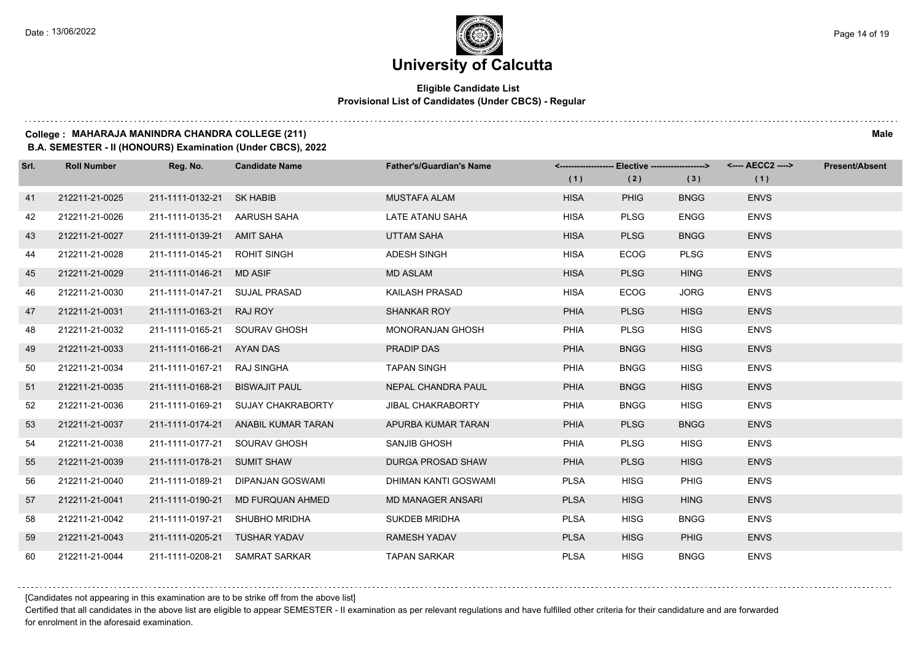#### **Eligible Candidate List Provisional List of Candidates (Under CBCS) - Regular**

and a state of the

#### **College : MAHARAJA MANINDRA CHANDRA COLLEGE (211) Male**

**B.A. SEMESTER - II (HONOURS) Examination (Under CBCS), 2022**

| Srl. | <b>Roll Number</b> | Reg. No.                      | <b>Candidate Name</b>               | <b>Father's/Guardian's Name</b> |             | <------------------- Elective ------------------> |             | <---- AECC2 ----> | <b>Present/Absent</b> |
|------|--------------------|-------------------------------|-------------------------------------|---------------------------------|-------------|---------------------------------------------------|-------------|-------------------|-----------------------|
|      |                    |                               |                                     |                                 | (1)         | (2)                                               | (3)         | (1)               |                       |
| 41   | 212211-21-0025     | 211-1111-0132-21              | <b>SK HABIB</b>                     | <b>MUSTAFA ALAM</b>             | <b>HISA</b> | <b>PHIG</b>                                       | <b>BNGG</b> | <b>ENVS</b>       |                       |
| 42   | 212211-21-0026     | 211-1111-0135-21 AARUSH SAHA  |                                     | LATE ATANU SAHA                 | <b>HISA</b> | <b>PLSG</b>                                       | <b>ENGG</b> | <b>ENVS</b>       |                       |
| 43   | 212211-21-0027     | 211-1111-0139-21 AMIT SAHA    |                                     | <b>UTTAM SAHA</b>               | <b>HISA</b> | <b>PLSG</b>                                       | <b>BNGG</b> | <b>ENVS</b>       |                       |
| 44   | 212211-21-0028     | 211-1111-0145-21 ROHIT SINGH  |                                     | <b>ADESH SINGH</b>              | <b>HISA</b> | <b>ECOG</b>                                       | <b>PLSG</b> | <b>ENVS</b>       |                       |
| 45   | 212211-21-0029     | 211-1111-0146-21 MD ASIF      |                                     | <b>MD ASLAM</b>                 | <b>HISA</b> | <b>PLSG</b>                                       | <b>HING</b> | <b>ENVS</b>       |                       |
| 46   | 212211-21-0030     | 211-1111-0147-21              | SUJAL PRASAD                        | KAILASH PRASAD                  | <b>HISA</b> | <b>ECOG</b>                                       | <b>JORG</b> | <b>ENVS</b>       |                       |
| 47   | 212211-21-0031     | 211-1111-0163-21              | RAJ ROY                             | <b>SHANKAR ROY</b>              | <b>PHIA</b> | <b>PLSG</b>                                       | <b>HISG</b> | <b>ENVS</b>       |                       |
| 48   | 212211-21-0032     | 211-1111-0165-21 SOURAV GHOSH |                                     | <b>MONORANJAN GHOSH</b>         | <b>PHIA</b> | <b>PLSG</b>                                       | <b>HISG</b> | <b>ENVS</b>       |                       |
| 49   | 212211-21-0033     | 211-1111-0166-21 AYAN DAS     |                                     | PRADIP DAS                      | <b>PHIA</b> | <b>BNGG</b>                                       | <b>HISG</b> | <b>ENVS</b>       |                       |
| 50   | 212211-21-0034     | 211-1111-0167-21              | RAJ SINGHA                          | <b>TAPAN SINGH</b>              | PHIA        | <b>BNGG</b>                                       | <b>HISG</b> | <b>ENVS</b>       |                       |
| 51   | 212211-21-0035     | 211-1111-0168-21              | <b>BISWAJIT PAUL</b>                | NEPAL CHANDRA PAUL              | <b>PHIA</b> | <b>BNGG</b>                                       | <b>HISG</b> | <b>ENVS</b>       |                       |
| 52   | 212211-21-0036     | 211-1111-0169-21              | <b>SUJAY CHAKRABORTY</b>            | <b>JIBAL CHAKRABORTY</b>        | <b>PHIA</b> | <b>BNGG</b>                                       | <b>HISG</b> | <b>ENVS</b>       |                       |
| 53   | 212211-21-0037     |                               | 211-1111-0174-21 ANABIL KUMAR TARAN | APURBA KUMAR TARAN              | <b>PHIA</b> | <b>PLSG</b>                                       | <b>BNGG</b> | <b>ENVS</b>       |                       |
| 54   | 212211-21-0038     | 211-1111-0177-21              | SOURAV GHOSH                        | SANJIB GHOSH                    | <b>PHIA</b> | <b>PLSG</b>                                       | <b>HISG</b> | <b>ENVS</b>       |                       |
| 55   | 212211-21-0039     | 211-1111-0178-21              | <b>SUMIT SHAW</b>                   | DURGA PROSAD SHAW               | <b>PHIA</b> | <b>PLSG</b>                                       | <b>HISG</b> | <b>ENVS</b>       |                       |
| 56   | 212211-21-0040     | 211-1111-0189-21              | DIPANJAN GOSWAMI                    | DHIMAN KANTI GOSWAMI            | <b>PLSA</b> | <b>HISG</b>                                       | <b>PHIG</b> | <b>ENVS</b>       |                       |
| 57   | 212211-21-0041     | 211-1111-0190-21              | MD FURQUAN AHMED                    | <b>MD MANAGER ANSARI</b>        | <b>PLSA</b> | <b>HISG</b>                                       | <b>HING</b> | <b>ENVS</b>       |                       |
| 58   | 212211-21-0042     | 211-1111-0197-21              | SHUBHO MRIDHA                       | SUKDEB MRIDHA                   | <b>PLSA</b> | <b>HISG</b>                                       | <b>BNGG</b> | <b>ENVS</b>       |                       |
| 59   | 212211-21-0043     | 211-1111-0205-21 TUSHAR YADAV |                                     | <b>RAMESH YADAV</b>             | <b>PLSA</b> | <b>HISG</b>                                       | <b>PHIG</b> | <b>ENVS</b>       |                       |
| 60   | 212211-21-0044     |                               | 211-1111-0208-21 SAMRAT SARKAR      | <b>TAPAN SARKAR</b>             | <b>PLSA</b> | <b>HISG</b>                                       | <b>BNGG</b> | <b>ENVS</b>       |                       |

[Candidates not appearing in this examination are to be strike off from the above list]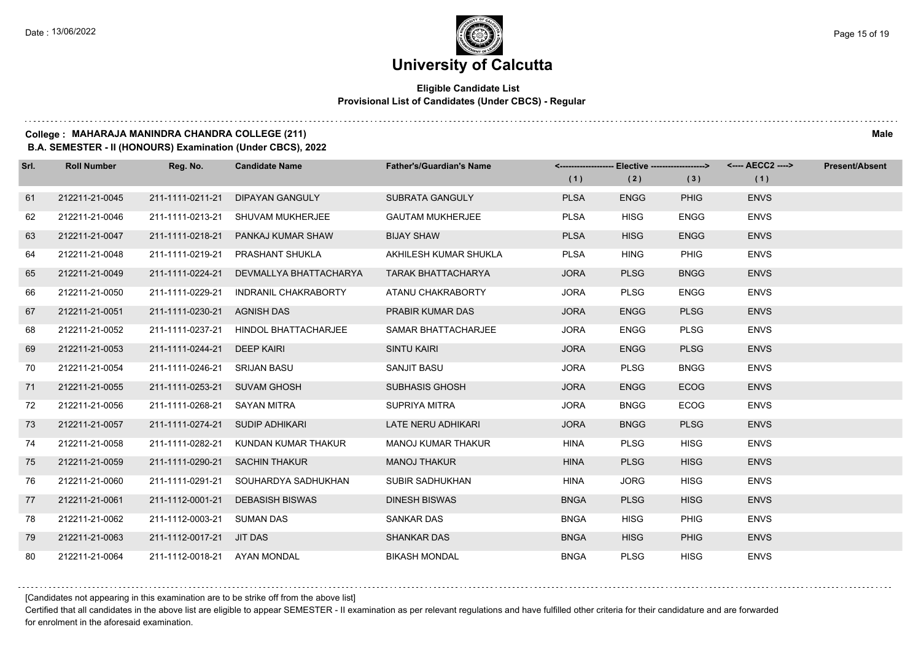#### **Eligible Candidate List Provisional List of Candidates (Under CBCS) - Regular**

**College : MAHARAJA MANINDRA CHANDRA COLLEGE (211) Male**

**B.A. SEMESTER - II (HONOURS) Examination (Under CBCS), 2022**

| Srl. | <b>Roll Number</b> | Reg. No.                     | <b>Candidate Name</b>       | <b>Father's/Guardian's Name</b> |             |             |             | <-------------------- Elective -------------------> <---- AECC2 ----> | <b>Present/Absent</b> |
|------|--------------------|------------------------------|-----------------------------|---------------------------------|-------------|-------------|-------------|-----------------------------------------------------------------------|-----------------------|
|      |                    |                              |                             |                                 | (1)         | (2)         | (3)         | (1)                                                                   |                       |
| 61   | 212211-21-0045     | 211-1111-0211-21             | <b>DIPAYAN GANGULY</b>      | <b>SUBRATA GANGULY</b>          | <b>PLSA</b> | <b>ENGG</b> | <b>PHIG</b> | <b>ENVS</b>                                                           |                       |
| 62   | 212211-21-0046     | 211-1111-0213-21             | SHUVAM MUKHERJEE            | <b>GAUTAM MUKHERJEE</b>         | <b>PLSA</b> | <b>HISG</b> | <b>ENGG</b> | <b>ENVS</b>                                                           |                       |
| 63   | 212211-21-0047     | 211-1111-0218-21             | PANKAJ KUMAR SHAW           | <b>BIJAY SHAW</b>               | <b>PLSA</b> | <b>HISG</b> | <b>ENGG</b> | <b>ENVS</b>                                                           |                       |
| 64   | 212211-21-0048     | 211-1111-0219-21             | PRASHANT SHUKLA             | AKHILESH KUMAR SHUKLA           | <b>PLSA</b> | <b>HING</b> | <b>PHIG</b> | <b>ENVS</b>                                                           |                       |
| 65   | 212211-21-0049     | 211-1111-0224-21             | DEVMALLYA BHATTACHARYA      | TARAK BHATTACHARYA              | <b>JORA</b> | <b>PLSG</b> | <b>BNGG</b> | <b>ENVS</b>                                                           |                       |
| 66   | 212211-21-0050     | 211-1111-0229-21             | INDRANIL CHAKRABORTY        | ATANU CHAKRABORTY               | <b>JORA</b> | <b>PLSG</b> | <b>ENGG</b> | <b>ENVS</b>                                                           |                       |
| 67   | 212211-21-0051     | 211-1111-0230-21             | <b>AGNISH DAS</b>           | PRABIR KUMAR DAS                | <b>JORA</b> | <b>ENGG</b> | <b>PLSG</b> | <b>ENVS</b>                                                           |                       |
| 68   | 212211-21-0052     | 211-1111-0237-21             | <b>HINDOL BHATTACHARJEE</b> | SAMAR BHATTACHARJEE             | <b>JORA</b> | <b>ENGG</b> | <b>PLSG</b> | <b>ENVS</b>                                                           |                       |
| 69   | 212211-21-0053     | 211-1111-0244-21             | <b>DEEP KAIRI</b>           | <b>SINTU KAIRI</b>              | <b>JORA</b> | <b>ENGG</b> | <b>PLSG</b> | <b>ENVS</b>                                                           |                       |
| 70   | 212211-21-0054     | 211-1111-0246-21             | <b>SRIJAN BASU</b>          | SANJIT BASU                     | <b>JORA</b> | <b>PLSG</b> | <b>BNGG</b> | <b>ENVS</b>                                                           |                       |
| 71   | 212211-21-0055     | 211-1111-0253-21             | <b>SUVAM GHOSH</b>          | <b>SUBHASIS GHOSH</b>           | <b>JORA</b> | <b>ENGG</b> | <b>ECOG</b> | <b>ENVS</b>                                                           |                       |
| 72   | 212211-21-0056     | 211-1111-0268-21             | SAYAN MITRA                 | SUPRIYA MITRA                   | <b>JORA</b> | <b>BNGG</b> | <b>ECOG</b> | <b>ENVS</b>                                                           |                       |
| 73   | 212211-21-0057     | 211-1111-0274-21             | <b>SUDIP ADHIKARI</b>       | <b>LATE NERU ADHIKARI</b>       | <b>JORA</b> | <b>BNGG</b> | <b>PLSG</b> | <b>ENVS</b>                                                           |                       |
| 74   | 212211-21-0058     | 211-1111-0282-21             | KUNDAN KUMAR THAKUR         | <b>MANOJ KUMAR THAKUR</b>       | <b>HINA</b> | <b>PLSG</b> | <b>HISG</b> | <b>ENVS</b>                                                           |                       |
| 75   | 212211-21-0059     | 211-1111-0290-21             | <b>SACHIN THAKUR</b>        | <b>MANOJ THAKUR</b>             | <b>HINA</b> | <b>PLSG</b> | <b>HISG</b> | <b>ENVS</b>                                                           |                       |
| 76   | 212211-21-0060     | 211-1111-0291-21             | SOUHARDYA SADHUKHAN         | SUBIR SADHUKHAN                 | <b>HINA</b> | <b>JORG</b> | <b>HISG</b> | <b>ENVS</b>                                                           |                       |
| 77   | 212211-21-0061     | 211-1112-0001-21             | <b>DEBASISH BISWAS</b>      | <b>DINESH BISWAS</b>            | <b>BNGA</b> | <b>PLSG</b> | <b>HISG</b> | <b>ENVS</b>                                                           |                       |
| 78   | 212211-21-0062     | 211-1112-0003-21             | <b>SUMAN DAS</b>            | <b>SANKAR DAS</b>               | <b>BNGA</b> | <b>HISG</b> | PHIG        | <b>ENVS</b>                                                           |                       |
| 79   | 212211-21-0063     | 211-1112-0017-21             | <b>JIT DAS</b>              | <b>SHANKAR DAS</b>              | <b>BNGA</b> | <b>HISG</b> | <b>PHIG</b> | <b>ENVS</b>                                                           |                       |
| 80   | 212211-21-0064     | 211-1112-0018-21 AYAN MONDAL |                             | <b>BIKASH MONDAL</b>            | <b>BNGA</b> | <b>PLSG</b> | <b>HISG</b> | <b>ENVS</b>                                                           |                       |

[Candidates not appearing in this examination are to be strike off from the above list]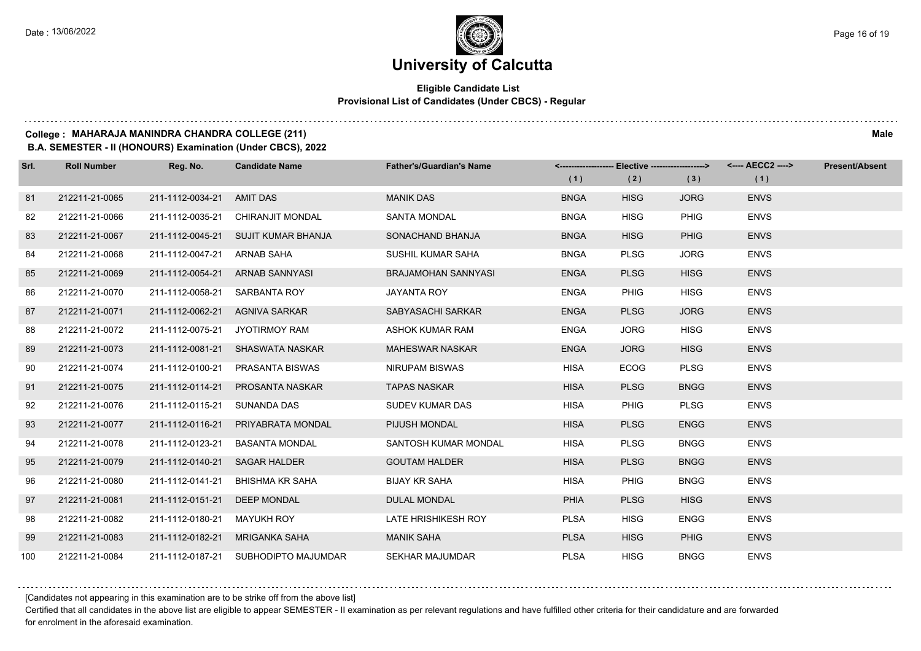#### **Eligible Candidate List Provisional List of Candidates (Under CBCS) - Regular**

#### **College : MAHARAJA MANINDRA CHANDRA COLLEGE (211) Male**

**B.A. SEMESTER - II (HONOURS) Examination (Under CBCS), 2022**

| Srl. | <b>Roll Number</b> | Reg. No.                     | <b>Candidate Name</b>                | <b>Father's/Guardian's Name</b> |             | <------------------- Elective ------------------> |             |             | <b>Present/Absent</b> |
|------|--------------------|------------------------------|--------------------------------------|---------------------------------|-------------|---------------------------------------------------|-------------|-------------|-----------------------|
|      |                    |                              |                                      |                                 | (1)         | (2)                                               | (3)         | (1)         |                       |
| 81   | 212211-21-0065     | 211-1112-0034-21 AMIT DAS    |                                      | <b>MANIK DAS</b>                | <b>BNGA</b> | <b>HISG</b>                                       | <b>JORG</b> | <b>ENVS</b> |                       |
| 82   | 212211-21-0066     | 211-1112-0035-21             | <b>CHIRANJIT MONDAL</b>              | <b>SANTA MONDAL</b>             | <b>BNGA</b> | <b>HISG</b>                                       | <b>PHIG</b> | <b>ENVS</b> |                       |
| 83   | 212211-21-0067     |                              | 211-1112-0045-21 SUJIT KUMAR BHANJA  | SONACHAND BHANJA                | <b>BNGA</b> | <b>HISG</b>                                       | <b>PHIG</b> | <b>ENVS</b> |                       |
| 84   | 212211-21-0068     | 211-1112-0047-21 ARNAB SAHA  |                                      | SUSHIL KUMAR SAHA               | <b>BNGA</b> | <b>PLSG</b>                                       | <b>JORG</b> | <b>ENVS</b> |                       |
| 85   | 212211-21-0069     |                              | 211-1112-0054-21 ARNAB SANNYASI      | BRAJAMOHAN SANNYASI             | <b>ENGA</b> | <b>PLSG</b>                                       | <b>HISG</b> | <b>ENVS</b> |                       |
| 86   | 212211-21-0070     | 211-1112-0058-21             | SARBANTA ROY                         | <b>JAYANTA ROY</b>              | <b>ENGA</b> | <b>PHIG</b>                                       | <b>HISG</b> | <b>ENVS</b> |                       |
| 87   | 212211-21-0071     |                              | 211-1112-0062-21 AGNIVA SARKAR       | SABYASACHI SARKAR               | <b>ENGA</b> | <b>PLSG</b>                                       | <b>JORG</b> | <b>ENVS</b> |                       |
| 88   | 212211-21-0072     |                              | 211-1112-0075-21 JYOTIRMOY RAM       | ASHOK KUMAR RAM                 | <b>ENGA</b> | <b>JORG</b>                                       | <b>HISG</b> | <b>ENVS</b> |                       |
| 89   | 212211-21-0073     |                              | 211-1112-0081-21 SHASWATA NASKAR     | <b>MAHESWAR NASKAR</b>          | <b>ENGA</b> | <b>JORG</b>                                       | <b>HISG</b> | <b>ENVS</b> |                       |
| 90   | 212211-21-0074     | 211-1112-0100-21             | PRASANTA BISWAS                      | NIRUPAM BISWAS                  | <b>HISA</b> | <b>ECOG</b>                                       | <b>PLSG</b> | <b>ENVS</b> |                       |
| 91   | 212211-21-0075     | 211-1112-0114-21             | <b>PROSANTA NASKAR</b>               | <b>TAPAS NASKAR</b>             | <b>HISA</b> | <b>PLSG</b>                                       | <b>BNGG</b> | <b>ENVS</b> |                       |
| 92   | 212211-21-0076     | 211-1112-0115-21 SUNANDA DAS |                                      | SUDEV KUMAR DAS                 | <b>HISA</b> | <b>PHIG</b>                                       | <b>PLSG</b> | <b>ENVS</b> |                       |
| 93   | 212211-21-0077     | 211-1112-0116-21             | PRIYABRATA MONDAL                    | PIJUSH MONDAL                   | <b>HISA</b> | <b>PLSG</b>                                       | <b>ENGG</b> | <b>ENVS</b> |                       |
| 94   | 212211-21-0078     | 211-1112-0123-21             | BASANTA MONDAL                       | SANTOSH KUMAR MONDAL            | <b>HISA</b> | <b>PLSG</b>                                       | <b>BNGG</b> | <b>ENVS</b> |                       |
| 95   | 212211-21-0079     | 211-1112-0140-21             | <b>SAGAR HALDER</b>                  | <b>GOUTAM HALDER</b>            | <b>HISA</b> | <b>PLSG</b>                                       | <b>BNGG</b> | <b>ENVS</b> |                       |
| 96   | 212211-21-0080     | 211-1112-0141-21             | BHISHMA KR SAHA                      | <b>BIJAY KR SAHA</b>            | <b>HISA</b> | <b>PHIG</b>                                       | <b>BNGG</b> | <b>ENVS</b> |                       |
| 97   | 212211-21-0081     | 211-1112-0151-21             | <b>DEEP MONDAL</b>                   | <b>DULAL MONDAL</b>             | <b>PHIA</b> | <b>PLSG</b>                                       | <b>HISG</b> | <b>ENVS</b> |                       |
| 98   | 212211-21-0082     | 211-1112-0180-21 MAYUKH ROY  |                                      | LATE HRISHIKESH ROY             | <b>PLSA</b> | <b>HISG</b>                                       | <b>ENGG</b> | <b>ENVS</b> |                       |
| 99   | 212211-21-0083     | 211-1112-0182-21             | MRIGANKA SAHA                        | <b>MANIK SAHA</b>               | <b>PLSA</b> | <b>HISG</b>                                       | <b>PHIG</b> | <b>ENVS</b> |                       |
| 100  | 212211-21-0084     |                              | 211-1112-0187-21 SUBHODIPTO MAJUMDAR | <b>SEKHAR MAJUMDAR</b>          | <b>PLSA</b> | <b>HISG</b>                                       | <b>BNGG</b> | <b>ENVS</b> |                       |

[Candidates not appearing in this examination are to be strike off from the above list]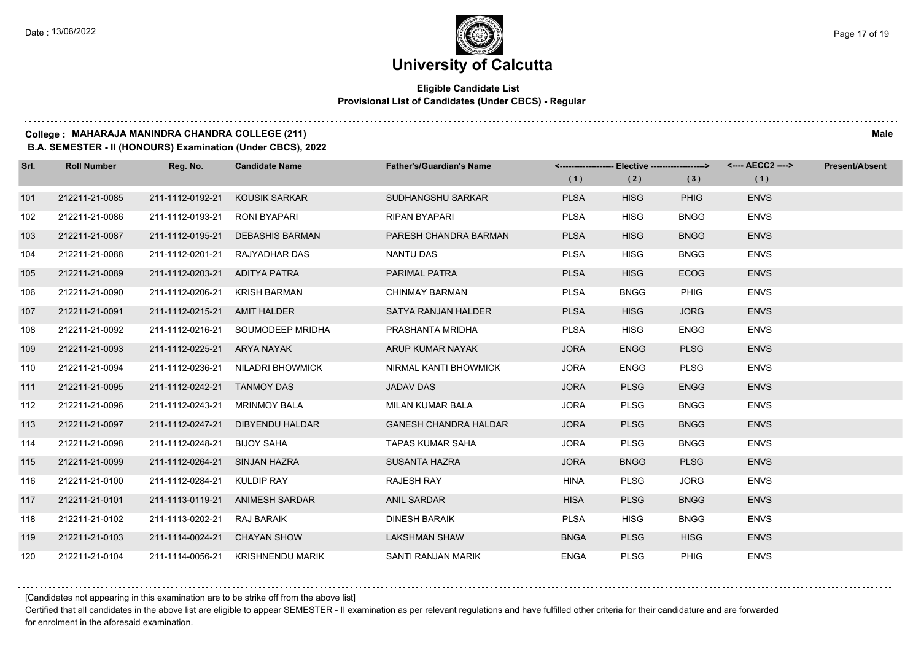#### **Eligible Candidate List Provisional List of Candidates (Under CBCS) - Regular**

#### **College : MAHARAJA MANINDRA CHANDRA COLLEGE (211) Male**

**B.A. SEMESTER - II (HONOURS) Examination (Under CBCS), 2022**

| Srl. | <b>Roll Number</b> | Reg. No.                      | <b>Candidate Name</b>             | <b>Father's/Guardian's Name</b> |             | <------------------- Elective ------------------> |             | <---- AECC2 ----> | <b>Present/Absent</b> |
|------|--------------------|-------------------------------|-----------------------------------|---------------------------------|-------------|---------------------------------------------------|-------------|-------------------|-----------------------|
|      |                    |                               |                                   |                                 | (1)         | (2)                                               | (3)         | (1)               |                       |
| 101  | 212211-21-0085     | 211-1112-0192-21              | KOUSIK SARKAR                     | SUDHANGSHU SARKAR               | <b>PLSA</b> | <b>HISG</b>                                       | <b>PHIG</b> | <b>ENVS</b>       |                       |
| 102  | 212211-21-0086     | 211-1112-0193-21              | RONI BYAPARI                      | <b>RIPAN BYAPARI</b>            | <b>PLSA</b> | <b>HISG</b>                                       | <b>BNGG</b> | <b>ENVS</b>       |                       |
| 103  | 212211-21-0087     | 211-1112-0195-21              | <b>DEBASHIS BARMAN</b>            | PARESH CHANDRA BARMAN           | <b>PLSA</b> | <b>HISG</b>                                       | <b>BNGG</b> | <b>ENVS</b>       |                       |
| 104  | 212211-21-0088     |                               | 211-1112-0201-21 RAJYADHAR DAS    | NANTU DAS                       | <b>PLSA</b> | <b>HISG</b>                                       | <b>BNGG</b> | <b>ENVS</b>       |                       |
| 105  | 212211-21-0089     | 211-1112-0203-21 ADITYA PATRA |                                   | PARIMAL PATRA                   | <b>PLSA</b> | <b>HISG</b>                                       | <b>ECOG</b> | <b>ENVS</b>       |                       |
| 106  | 212211-21-0090     | 211-1112-0206-21              | KRISH BARMAN                      | <b>CHINMAY BARMAN</b>           | <b>PLSA</b> | <b>BNGG</b>                                       | <b>PHIG</b> | <b>ENVS</b>       |                       |
| 107  | 212211-21-0091     | 211-1112-0215-21 AMIT HALDER  |                                   | SATYA RANJAN HALDER             | <b>PLSA</b> | <b>HISG</b>                                       | <b>JORG</b> | <b>ENVS</b>       |                       |
| 108  | 212211-21-0092     |                               | 211-1112-0216-21 SOUMODEEP MRIDHA | PRASHANTA MRIDHA                | <b>PLSA</b> | <b>HISG</b>                                       | <b>ENGG</b> | <b>ENVS</b>       |                       |
| 109  | 212211-21-0093     | 211-1112-0225-21 ARYA NAYAK   |                                   | ARUP KUMAR NAYAK                | <b>JORA</b> | <b>ENGG</b>                                       | <b>PLSG</b> | <b>ENVS</b>       |                       |
| 110  | 212211-21-0094     | 211-1112-0236-21              | NILADRI BHOWMICK                  | NIRMAL KANTI BHOWMICK           | <b>JORA</b> | <b>ENGG</b>                                       | <b>PLSG</b> | <b>ENVS</b>       |                       |
| 111  | 212211-21-0095     | 211-1112-0242-21 TANMOY DAS   |                                   | <b>JADAV DAS</b>                | <b>JORA</b> | <b>PLSG</b>                                       | <b>ENGG</b> | <b>ENVS</b>       |                       |
| 112  | 212211-21-0096     | 211-1112-0243-21              | <b>MRINMOY BALA</b>               | MILAN KUMAR BALA                | <b>JORA</b> | <b>PLSG</b>                                       | <b>BNGG</b> | <b>ENVS</b>       |                       |
| 113  | 212211-21-0097     | 211-1112-0247-21              | DIBYENDU HALDAR                   | <b>GANESH CHANDRA HALDAR</b>    | <b>JORA</b> | <b>PLSG</b>                                       | <b>BNGG</b> | <b>ENVS</b>       |                       |
| 114  | 212211-21-0098     | 211-1112-0248-21              | <b>BIJOY SAHA</b>                 | TAPAS KUMAR SAHA                | <b>JORA</b> | <b>PLSG</b>                                       | <b>BNGG</b> | <b>ENVS</b>       |                       |
| 115  | 212211-21-0099     | 211-1112-0264-21 SINJAN HAZRA |                                   | <b>SUSANTA HAZRA</b>            | <b>JORA</b> | <b>BNGG</b>                                       | <b>PLSG</b> | <b>ENVS</b>       |                       |
| 116  | 212211-21-0100     | 211-1112-0284-21 KULDIP RAY   |                                   | <b>RAJESH RAY</b>               | <b>HINA</b> | <b>PLSG</b>                                       | <b>JORG</b> | <b>ENVS</b>       |                       |
| 117  | 212211-21-0101     |                               | 211-1113-0119-21 ANIMESH SARDAR   | <b>ANIL SARDAR</b>              | <b>HISA</b> | <b>PLSG</b>                                       | <b>BNGG</b> | <b>ENVS</b>       |                       |
| 118  | 212211-21-0102     | 211-1113-0202-21 RAJ BARAIK   |                                   | <b>DINESH BARAIK</b>            | <b>PLSA</b> | <b>HISG</b>                                       | <b>BNGG</b> | <b>ENVS</b>       |                       |
| 119  | 212211-21-0103     | 211-1114-0024-21              | <b>CHAYAN SHOW</b>                | <b>LAKSHMAN SHAW</b>            | <b>BNGA</b> | <b>PLSG</b>                                       | <b>HISG</b> | <b>ENVS</b>       |                       |
| 120  | 212211-21-0104     |                               | 211-1114-0056-21 KRISHNENDU MARIK | SANTI RANJAN MARIK              | <b>ENGA</b> | <b>PLSG</b>                                       | PHIG        | <b>ENVS</b>       |                       |

[Candidates not appearing in this examination are to be strike off from the above list]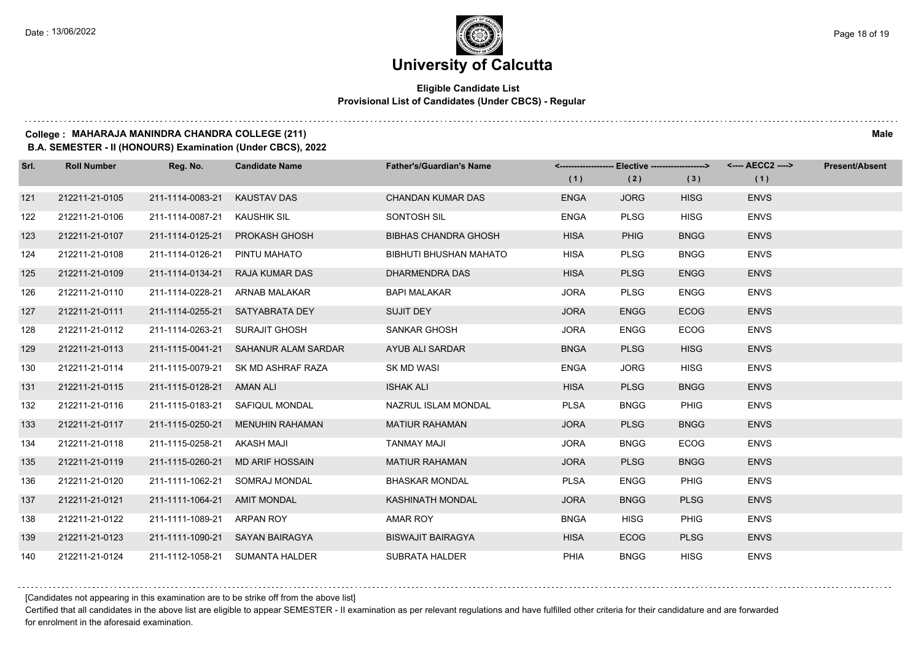#### **Eligible Candidate List Provisional List of Candidates (Under CBCS) - Regular**

#### **College : MAHARAJA MANINDRA CHANDRA COLLEGE (211) Male**

**B.A. SEMESTER - II (HONOURS) Examination (Under CBCS), 2022**

| Srl. | <b>Roll Number</b> | Reg. No.                     | <b>Candidate Name</b>                | <b>Father's/Guardian's Name</b> |             | <-------------------- Elective -------------------> |             | <---- AECC2 ----> | <b>Present/Absent</b> |
|------|--------------------|------------------------------|--------------------------------------|---------------------------------|-------------|-----------------------------------------------------|-------------|-------------------|-----------------------|
|      |                    |                              |                                      |                                 | (1)         | (2)                                                 | (3)         | (1)               |                       |
| 121  | 212211-21-0105     | 211-1114-0083-21             | <b>KAUSTAV DAS</b>                   | <b>CHANDAN KUMAR DAS</b>        | <b>ENGA</b> | <b>JORG</b>                                         | <b>HISG</b> | <b>ENVS</b>       |                       |
| 122  | 212211-21-0106     | 211-1114-0087-21             | <b>KAUSHIK SIL</b>                   | <b>SONTOSH SIL</b>              | <b>ENGA</b> | <b>PLSG</b>                                         | <b>HISG</b> | <b>ENVS</b>       |                       |
| 123  | 212211-21-0107     | 211-1114-0125-21             | <b>PROKASH GHOSH</b>                 | <b>BIBHAS CHANDRA GHOSH</b>     | <b>HISA</b> | <b>PHIG</b>                                         | <b>BNGG</b> | <b>ENVS</b>       |                       |
| 124  | 212211-21-0108     | 211-1114-0126-21             | PINTU MAHATO                         | <b>BIBHUTI BHUSHAN MAHATO</b>   | <b>HISA</b> | <b>PLSG</b>                                         | <b>BNGG</b> | <b>ENVS</b>       |                       |
| 125  | 212211-21-0109     | 211-1114-0134-21             | RAJA KUMAR DAS                       | DHARMENDRA DAS                  | <b>HISA</b> | <b>PLSG</b>                                         | <b>ENGG</b> | <b>ENVS</b>       |                       |
| 126  | 212211-21-0110     | 211-1114-0228-21             | ARNAB MALAKAR                        | <b>BAPI MALAKAR</b>             | <b>JORA</b> | <b>PLSG</b>                                         | <b>ENGG</b> | <b>ENVS</b>       |                       |
| 127  | 212211-21-0111     |                              | 211-1114-0255-21 SATYABRATA DEY      | <b>SUJIT DEY</b>                | <b>JORA</b> | <b>ENGG</b>                                         | <b>ECOG</b> | <b>ENVS</b>       |                       |
| 128  | 212211-21-0112     | 211-1114-0263-21             | SURAJIT GHOSH                        | SANKAR GHOSH                    | <b>JORA</b> | <b>ENGG</b>                                         | <b>ECOG</b> | <b>ENVS</b>       |                       |
| 129  | 212211-21-0113     |                              | 211-1115-0041-21 SAHANUR ALAM SARDAR | AYUB ALI SARDAR                 | <b>BNGA</b> | <b>PLSG</b>                                         | <b>HISG</b> | <b>ENVS</b>       |                       |
| 130  | 212211-21-0114     | 211-1115-0079-21             | SK MD ASHRAF RAZA                    | <b>SK MD WASI</b>               | <b>ENGA</b> | <b>JORG</b>                                         | <b>HISG</b> | <b>ENVS</b>       |                       |
| 131  | 212211-21-0115     | 211-1115-0128-21 AMAN ALI    |                                      | <b>ISHAK ALI</b>                | <b>HISA</b> | <b>PLSG</b>                                         | <b>BNGG</b> | <b>ENVS</b>       |                       |
| 132  | 212211-21-0116     |                              | 211-1115-0183-21 SAFIQUL MONDAL      | NAZRUL ISLAM MONDAL             | <b>PLSA</b> | <b>BNGG</b>                                         | <b>PHIG</b> | <b>ENVS</b>       |                       |
| 133  | 212211-21-0117     | 211-1115-0250-21             | MENUHIN RAHAMAN                      | <b>MATIUR RAHAMAN</b>           | <b>JORA</b> | <b>PLSG</b>                                         | <b>BNGG</b> | <b>ENVS</b>       |                       |
| 134  | 212211-21-0118     | 211-1115-0258-21             | AKASH MAJI                           | TANMAY MAJI                     | <b>JORA</b> | <b>BNGG</b>                                         | <b>ECOG</b> | <b>ENVS</b>       |                       |
| 135  | 212211-21-0119     | 211-1115-0260-21             | <b>MD ARIF HOSSAIN</b>               | <b>MATIUR RAHAMAN</b>           | <b>JORA</b> | <b>PLSG</b>                                         | <b>BNGG</b> | <b>ENVS</b>       |                       |
| 136  | 212211-21-0120     | 211-1111-1062-21             | SOMRAJ MONDAL                        | <b>BHASKAR MONDAL</b>           | <b>PLSA</b> | <b>ENGG</b>                                         | <b>PHIG</b> | <b>ENVS</b>       |                       |
| 137  | 212211-21-0121     | 211-1111-1064-21 AMIT MONDAL |                                      | <b>KASHINATH MONDAL</b>         | <b>JORA</b> | <b>BNGG</b>                                         | <b>PLSG</b> | <b>ENVS</b>       |                       |
| 138  | 212211-21-0122     | 211-1111-1089-21 ARPAN ROY   |                                      | AMAR ROY                        | <b>BNGA</b> | <b>HISG</b>                                         | <b>PHIG</b> | <b>ENVS</b>       |                       |
| 139  | 212211-21-0123     |                              | 211-1111-1090-21 SAYAN BAIRAGYA      | <b>BISWAJIT BAIRAGYA</b>        | <b>HISA</b> | <b>ECOG</b>                                         | <b>PLSG</b> | <b>ENVS</b>       |                       |
| 140  | 212211-21-0124     |                              | 211-1112-1058-21 SUMANTA HALDER      | <b>SUBRATA HALDER</b>           | PHIA        | <b>BNGG</b>                                         | <b>HISG</b> | <b>ENVS</b>       |                       |

[Candidates not appearing in this examination are to be strike off from the above list]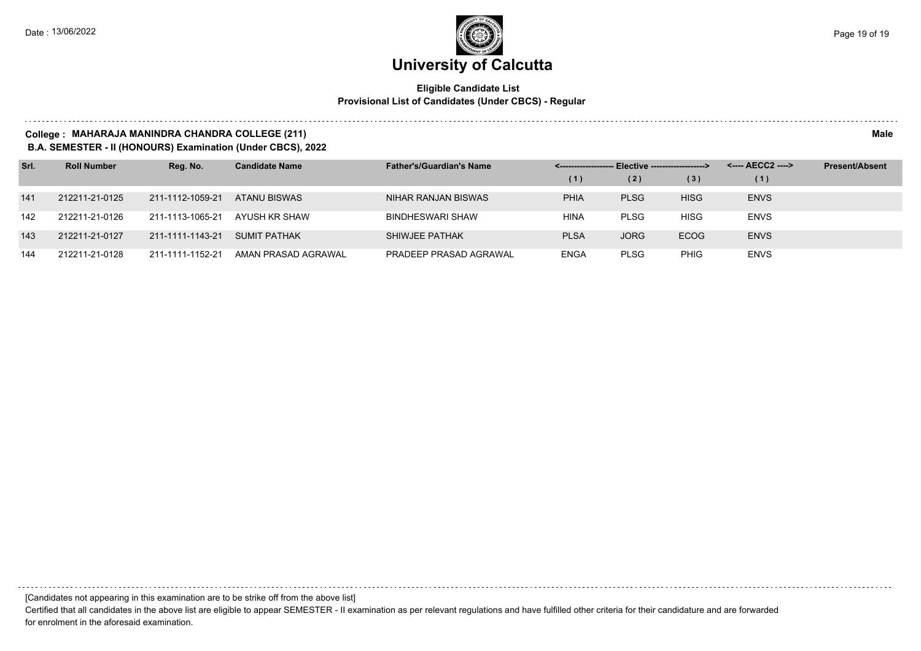#### **Eligible Candidate List Provisional List of Candidates (Under CBCS) - Regular**

#### **College : MAHARAJA MANINDRA CHANDRA COLLEGE (211) Male**

**B.A. SEMESTER - II (HONOURS) Examination (Under CBCS), 2022**

| Srl. | <b>Roll Number</b> | Reg. No.         | <b>Candidate Name</b> | <b>Father's/Guardian's Name</b> | <-------------------- Elective -------------------> |             |             | <---- AECC2 ----> | <b>Present/Absent</b> |
|------|--------------------|------------------|-----------------------|---------------------------------|-----------------------------------------------------|-------------|-------------|-------------------|-----------------------|
|      |                    |                  |                       |                                 | (1)                                                 | (2)         | (3)         | (1)               |                       |
| 141  | 212211-21-0125     | 211-1112-1059-21 | ATANU BISWAS          | NIHAR RANJAN BISWAS             | <b>PHIA</b>                                         | <b>PLSG</b> | <b>HISG</b> | <b>ENVS</b>       |                       |
| 142  | 212211-21-0126     | 211-1113-1065-21 | AYUSH KR SHAW         | <b>BINDHESWARI SHAW</b>         | HINA                                                | <b>PLSG</b> | HISG        | <b>ENVS</b>       |                       |
| 143  | 212211-21-0127     | 211-1111-1143-21 | <b>SUMIT PATHAK</b>   | SHIWJEE PATHAK                  | <b>PLSA</b>                                         | <b>JORG</b> | <b>ECOG</b> | <b>ENVS</b>       |                       |
| 144  | 212211-21-0128     | 211-1111-1152-21 | AMAN PRASAD AGRAWAL   | PRADEEP PRASAD AGRAWAL          | <b>ENGA</b>                                         | <b>PLSG</b> | <b>PHIG</b> | <b>ENVS</b>       |                       |

[Candidates not appearing in this examination are to be strike off from the above list]

Certified that all candidates in the above list are eligible to appear SEMESTER - II examination as per relevant regulations and have fulfilled other criteria for their candidature and are forwarded for enrolment in the aforesaid examination.

. . . . . . .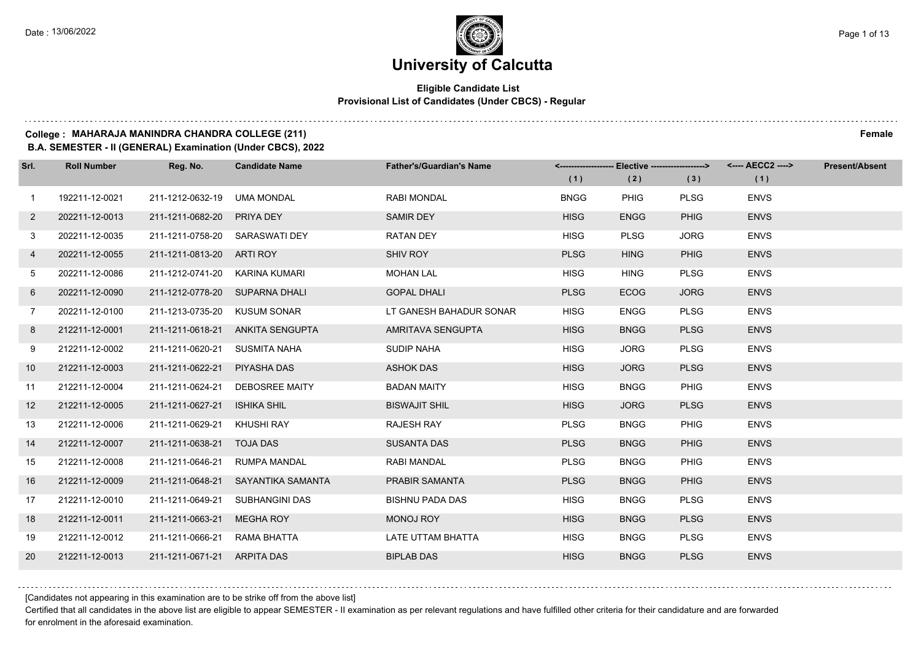$1.111$ 

### **University of Calcutta**

#### **Eligible Candidate List Provisional List of Candidates (Under CBCS) - Regular**

#### **College : MAHARAJA MANINDRA CHANDRA COLLEGE (211) Female**

**B.A. SEMESTER - II (GENERAL) Examination (Under CBCS), 2022**

| Srl.           | <b>Roll Number</b> | Reg. No.                       | <b>Candidate Name</b>            | <b>Father's/Guardian's Name</b> | (1)         | <-------------------- Elective -------------------><br>(2) | (3)         | <---- AECC2 ----><br>(1) | <b>Present/Absent</b> |
|----------------|--------------------|--------------------------------|----------------------------------|---------------------------------|-------------|------------------------------------------------------------|-------------|--------------------------|-----------------------|
| $\mathbf{1}$   | 192211-12-0021     | 211-1212-0632-19 UMA MONDAL    |                                  | <b>RABI MONDAL</b>              | <b>BNGG</b> | <b>PHIG</b>                                                | <b>PLSG</b> | <b>ENVS</b>              |                       |
| $\overline{2}$ | 202211-12-0013     | 211-1211-0682-20 PRIYA DEY     |                                  | <b>SAMIR DEY</b>                | <b>HISG</b> | <b>ENGG</b>                                                | <b>PHIG</b> | <b>ENVS</b>              |                       |
| 3              | 202211-12-0035     | 211-1211-0758-20 SARASWATI DEY |                                  | <b>RATAN DEY</b>                | <b>HISG</b> | <b>PLSG</b>                                                | <b>JORG</b> | <b>ENVS</b>              |                       |
| 4              | 202211-12-0055     | 211-1211-0813-20 ARTI ROY      |                                  | SHIV ROY                        | <b>PLSG</b> | <b>HING</b>                                                | <b>PHIG</b> | <b>ENVS</b>              |                       |
| 5              | 202211-12-0086     | 211-1212-0741-20 KARINA KUMARI |                                  | <b>MOHAN LAL</b>                | <b>HISG</b> | <b>HING</b>                                                | <b>PLSG</b> | <b>ENVS</b>              |                       |
| 6              | 202211-12-0090     | 211-1212-0778-20 SUPARNA DHALI |                                  | <b>GOPAL DHALI</b>              | <b>PLSG</b> | <b>ECOG</b>                                                | <b>JORG</b> | <b>ENVS</b>              |                       |
| $7\phantom{.}$ | 202211-12-0100     | 211-1213-0735-20 KUSUM SONAR   |                                  | LT GANESH BAHADUR SONAR         | <b>HISG</b> | <b>ENGG</b>                                                | <b>PLSG</b> | <b>ENVS</b>              |                       |
| 8              | 212211-12-0001     |                                | 211-1211-0618-21 ANKITA SENGUPTA | AMRITAVA SENGUPTA               | <b>HISG</b> | <b>BNGG</b>                                                | <b>PLSG</b> | <b>ENVS</b>              |                       |
| 9              | 212211-12-0002     | 211-1211-0620-21 SUSMITA NAHA  |                                  | <b>SUDIP NAHA</b>               | <b>HISG</b> | <b>JORG</b>                                                | <b>PLSG</b> | <b>ENVS</b>              |                       |
| 10             | 212211-12-0003     | 211-1211-0622-21               | PIYASHA DAS                      | <b>ASHOK DAS</b>                | <b>HISG</b> | <b>JORG</b>                                                | <b>PLSG</b> | <b>ENVS</b>              |                       |
| 11             | 212211-12-0004     |                                | 211-1211-0624-21 DEBOSREE MAITY  | <b>BADAN MAITY</b>              | <b>HISG</b> | <b>BNGG</b>                                                | <b>PHIG</b> | <b>ENVS</b>              |                       |
| 12             | 212211-12-0005     | 211-1211-0627-21               | <b>ISHIKA SHIL</b>               | <b>BISWAJIT SHIL</b>            | <b>HISG</b> | <b>JORG</b>                                                | <b>PLSG</b> | <b>ENVS</b>              |                       |
| 13             | 212211-12-0006     | 211-1211-0629-21               | KHUSHI RAY                       | <b>RAJESH RAY</b>               | <b>PLSG</b> | <b>BNGG</b>                                                | <b>PHIG</b> | <b>ENVS</b>              |                       |
| 14             | 212211-12-0007     | 211-1211-0638-21 TOJA DAS      |                                  | <b>SUSANTA DAS</b>              | <b>PLSG</b> | <b>BNGG</b>                                                | <b>PHIG</b> | <b>ENVS</b>              |                       |
| 15             | 212211-12-0008     | 211-1211-0646-21               | <b>RUMPA MANDAL</b>              | RABI MANDAL                     | <b>PLSG</b> | <b>BNGG</b>                                                | <b>PHIG</b> | <b>ENVS</b>              |                       |
| 16             | 212211-12-0009     | 211-1211-0648-21               | SAYANTIKA SAMANTA                | PRABIR SAMANTA                  | <b>PLSG</b> | <b>BNGG</b>                                                | <b>PHIG</b> | <b>ENVS</b>              |                       |
| 17             | 212211-12-0010     | 211-1211-0649-21               | SUBHANGINI DAS                   | <b>BISHNU PADA DAS</b>          | <b>HISG</b> | <b>BNGG</b>                                                | <b>PLSG</b> | <b>ENVS</b>              |                       |
| 18             | 212211-12-0011     | 211-1211-0663-21               | <b>MEGHA ROY</b>                 | <b>MONOJ ROY</b>                | <b>HISG</b> | <b>BNGG</b>                                                | <b>PLSG</b> | <b>ENVS</b>              |                       |
| 19             | 212211-12-0012     | 211-1211-0666-21 RAMA BHATTA   |                                  | LATE UTTAM BHATTA               | <b>HISG</b> | <b>BNGG</b>                                                | <b>PLSG</b> | <b>ENVS</b>              |                       |
| 20             | 212211-12-0013     | 211-1211-0671-21 ARPITA DAS    |                                  | <b>BIPLAB DAS</b>               | <b>HISG</b> | <b>BNGG</b>                                                | <b>PLSG</b> | <b>ENVS</b>              |                       |

#### [Candidates not appearing in this examination are to be strike off from the above list]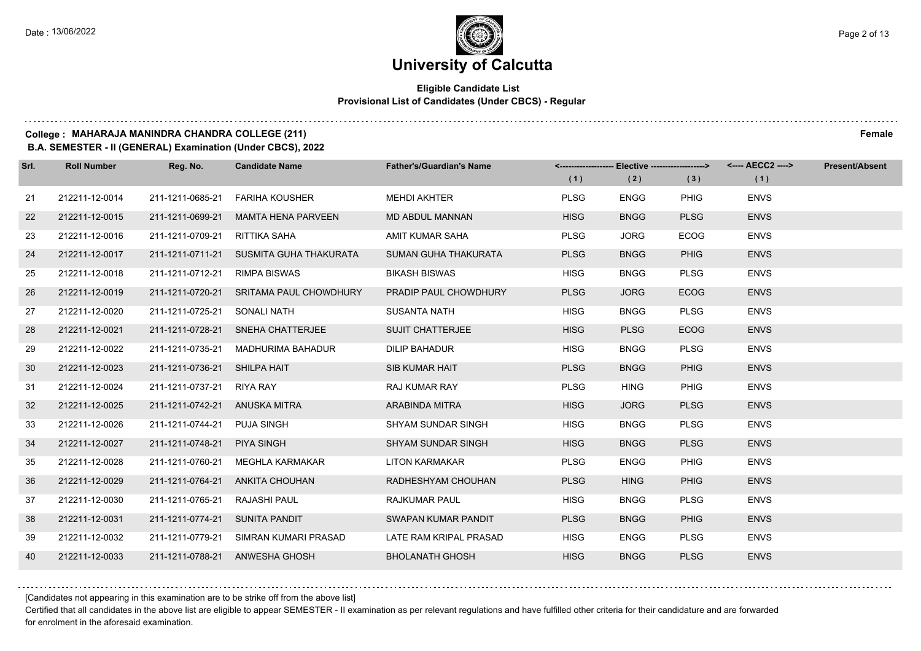#### **Eligible Candidate List Provisional List of Candidates (Under CBCS) - Regular**

#### **College : MAHARAJA MANINDRA CHANDRA COLLEGE (211) Female**

**B.A. SEMESTER - II (GENERAL) Examination (Under CBCS), 2022**

| Srl. | <b>Roll Number</b> | Reg. No.                       | <b>Candidate Name</b>                   | <b>Father's/Guardian's Name</b> | (1)         | <-------------------- Elective -------------------><br>(2) | (3)         | <---- AECC2 ----><br>(1) | <b>Present/Absent</b> |
|------|--------------------|--------------------------------|-----------------------------------------|---------------------------------|-------------|------------------------------------------------------------|-------------|--------------------------|-----------------------|
| 21   | 212211-12-0014     | 211-1211-0685-21               | FARIHA KOUSHER                          | <b>MEHDI AKHTER</b>             | <b>PLSG</b> | <b>ENGG</b>                                                | <b>PHIG</b> | <b>ENVS</b>              |                       |
| 22   | 212211-12-0015     | 211-1211-0699-21               | <b>MAMTA HENA PARVEEN</b>               | <b>MD ABDUL MANNAN</b>          | <b>HISG</b> | <b>BNGG</b>                                                | <b>PLSG</b> | <b>ENVS</b>              |                       |
| 23   | 212211-12-0016     | 211-1211-0709-21               | RITTIKA SAHA                            | AMIT KUMAR SAHA                 | <b>PLSG</b> | <b>JORG</b>                                                | <b>ECOG</b> | <b>ENVS</b>              |                       |
| 24   | 212211-12-0017     |                                | 211-1211-0711-21 SUSMITA GUHA THAKURATA | SUMAN GUHA THAKURATA            | <b>PLSG</b> | <b>BNGG</b>                                                | <b>PHIG</b> | <b>ENVS</b>              |                       |
| 25   | 212211-12-0018     | 211-1211-0712-21               | <b>RIMPA BISWAS</b>                     | <b>BIKASH BISWAS</b>            | <b>HISG</b> | <b>BNGG</b>                                                | <b>PLSG</b> | <b>ENVS</b>              |                       |
| 26   | 212211-12-0019     |                                | 211-1211-0720-21 SRITAMA PAUL CHOWDHURY | PRADIP PAUL CHOWDHURY           | <b>PLSG</b> | <b>JORG</b>                                                | <b>ECOG</b> | <b>ENVS</b>              |                       |
| 27   | 212211-12-0020     | 211-1211-0725-21 SONALI NATH   |                                         | <b>SUSANTA NATH</b>             | <b>HISG</b> | <b>BNGG</b>                                                | <b>PLSG</b> | <b>ENVS</b>              |                       |
| 28   | 212211-12-0021     |                                | 211-1211-0728-21 SNEHA CHATTERJEE       | <b>SUJIT CHATTERJEE</b>         | <b>HISG</b> | <b>PLSG</b>                                                | <b>ECOG</b> | <b>ENVS</b>              |                       |
| 29   | 212211-12-0022     | 211-1211-0735-21               | MADHURIMA BAHADUR                       | <b>DILIP BAHADUR</b>            | <b>HISG</b> | <b>BNGG</b>                                                | <b>PLSG</b> | <b>ENVS</b>              |                       |
| 30   | 212211-12-0023     | 211-1211-0736-21 SHILPA HAIT   |                                         | <b>SIB KUMAR HAIT</b>           | <b>PLSG</b> | <b>BNGG</b>                                                | <b>PHIG</b> | <b>ENVS</b>              |                       |
| -31  | 212211-12-0024     | 211-1211-0737-21 RIYA RAY      |                                         | <b>RAJ KUMAR RAY</b>            | <b>PLSG</b> | <b>HING</b>                                                | PHIG        | <b>ENVS</b>              |                       |
| 32   | 212211-12-0025     | 211-1211-0742-21 ANUSKA MITRA  |                                         | ARABINDA MITRA                  | <b>HISG</b> | <b>JORG</b>                                                | <b>PLSG</b> | <b>ENVS</b>              |                       |
| 33   | 212211-12-0026     | 211-1211-0744-21               | <b>PUJA SINGH</b>                       | <b>SHYAM SUNDAR SINGH</b>       | <b>HISG</b> | <b>BNGG</b>                                                | <b>PLSG</b> | <b>ENVS</b>              |                       |
| 34   | 212211-12-0027     | 211-1211-0748-21               | <b>PIYA SINGH</b>                       | <b>SHYAM SUNDAR SINGH</b>       | <b>HISG</b> | <b>BNGG</b>                                                | <b>PLSG</b> | <b>ENVS</b>              |                       |
| 35   | 212211-12-0028     | 211-1211-0760-21               | MEGHLA KARMAKAR                         | <b>LITON KARMAKAR</b>           | <b>PLSG</b> | <b>ENGG</b>                                                | PHIG        | <b>ENVS</b>              |                       |
| 36   | 212211-12-0029     |                                | 211-1211-0764-21 ANKITA CHOUHAN         | RADHESHYAM CHOUHAN              | <b>PLSG</b> | <b>HING</b>                                                | <b>PHIG</b> | <b>ENVS</b>              |                       |
| 37   | 212211-12-0030     | 211-1211-0765-21               | <b>RAJASHI PAUL</b>                     | <b>RAJKUMAR PAUL</b>            | <b>HISG</b> | <b>BNGG</b>                                                | <b>PLSG</b> | <b>ENVS</b>              |                       |
| 38   | 212211-12-0031     | 211-1211-0774-21 SUNITA PANDIT |                                         | SWAPAN KUMAR PANDIT             | <b>PLSG</b> | <b>BNGG</b>                                                | <b>PHIG</b> | <b>ENVS</b>              |                       |
| 39   | 212211-12-0032     |                                | 211-1211-0779-21 SIMRAN KUMARI PRASAD   | LATE RAM KRIPAL PRASAD          | <b>HISG</b> | <b>ENGG</b>                                                | <b>PLSG</b> | <b>ENVS</b>              |                       |
| 40   | 212211-12-0033     |                                | 211-1211-0788-21 ANWESHA GHOSH          | <b>BHOLANATH GHOSH</b>          | <b>HISG</b> | <b>BNGG</b>                                                | <b>PLSG</b> | <b>ENVS</b>              |                       |

[Candidates not appearing in this examination are to be strike off from the above list]

Certified that all candidates in the above list are eligible to appear SEMESTER - II examination as per relevant regulations and have fulfilled other criteria for their candidature and are forwarded for enrolment in the aforesaid examination.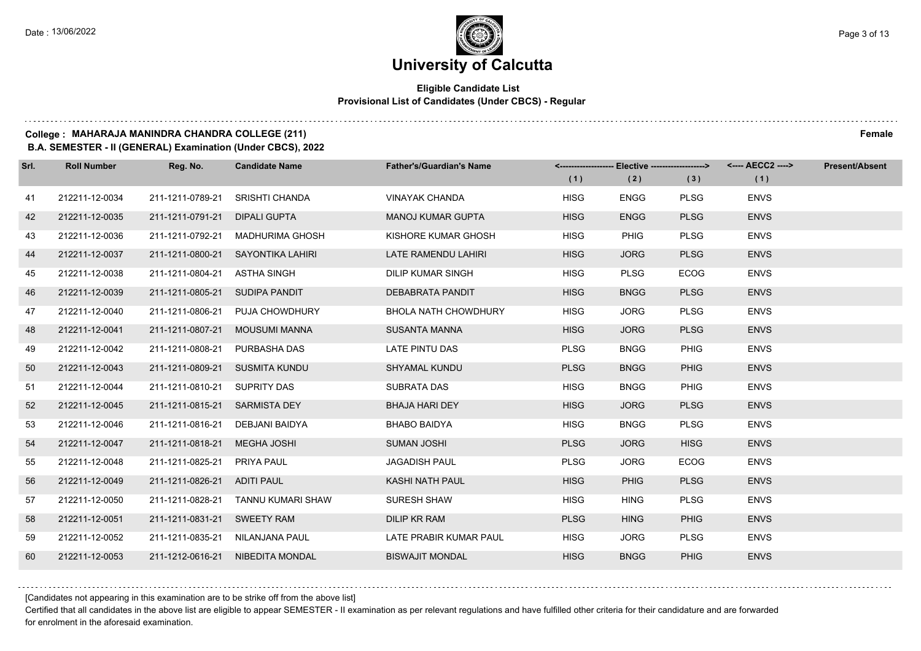#### **Eligible Candidate List Provisional List of Candidates (Under CBCS) - Regular**

#### **College : MAHARAJA MANINDRA CHANDRA COLLEGE (211) Female**

**B.A. SEMESTER - II (GENERAL) Examination (Under CBCS), 2022**

| Srl. | <b>Roll Number</b> | Reg. No.                      | <b>Candidate Name</b>             | <b>Father's/Guardian's Name</b> | (1)         | <-------------------- Elective ------------------><br>(2) | (3)         | (1)         | <b>Present/Absent</b> |
|------|--------------------|-------------------------------|-----------------------------------|---------------------------------|-------------|-----------------------------------------------------------|-------------|-------------|-----------------------|
| 41   | 212211-12-0034     | 211-1211-0789-21              | <b>SRISHTI CHANDA</b>             | <b>VINAYAK CHANDA</b>           | <b>HISG</b> | <b>ENGG</b>                                               | <b>PLSG</b> | <b>ENVS</b> |                       |
| 42   | 212211-12-0035     | 211-1211-0791-21              | <b>DIPALI GUPTA</b>               | <b>MANOJ KUMAR GUPTA</b>        | <b>HISG</b> | <b>ENGG</b>                                               | <b>PLSG</b> | <b>ENVS</b> |                       |
| 43   | 212211-12-0036     | 211-1211-0792-21              | MADHURIMA GHOSH                   | KISHORE KUMAR GHOSH             | <b>HISG</b> | <b>PHIG</b>                                               | <b>PLSG</b> | <b>ENVS</b> |                       |
| 44   | 212211-12-0037     |                               | 211-1211-0800-21 SAYONTIKA LAHIRI | LATE RAMENDU LAHIRI             | <b>HISG</b> | <b>JORG</b>                                               | <b>PLSG</b> | <b>ENVS</b> |                       |
| 45   | 212211-12-0038     | 211-1211-0804-21              | ASTHA SINGH                       | <b>DILIP KUMAR SINGH</b>        | <b>HISG</b> | <b>PLSG</b>                                               | <b>ECOG</b> | <b>ENVS</b> |                       |
| 46   | 212211-12-0039     | 211-1211-0805-21              | SUDIPA PANDIT                     | DEBABRATA PANDIT                | <b>HISG</b> | <b>BNGG</b>                                               | <b>PLSG</b> | <b>ENVS</b> |                       |
| 47   | 212211-12-0040     |                               | 211-1211-0806-21 PUJA CHOWDHURY   | <b>BHOLA NATH CHOWDHURY</b>     | <b>HISG</b> | <b>JORG</b>                                               | <b>PLSG</b> | <b>ENVS</b> |                       |
| 48   | 212211-12-0041     | 211-1211-0807-21              | MOUSUMI MANNA                     | SUSANTA MANNA                   | <b>HISG</b> | <b>JORG</b>                                               | <b>PLSG</b> | <b>ENVS</b> |                       |
| 49   | 212211-12-0042     | 211-1211-0808-21              | PURBASHA DAS                      | LATE PINTU DAS                  | <b>PLSG</b> | <b>BNGG</b>                                               | <b>PHIG</b> | <b>ENVS</b> |                       |
| 50   | 212211-12-0043     |                               | 211-1211-0809-21 SUSMITA KUNDU    | <b>SHYAMAL KUNDU</b>            | <b>PLSG</b> | <b>BNGG</b>                                               | <b>PHIG</b> | <b>ENVS</b> |                       |
| 51   | 212211-12-0044     | 211-1211-0810-21 SUPRITY DAS  |                                   | SUBRATA DAS                     | <b>HISG</b> | <b>BNGG</b>                                               | <b>PHIG</b> | <b>ENVS</b> |                       |
| 52   | 212211-12-0045     | 211-1211-0815-21 SARMISTA DEY |                                   | <b>BHAJA HARI DEY</b>           | <b>HISG</b> | <b>JORG</b>                                               | <b>PLSG</b> | <b>ENVS</b> |                       |
| 53   | 212211-12-0046     | 211-1211-0816-21              | DEBJANI BAIDYA                    | <b>BHABO BAIDYA</b>             | <b>HISG</b> | <b>BNGG</b>                                               | <b>PLSG</b> | <b>ENVS</b> |                       |
| 54   | 212211-12-0047     | 211-1211-0818-21              | MEGHA JOSHI                       | <b>SUMAN JOSHI</b>              | <b>PLSG</b> | <b>JORG</b>                                               | <b>HISG</b> | <b>ENVS</b> |                       |
| 55   | 212211-12-0048     | 211-1211-0825-21              | PRIYA PAUL                        | <b>JAGADISH PAUL</b>            | <b>PLSG</b> | <b>JORG</b>                                               | <b>ECOG</b> | <b>ENVS</b> |                       |
| 56   | 212211-12-0049     | 211-1211-0826-21 ADITI PAUL   |                                   | <b>KASHI NATH PAUL</b>          | <b>HISG</b> | <b>PHIG</b>                                               | <b>PLSG</b> | <b>ENVS</b> |                       |
| 57   | 212211-12-0050     | 211-1211-0828-21              | TANNU KUMARI SHAW                 | <b>SURESH SHAW</b>              | <b>HISG</b> | <b>HING</b>                                               | <b>PLSG</b> | <b>ENVS</b> |                       |
| 58   | 212211-12-0051     | 211-1211-0831-21 SWEETY RAM   |                                   | <b>DILIP KR RAM</b>             | <b>PLSG</b> | <b>HING</b>                                               | <b>PHIG</b> | <b>ENVS</b> |                       |
| 59   | 212211-12-0052     |                               | 211-1211-0835-21 NILANJANA PAUL   | LATE PRABIR KUMAR PAUL          | <b>HISG</b> | <b>JORG</b>                                               | <b>PLSG</b> | <b>ENVS</b> |                       |
| 60   | 212211-12-0053     |                               | 211-1212-0616-21 NIBEDITA MONDAL  | <b>BISWAJIT MONDAL</b>          | <b>HISG</b> | <b>BNGG</b>                                               | <b>PHIG</b> | <b>ENVS</b> |                       |

[Candidates not appearing in this examination are to be strike off from the above list]

Certified that all candidates in the above list are eligible to appear SEMESTER - II examination as per relevant regulations and have fulfilled other criteria for their candidature and are forwarded for enrolment in the aforesaid examination.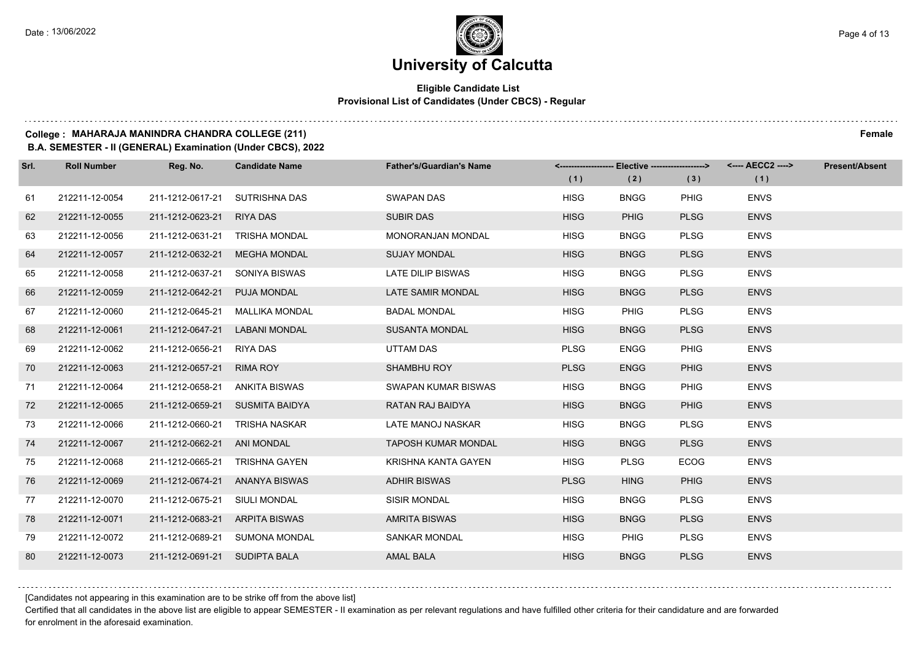#### **Eligible Candidate List Provisional List of Candidates (Under CBCS) - Regular**

#### **College : MAHARAJA MANINDRA CHANDRA COLLEGE (211) Female**

**B.A. SEMESTER - II (GENERAL) Examination (Under CBCS), 2022**

| Srl. | <b>Roll Number</b> | Reg. No.                       | <b>Candidate Name</b>           | <b>Father's/Guardian's Name</b> |             | <-------------------- Elective -------------------> |             | <---- AECC2 ----> | <b>Present/Absent</b> |
|------|--------------------|--------------------------------|---------------------------------|---------------------------------|-------------|-----------------------------------------------------|-------------|-------------------|-----------------------|
|      |                    |                                |                                 |                                 | (1)         | (2)                                                 | (3)         | (1)               |                       |
| 61   | 212211-12-0054     | 211-1212-0617-21               | SUTRISHNA DAS                   | <b>SWAPAN DAS</b>               | <b>HISG</b> | <b>BNGG</b>                                         | <b>PHIG</b> | <b>ENVS</b>       |                       |
| 62   | 212211-12-0055     | 211-1212-0623-21               | <b>RIYA DAS</b>                 | <b>SUBIR DAS</b>                | <b>HISG</b> | <b>PHIG</b>                                         | <b>PLSG</b> | <b>ENVS</b>       |                       |
| 63   | 212211-12-0056     | 211-1212-0631-21               | <b>TRISHA MONDAL</b>            | <b>MONORANJAN MONDAL</b>        | <b>HISG</b> | <b>BNGG</b>                                         | <b>PLSG</b> | <b>ENVS</b>       |                       |
| 64   | 212211-12-0057     | 211-1212-0632-21               | MEGHA MONDAL                    | <b>SUJAY MONDAL</b>             | <b>HISG</b> | <b>BNGG</b>                                         | <b>PLSG</b> | <b>ENVS</b>       |                       |
| 65   | 212211-12-0058     | 211-1212-0637-21               | SONIYA BISWAS                   | LATE DILIP BISWAS               | <b>HISG</b> | <b>BNGG</b>                                         | <b>PLSG</b> | <b>ENVS</b>       |                       |
| 66   | 212211-12-0059     | 211-1212-0642-21               | PUJA MONDAL                     | LATE SAMIR MONDAL               | <b>HISG</b> | <b>BNGG</b>                                         | <b>PLSG</b> | <b>ENVS</b>       |                       |
| 67   | 212211-12-0060     | 211-1212-0645-21               | MALLIKA MONDAL                  | <b>BADAL MONDAL</b>             | <b>HISG</b> | <b>PHIG</b>                                         | <b>PLSG</b> | <b>ENVS</b>       |                       |
| 68   | 212211-12-0061     | 211-1212-0647-21               | LABANI MONDAL                   | <b>SUSANTA MONDAL</b>           | <b>HISG</b> | <b>BNGG</b>                                         | <b>PLSG</b> | <b>ENVS</b>       |                       |
| 69   | 212211-12-0062     | 211-1212-0656-21               | <b>RIYA DAS</b>                 | UTTAM DAS                       | <b>PLSG</b> | <b>ENGG</b>                                         | <b>PHIG</b> | <b>ENVS</b>       |                       |
| 70   | 212211-12-0063     | 211-1212-0657-21               | <b>RIMA ROY</b>                 | <b>SHAMBHU ROY</b>              | <b>PLSG</b> | <b>ENGG</b>                                         | <b>PHIG</b> | <b>ENVS</b>       |                       |
| 71   | 212211-12-0064     | 211-1212-0658-21 ANKITA BISWAS |                                 | SWAPAN KUMAR BISWAS             | <b>HISG</b> | <b>BNGG</b>                                         | <b>PHIG</b> | <b>ENVS</b>       |                       |
| 72   | 212211-12-0065     |                                | 211-1212-0659-21 SUSMITA BAIDYA | RATAN RAJ BAIDYA                | <b>HISG</b> | <b>BNGG</b>                                         | <b>PHIG</b> | <b>ENVS</b>       |                       |
| 73   | 212211-12-0066     | 211-1212-0660-21               | TRISHA NASKAR                   | LATE MANOJ NASKAR               | <b>HISG</b> | <b>BNGG</b>                                         | <b>PLSG</b> | <b>ENVS</b>       |                       |
| 74   | 212211-12-0067     | 211-1212-0662-21               | ANI MONDAL                      | <b>TAPOSH KUMAR MONDAL</b>      | <b>HISG</b> | <b>BNGG</b>                                         | <b>PLSG</b> | <b>ENVS</b>       |                       |
| 75   | 212211-12-0068     | 211-1212-0665-21               | TRISHNA GAYEN                   | KRISHNA KANTA GAYEN             | <b>HISG</b> | <b>PLSG</b>                                         | <b>ECOG</b> | <b>ENVS</b>       |                       |
| 76   | 212211-12-0069     |                                | 211-1212-0674-21 ANANYA BISWAS  | <b>ADHIR BISWAS</b>             | <b>PLSG</b> | <b>HING</b>                                         | <b>PHIG</b> | <b>ENVS</b>       |                       |
| 77   | 212211-12-0070     | 211-1212-0675-21               | SIULI MONDAL                    | <b>SISIR MONDAL</b>             | <b>HISG</b> | <b>BNGG</b>                                         | <b>PLSG</b> | <b>ENVS</b>       |                       |
| 78   | 212211-12-0071     | 211-1212-0683-21 ARPITA BISWAS |                                 | <b>AMRITA BISWAS</b>            | <b>HISG</b> | <b>BNGG</b>                                         | <b>PLSG</b> | <b>ENVS</b>       |                       |
| 79   | 212211-12-0072     |                                | 211-1212-0689-21 SUMONA MONDAL  | <b>SANKAR MONDAL</b>            | <b>HISG</b> | <b>PHIG</b>                                         | <b>PLSG</b> | <b>ENVS</b>       |                       |
| 80   | 212211-12-0073     | 211-1212-0691-21 SUDIPTA BALA  |                                 | <b>AMAL BALA</b>                | <b>HISG</b> | <b>BNGG</b>                                         | <b>PLSG</b> | <b>ENVS</b>       |                       |

[Candidates not appearing in this examination are to be strike off from the above list]

Certified that all candidates in the above list are eligible to appear SEMESTER - II examination as per relevant regulations and have fulfilled other criteria for their candidature and are forwarded for enrolment in the aforesaid examination.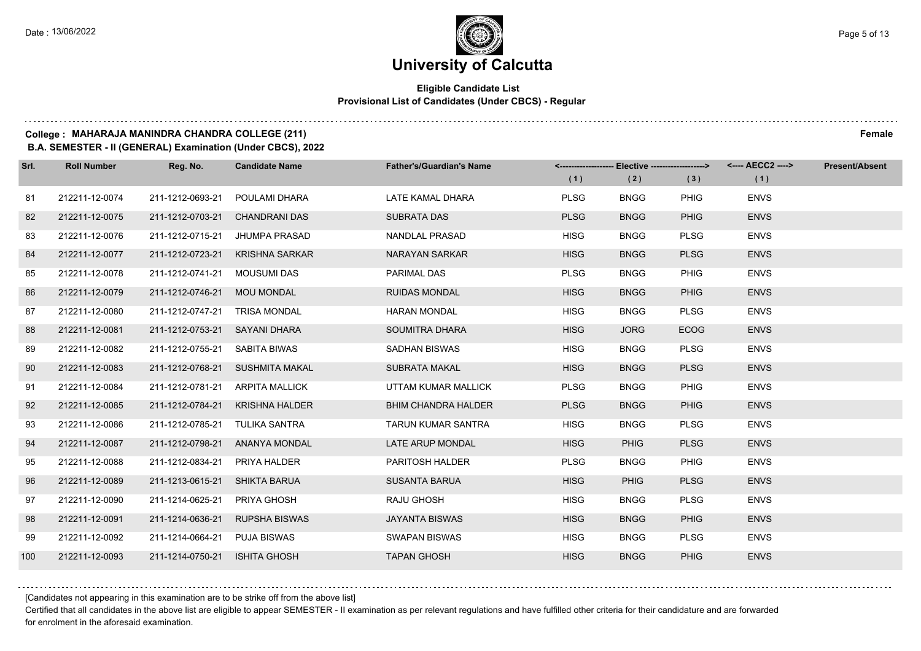#### **Eligible Candidate List Provisional List of Candidates (Under CBCS) - Regular**

#### **College : MAHARAJA MANINDRA CHANDRA COLLEGE (211) Female**

**B.A. SEMESTER - II (GENERAL) Examination (Under CBCS), 2022**

| Srl. | <b>Roll Number</b> | Reg. No.                      | <b>Candidate Name</b>           | <b>Father's/Guardian's Name</b> |             | <------------------- Elective ------------------> |             | <---- AECC2 ----> | <b>Present/Absent</b> |
|------|--------------------|-------------------------------|---------------------------------|---------------------------------|-------------|---------------------------------------------------|-------------|-------------------|-----------------------|
|      |                    |                               |                                 |                                 | (1)         | (2)                                               | (3)         | (1)               |                       |
| 81   | 212211-12-0074     | 211-1212-0693-21              | POULAMI DHARA                   | LATE KAMAL DHARA                | <b>PLSG</b> | <b>BNGG</b>                                       | <b>PHIG</b> | <b>ENVS</b>       |                       |
| 82   | 212211-12-0075     | 211-1212-0703-21              | <b>CHANDRANI DAS</b>            | <b>SUBRATA DAS</b>              | <b>PLSG</b> | <b>BNGG</b>                                       | <b>PHIG</b> | <b>ENVS</b>       |                       |
| 83   | 212211-12-0076     | 211-1212-0715-21              | JHUMPA PRASAD                   | <b>NANDLAL PRASAD</b>           | <b>HISG</b> | <b>BNGG</b>                                       | <b>PLSG</b> | <b>ENVS</b>       |                       |
| 84   | 212211-12-0077     | 211-1212-0723-21              | <b>KRISHNA SARKAR</b>           | <b>NARAYAN SARKAR</b>           | <b>HISG</b> | <b>BNGG</b>                                       | <b>PLSG</b> | <b>ENVS</b>       |                       |
| 85   | 212211-12-0078     | 211-1212-0741-21              | MOUSUMI DAS                     | <b>PARIMAL DAS</b>              | <b>PLSG</b> | <b>BNGG</b>                                       | <b>PHIG</b> | <b>ENVS</b>       |                       |
| 86   | 212211-12-0079     | 211-1212-0746-21              | <b>MOU MONDAL</b>               | <b>RUIDAS MONDAL</b>            | <b>HISG</b> | <b>BNGG</b>                                       | <b>PHIG</b> | <b>ENVS</b>       |                       |
| 87   | 212211-12-0080     | 211-1212-0747-21              | <b>TRISA MONDAL</b>             | <b>HARAN MONDAL</b>             | <b>HISG</b> | <b>BNGG</b>                                       | <b>PLSG</b> | <b>ENVS</b>       |                       |
| 88   | 212211-12-0081     | 211-1212-0753-21 SAYANI DHARA |                                 | SOUMITRA DHARA                  | <b>HISG</b> | <b>JORG</b>                                       | <b>ECOG</b> | <b>ENVS</b>       |                       |
| 89   | 212211-12-0082     | 211-1212-0755-21              | SABITA BIWAS                    | <b>SADHAN BISWAS</b>            | <b>HISG</b> | <b>BNGG</b>                                       | <b>PLSG</b> | <b>ENVS</b>       |                       |
| 90   | 212211-12-0083     | 211-1212-0768-21              | SUSHMITA MAKAL                  | <b>SUBRATA MAKAL</b>            | <b>HISG</b> | <b>BNGG</b>                                       | <b>PLSG</b> | <b>ENVS</b>       |                       |
| 91   | 212211-12-0084     |                               | 211-1212-0781-21 ARPITA MALLICK | UTTAM KUMAR MALLICK             | <b>PLSG</b> | <b>BNGG</b>                                       | <b>PHIG</b> | <b>ENVS</b>       |                       |
| 92   | 212211-12-0085     | 211-1212-0784-21              | KRISHNA HALDER                  | <b>BHIM CHANDRA HALDER</b>      | <b>PLSG</b> | <b>BNGG</b>                                       | <b>PHIG</b> | <b>ENVS</b>       |                       |
| 93   | 212211-12-0086     | 211-1212-0785-21              | TULIKA SANTRA                   | <b>TARUN KUMAR SANTRA</b>       | <b>HISG</b> | <b>BNGG</b>                                       | <b>PLSG</b> | <b>ENVS</b>       |                       |
| 94   | 212211-12-0087     | 211-1212-0798-21              | ANANYA MONDAL                   | LATE ARUP MONDAL                | <b>HISG</b> | <b>PHIG</b>                                       | <b>PLSG</b> | <b>ENVS</b>       |                       |
| 95   | 212211-12-0088     | 211-1212-0834-21              | <b>PRIYA HALDER</b>             | <b>PARITOSH HALDER</b>          | <b>PLSG</b> | <b>BNGG</b>                                       | <b>PHIG</b> | <b>ENVS</b>       |                       |
| 96   | 212211-12-0089     | 211-1213-0615-21 SHIKTA BARUA |                                 | <b>SUSANTA BARUA</b>            | <b>HISG</b> | <b>PHIG</b>                                       | <b>PLSG</b> | <b>ENVS</b>       |                       |
| 97   | 212211-12-0090     | 211-1214-0625-21              | PRIYA GHOSH                     | <b>RAJU GHOSH</b>               | <b>HISG</b> | <b>BNGG</b>                                       | <b>PLSG</b> | <b>ENVS</b>       |                       |
| 98   | 212211-12-0091     | 211-1214-0636-21              | <b>RUPSHA BISWAS</b>            | <b>JAYANTA BISWAS</b>           | <b>HISG</b> | <b>BNGG</b>                                       | <b>PHIG</b> | <b>ENVS</b>       |                       |
| 99   | 212211-12-0092     | 211-1214-0664-21              | PUJA BISWAS                     | <b>SWAPAN BISWAS</b>            | <b>HISG</b> | <b>BNGG</b>                                       | <b>PLSG</b> | <b>ENVS</b>       |                       |
| 100  | 212211-12-0093     | 211-1214-0750-21              | <b>ISHITA GHOSH</b>             | <b>TAPAN GHOSH</b>              | <b>HISG</b> | <b>BNGG</b>                                       | <b>PHIG</b> | <b>ENVS</b>       |                       |

[Candidates not appearing in this examination are to be strike off from the above list]

Certified that all candidates in the above list are eligible to appear SEMESTER - II examination as per relevant regulations and have fulfilled other criteria for their candidature and are forwarded for enrolment in the aforesaid examination.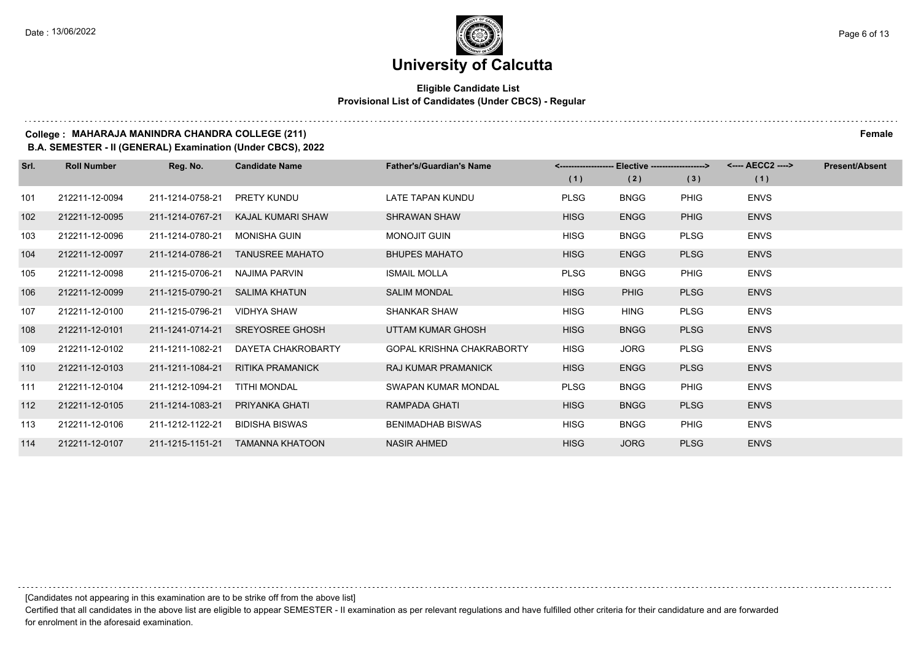#### **Eligible Candidate List Provisional List of Candidates (Under CBCS) - Regular**

#### **College : MAHARAJA MANINDRA CHANDRA COLLEGE (211) Female**

**B.A. SEMESTER - II (GENERAL) Examination (Under CBCS), 2022**

| Srl. | <b>Roll Number</b> | Reg. No.         | <b>Candidate Name</b>   | <b>Father's/Guardian's Name</b>  |             | <-------------------- Elective -------------------> |             | <---- AECC2 ----> | <b>Present/Absent</b> |
|------|--------------------|------------------|-------------------------|----------------------------------|-------------|-----------------------------------------------------|-------------|-------------------|-----------------------|
|      |                    |                  |                         |                                  | (1)         | (2)                                                 | (3)         | (1)               |                       |
| 101  | 212211-12-0094     | 211-1214-0758-21 | <b>PRETY KUNDU</b>      | LATE TAPAN KUNDU                 | <b>PLSG</b> | <b>BNGG</b>                                         | <b>PHIG</b> | <b>ENVS</b>       |                       |
| 102  | 212211-12-0095     | 211-1214-0767-21 | KAJAL KUMARI SHAW       | <b>SHRAWAN SHAW</b>              | <b>HISG</b> | <b>ENGG</b>                                         | <b>PHIG</b> | <b>ENVS</b>       |                       |
| 103  | 212211-12-0096     | 211-1214-0780-21 | <b>MONISHA GUIN</b>     | <b>MONOJIT GUIN</b>              | <b>HISG</b> | <b>BNGG</b>                                         | <b>PLSG</b> | <b>ENVS</b>       |                       |
| 104  | 212211-12-0097     | 211-1214-0786-21 | <b>TANUSREE MAHATO</b>  | <b>BHUPES MAHATO</b>             | <b>HISG</b> | <b>ENGG</b>                                         | <b>PLSG</b> | <b>ENVS</b>       |                       |
| 105  | 212211-12-0098     | 211-1215-0706-21 | NAJIMA PARVIN           | <b>ISMAIL MOLLA</b>              | <b>PLSG</b> | <b>BNGG</b>                                         | <b>PHIG</b> | <b>ENVS</b>       |                       |
| 106  | 212211-12-0099     | 211-1215-0790-21 | <b>SALIMA KHATUN</b>    | <b>SALIM MONDAL</b>              | <b>HISG</b> | <b>PHIG</b>                                         | <b>PLSG</b> | <b>ENVS</b>       |                       |
| 107  | 212211-12-0100     | 211-1215-0796-21 | <b>VIDHYA SHAW</b>      | <b>SHANKAR SHAW</b>              | <b>HISG</b> | <b>HING</b>                                         | <b>PLSG</b> | <b>ENVS</b>       |                       |
| 108  | 212211-12-0101     | 211-1241-0714-21 | <b>SREYOSREE GHOSH</b>  | UTTAM KUMAR GHOSH                | <b>HISG</b> | <b>BNGG</b>                                         | <b>PLSG</b> | <b>ENVS</b>       |                       |
| 109  | 212211-12-0102     | 211-1211-1082-21 | DAYETA CHAKROBARTY      | <b>GOPAL KRISHNA CHAKRABORTY</b> | <b>HISG</b> | <b>JORG</b>                                         | <b>PLSG</b> | <b>ENVS</b>       |                       |
| 110  | 212211-12-0103     | 211-1211-1084-21 | <b>RITIKA PRAMANICK</b> | <b>RAJ KUMAR PRAMANICK</b>       | <b>HISG</b> | <b>ENGG</b>                                         | <b>PLSG</b> | <b>ENVS</b>       |                       |
| 111  | 212211-12-0104     | 211-1212-1094-21 | TITHI MONDAL            | SWAPAN KUMAR MONDAL              | <b>PLSG</b> | <b>BNGG</b>                                         | <b>PHIG</b> | <b>ENVS</b>       |                       |
| 112  | 212211-12-0105     | 211-1214-1083-21 | PRIYANKA GHATI          | RAMPADA GHATI                    | <b>HISG</b> | <b>BNGG</b>                                         | <b>PLSG</b> | <b>ENVS</b>       |                       |
| 113  | 212211-12-0106     | 211-1212-1122-21 | <b>BIDISHA BISWAS</b>   | <b>BENIMADHAB BISWAS</b>         | <b>HISG</b> | <b>BNGG</b>                                         | <b>PHIG</b> | <b>ENVS</b>       |                       |
| 114  | 212211-12-0107     | 211-1215-1151-21 | <b>TAMANNA KHATOON</b>  | <b>NASIR AHMED</b>               | <b>HISG</b> | <b>JORG</b>                                         | <b>PLSG</b> | <b>ENVS</b>       |                       |

[Candidates not appearing in this examination are to be strike off from the above list]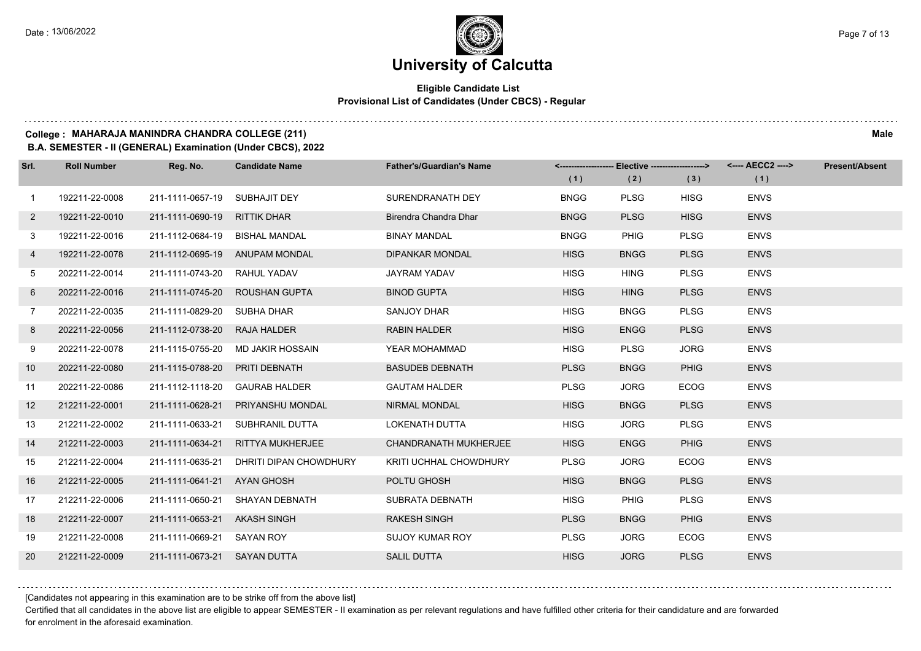#### **Eligible Candidate List Provisional List of Candidates (Under CBCS) - Regular**

#### **College : MAHARAJA MANINDRA CHANDRA COLLEGE (211) Male**

**B.A. SEMESTER - II (GENERAL) Examination (Under CBCS), 2022**

| Srl.         | <b>Roll Number</b> | Reg. No.                       | <b>Candidate Name</b>          | <b>Father's/Guardian's Name</b> |             | <-------------------- Elective -------------------> |             | <---- AECC2 ----> | <b>Present/Absent</b> |
|--------------|--------------------|--------------------------------|--------------------------------|---------------------------------|-------------|-----------------------------------------------------|-------------|-------------------|-----------------------|
|              |                    |                                |                                |                                 | (1)         | (2)                                                 | (3)         | (1)               |                       |
| $\mathbf{1}$ | 192211-22-0008     | 211-1111-0657-19 SUBHAJIT DEY  |                                | SURENDRANATH DEY                | <b>BNGG</b> | <b>PLSG</b>                                         | <b>HISG</b> | <b>ENVS</b>       |                       |
| $\mathbf{2}$ | 192211-22-0010     | 211-1111-0690-19               | <b>RITTIK DHAR</b>             | Birendra Chandra Dhar           | <b>BNGG</b> | <b>PLSG</b>                                         | <b>HISG</b> | <b>ENVS</b>       |                       |
| 3            | 192211-22-0016     | 211-1112-0684-19 BISHAL MANDAL |                                | <b>BINAY MANDAL</b>             | <b>BNGG</b> | <b>PHIG</b>                                         | <b>PLSG</b> | <b>ENVS</b>       |                       |
| 4            | 192211-22-0078     |                                | 211-1112-0695-19 ANUPAM MONDAL | <b>DIPANKAR MONDAL</b>          | <b>HISG</b> | <b>BNGG</b>                                         | <b>PLSG</b> | <b>ENVS</b>       |                       |
| 5            | 202211-22-0014     | 211-1111-0743-20 RAHUL YADAV   |                                | <b>JAYRAM YADAV</b>             | <b>HISG</b> | <b>HING</b>                                         | <b>PLSG</b> | <b>ENVS</b>       |                       |
| 6            | 202211-22-0016     | 211-1111-0745-20               | <b>ROUSHAN GUPTA</b>           | <b>BINOD GUPTA</b>              | <b>HISG</b> | <b>HING</b>                                         | <b>PLSG</b> | <b>ENVS</b>       |                       |
| $7^{\circ}$  | 202211-22-0035     | 211-1111-0829-20 SUBHA DHAR    |                                | SANJOY DHAR                     | <b>HISG</b> | <b>BNGG</b>                                         | <b>PLSG</b> | <b>ENVS</b>       |                       |
| 8            | 202211-22-0056     | 211-1112-0738-20 RAJA HALDER   |                                | <b>RABIN HALDER</b>             | <b>HISG</b> | <b>ENGG</b>                                         | <b>PLSG</b> | <b>ENVS</b>       |                       |
| 9            | 202211-22-0078     | 211-1115-0755-20               | MD JAKIR HOSSAIN               | YEAR MOHAMMAD                   | <b>HISG</b> | <b>PLSG</b>                                         | <b>JORG</b> | <b>ENVS</b>       |                       |
| 10           | 202211-22-0080     | 211-1115-0788-20               | PRITI DEBNATH                  | <b>BASUDEB DEBNATH</b>          | <b>PLSG</b> | <b>BNGG</b>                                         | <b>PHIG</b> | <b>ENVS</b>       |                       |
| 11           | 202211-22-0086     |                                | 211-1112-1118-20 GAURAB HALDER | <b>GAUTAM HALDER</b>            | <b>PLSG</b> | <b>JORG</b>                                         | <b>ECOG</b> | <b>ENVS</b>       |                       |
| 12           | 212211-22-0001     | 211-1111-0628-21               | PRIYANSHU MONDAL               | <b>NIRMAL MONDAL</b>            | <b>HISG</b> | <b>BNGG</b>                                         | <b>PLSG</b> | <b>ENVS</b>       |                       |
| 13           | 212211-22-0002     | 211-1111-0633-21               | SUBHRANIL DUTTA                | <b>LOKENATH DUTTA</b>           | <b>HISG</b> | <b>JORG</b>                                         | <b>PLSG</b> | <b>ENVS</b>       |                       |
| 14           | 212211-22-0003     | 211-1111-0634-21               | <b>RITTYA MUKHERJEE</b>        | <b>CHANDRANATH MUKHERJEE</b>    | <b>HISG</b> | <b>ENGG</b>                                         | <b>PHIG</b> | <b>ENVS</b>       |                       |
| 15           | 212211-22-0004     | 211-1111-0635-21               | DHRITI DIPAN CHOWDHURY         | KRITI UCHHAL CHOWDHURY          | <b>PLSG</b> | <b>JORG</b>                                         | <b>ECOG</b> | <b>ENVS</b>       |                       |
| 16           | 212211-22-0005     | 211-1111-0641-21 AYAN GHOSH    |                                | POLTU GHOSH                     | <b>HISG</b> | <b>BNGG</b>                                         | <b>PLSG</b> | <b>ENVS</b>       |                       |
| 17           | 212211-22-0006     | 211-1111-0650-21               | <b>SHAYAN DEBNATH</b>          | SUBRATA DEBNATH                 | <b>HISG</b> | <b>PHIG</b>                                         | <b>PLSG</b> | <b>ENVS</b>       |                       |
| 18           | 212211-22-0007     | 211-1111-0653-21 AKASH SINGH   |                                | <b>RAKESH SINGH</b>             | <b>PLSG</b> | <b>BNGG</b>                                         | <b>PHIG</b> | <b>ENVS</b>       |                       |
| 19           | 212211-22-0008     | 211-1111-0669-21 SAYAN ROY     |                                | <b>SUJOY KUMAR ROY</b>          | <b>PLSG</b> | <b>JORG</b>                                         | <b>ECOG</b> | <b>ENVS</b>       |                       |
| 20           | 212211-22-0009     | 211-1111-0673-21 SAYAN DUTTA   |                                | <b>SALIL DUTTA</b>              | <b>HISG</b> | <b>JORG</b>                                         | <b>PLSG</b> | <b>ENVS</b>       |                       |

[Candidates not appearing in this examination are to be strike off from the above list]

Certified that all candidates in the above list are eligible to appear SEMESTER - II examination as per relevant regulations and have fulfilled other criteria for their candidature and are forwarded for enrolment in the aforesaid examination.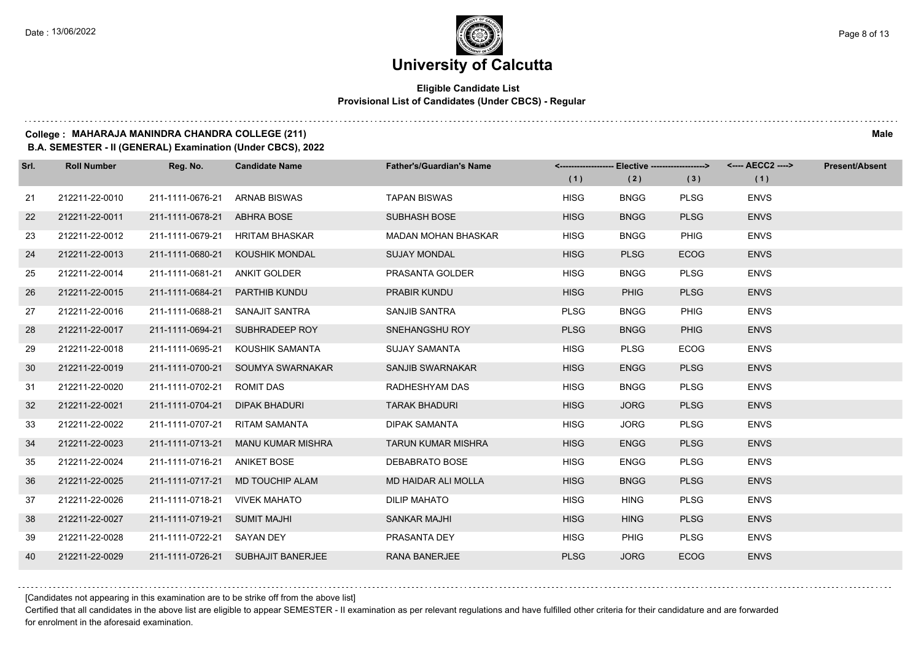#### **Eligible Candidate List Provisional List of Candidates (Under CBCS) - Regular**

#### **College : MAHARAJA MANINDRA CHANDRA COLLEGE (211) Male**

**B.A. SEMESTER - II (GENERAL) Examination (Under CBCS), 2022**

| Srl. | <b>Roll Number</b> | Reg. No.                     | <b>Candidate Name</b>              | <b>Father's/Guardian's Name</b> |             | <------------------- Elective -------------------> |             | <---- AECC2 ----> | <b>Present/Absent</b> |
|------|--------------------|------------------------------|------------------------------------|---------------------------------|-------------|----------------------------------------------------|-------------|-------------------|-----------------------|
|      |                    |                              |                                    |                                 | (1)         | (2)                                                | (3)         | (1)               |                       |
| 21   | 212211-22-0010     | 211-1111-0676-21             | <b>ARNAB BISWAS</b>                | <b>TAPAN BISWAS</b>             | <b>HISG</b> | <b>BNGG</b>                                        | <b>PLSG</b> | <b>ENVS</b>       |                       |
| 22   | 212211-22-0011     | 211-1111-0678-21             | ABHRA BOSE                         | <b>SUBHASH BOSE</b>             | <b>HISG</b> | <b>BNGG</b>                                        | <b>PLSG</b> | <b>ENVS</b>       |                       |
| 23   | 212211-22-0012     |                              | 211-1111-0679-21 HRITAM BHASKAR    | <b>MADAN MOHAN BHASKAR</b>      | <b>HISG</b> | <b>BNGG</b>                                        | <b>PHIG</b> | <b>ENVS</b>       |                       |
| 24   | 212211-22-0013     | 211-1111-0680-21             | KOUSHIK MONDAL                     | <b>SUJAY MONDAL</b>             | <b>HISG</b> | <b>PLSG</b>                                        | <b>ECOG</b> | <b>ENVS</b>       |                       |
| 25   | 212211-22-0014     | 211-1111-0681-21             | ANKIT GOLDER                       | PRASANTA GOLDER                 | <b>HISG</b> | <b>BNGG</b>                                        | <b>PLSG</b> | <b>ENVS</b>       |                       |
| 26   | 212211-22-0015     | 211-1111-0684-21             | PARTHIB KUNDU                      | PRABIR KUNDU                    | <b>HISG</b> | <b>PHIG</b>                                        | <b>PLSG</b> | <b>ENVS</b>       |                       |
| 27   | 212211-22-0016     |                              | 211-1111-0688-21 SANAJIT SANTRA    | SANJIB SANTRA                   | <b>PLSG</b> | <b>BNGG</b>                                        | <b>PHIG</b> | <b>ENVS</b>       |                       |
| 28   | 212211-22-0017     |                              | 211-1111-0694-21 SUBHRADEEP ROY    | SNEHANGSHU ROY                  | <b>PLSG</b> | <b>BNGG</b>                                        | <b>PHIG</b> | <b>ENVS</b>       |                       |
| 29   | 212211-22-0018     | 211-1111-0695-21             | KOUSHIK SAMANTA                    | <b>SUJAY SAMANTA</b>            | <b>HISG</b> | <b>PLSG</b>                                        | <b>ECOG</b> | <b>ENVS</b>       |                       |
| 30   | 212211-22-0019     | 211-1111-0700-21             | SOUMYA SWARNAKAR                   | <b>SANJIB SWARNAKAR</b>         | <b>HISG</b> | <b>ENGG</b>                                        | <b>PLSG</b> | <b>ENVS</b>       |                       |
| 31   | 212211-22-0020     | 211-1111-0702-21 ROMIT DAS   |                                    | RADHESHYAM DAS                  | <b>HISG</b> | <b>BNGG</b>                                        | <b>PLSG</b> | <b>ENVS</b>       |                       |
| 32   | 212211-22-0021     | 211-1111-0704-21             | DIPAK BHADURI                      | <b>TARAK BHADURI</b>            | <b>HISG</b> | <b>JORG</b>                                        | <b>PLSG</b> | <b>ENVS</b>       |                       |
| 33   | 212211-22-0022     | 211-1111-0707-21             | <b>RITAM SAMANTA</b>               | <b>DIPAK SAMANTA</b>            | <b>HISG</b> | <b>JORG</b>                                        | <b>PLSG</b> | <b>ENVS</b>       |                       |
| 34   | 212211-22-0023     | 211-1111-0713-21             | MANU KUMAR MISHRA                  | <b>TARUN KUMAR MISHRA</b>       | <b>HISG</b> | <b>ENGG</b>                                        | <b>PLSG</b> | <b>ENVS</b>       |                       |
| 35   | 212211-22-0024     | 211-1111-0716-21 ANIKET BOSE |                                    | DEBABRATO BOSE                  | <b>HISG</b> | <b>ENGG</b>                                        | <b>PLSG</b> | <b>ENVS</b>       |                       |
| 36   | 212211-22-0025     | 211-1111-0717-21             | <b>MD TOUCHIP ALAM</b>             | MD HAIDAR ALI MOLLA             | <b>HISG</b> | <b>BNGG</b>                                        | <b>PLSG</b> | <b>ENVS</b>       |                       |
| 37   | 212211-22-0026     | 211-1111-0718-21             | <b>VIVEK MAHATO</b>                | <b>DILIP MAHATO</b>             | <b>HISG</b> | <b>HING</b>                                        | <b>PLSG</b> | <b>ENVS</b>       |                       |
| 38   | 212211-22-0027     | 211-1111-0719-21 SUMIT MAJHI |                                    | <b>SANKAR MAJHI</b>             | <b>HISG</b> | <b>HING</b>                                        | <b>PLSG</b> | <b>ENVS</b>       |                       |
| 39   | 212211-22-0028     | 211-1111-0722-21 SAYAN DEY   |                                    | PRASANTA DEY                    | <b>HISG</b> | <b>PHIG</b>                                        | <b>PLSG</b> | <b>ENVS</b>       |                       |
| 40   | 212211-22-0029     |                              | 211-1111-0726-21 SUBHAJIT BANERJEE | <b>RANA BANERJEE</b>            | <b>PLSG</b> | <b>JORG</b>                                        | <b>ECOG</b> | <b>ENVS</b>       |                       |

[Candidates not appearing in this examination are to be strike off from the above list]

Certified that all candidates in the above list are eligible to appear SEMESTER - II examination as per relevant regulations and have fulfilled other criteria for their candidature and are forwarded for enrolment in the aforesaid examination.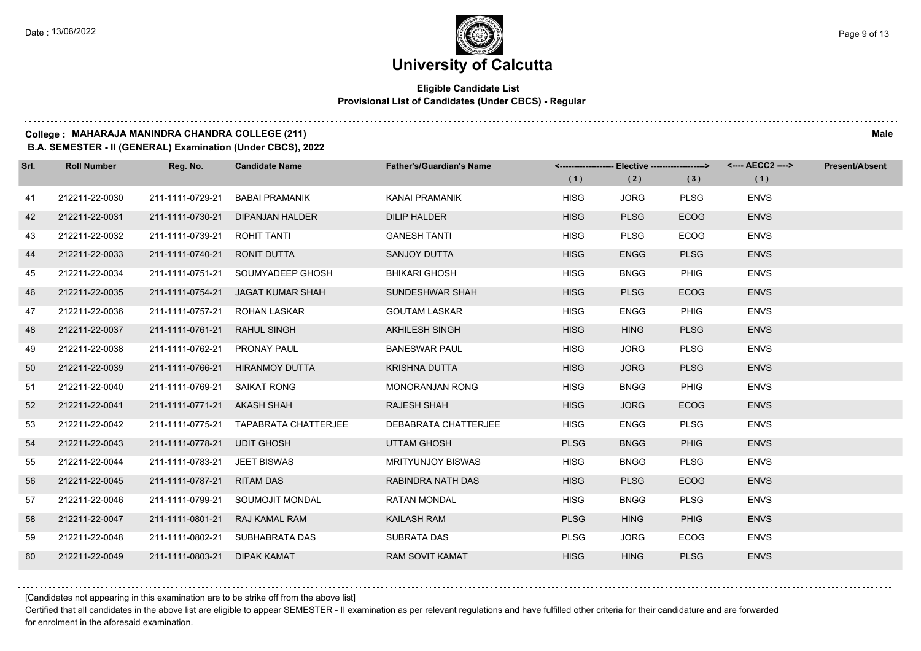#### **Eligible Candidate List Provisional List of Candidates (Under CBCS) - Regular**

#### **College : MAHARAJA MANINDRA CHANDRA COLLEGE (211) Male**

**B.A. SEMESTER - II (GENERAL) Examination (Under CBCS), 2022**

| Srl. | <b>Roll Number</b> | Reg. No.                     | <b>Candidate Name</b>                 | <b>Father's/Guardian's Name</b> |             | <-------------------- Elective -------------------> |             | <---- AECC2 ----> | <b>Present/Absent</b> |
|------|--------------------|------------------------------|---------------------------------------|---------------------------------|-------------|-----------------------------------------------------|-------------|-------------------|-----------------------|
|      |                    |                              |                                       |                                 | (1)         | (2)                                                 | (3)         | (1)               |                       |
| 41   | 212211-22-0030     | 211-1111-0729-21             | <b>BABAI PRAMANIK</b>                 | KANAI PRAMANIK                  | <b>HISG</b> | <b>JORG</b>                                         | <b>PLSG</b> | <b>ENVS</b>       |                       |
| 42   | 212211-22-0031     | 211-1111-0730-21             | <b>DIPANJAN HALDER</b>                | <b>DILIP HALDER</b>             | <b>HISG</b> | <b>PLSG</b>                                         | <b>ECOG</b> | <b>ENVS</b>       |                       |
| 43   | 212211-22-0032     | 211-1111-0739-21             | <b>ROHIT TANTI</b>                    | <b>GANESH TANTI</b>             | <b>HISG</b> | <b>PLSG</b>                                         | <b>ECOG</b> | <b>ENVS</b>       |                       |
| 44   | 212211-22-0033     | 211-1111-0740-21             | <b>RONIT DUTTA</b>                    | <b>SANJOY DUTTA</b>             | <b>HISG</b> | <b>ENGG</b>                                         | <b>PLSG</b> | <b>ENVS</b>       |                       |
| 45   | 212211-22-0034     | 211-1111-0751-21             | SOUMYADEEP GHOSH                      | <b>BHIKARI GHOSH</b>            | <b>HISG</b> | <b>BNGG</b>                                         | <b>PHIG</b> | <b>ENVS</b>       |                       |
| 46   | 212211-22-0035     | 211-1111-0754-21             | <b>JAGAT KUMAR SHAH</b>               | SUNDESHWAR SHAH                 | <b>HISG</b> | <b>PLSG</b>                                         | <b>ECOG</b> | <b>ENVS</b>       |                       |
| 47   | 212211-22-0036     | 211-1111-0757-21             | <b>ROHAN LASKAR</b>                   | <b>GOUTAM LASKAR</b>            | <b>HISG</b> | <b>ENGG</b>                                         | <b>PHIG</b> | <b>ENVS</b>       |                       |
| 48   | 212211-22-0037     | 211-1111-0761-21             | <b>RAHUL SINGH</b>                    | <b>AKHILESH SINGH</b>           | <b>HISG</b> | <b>HING</b>                                         | <b>PLSG</b> | <b>ENVS</b>       |                       |
| 49   | 212211-22-0038     | 211-1111-0762-21             | <b>PRONAY PAUL</b>                    | <b>BANESWAR PAUL</b>            | <b>HISG</b> | <b>JORG</b>                                         | <b>PLSG</b> | <b>ENVS</b>       |                       |
| 50   | 212211-22-0039     | 211-1111-0766-21             | <b>HIRANMOY DUTTA</b>                 | <b>KRISHNA DUTTA</b>            | <b>HISG</b> | <b>JORG</b>                                         | <b>PLSG</b> | <b>ENVS</b>       |                       |
| 51   | 212211-22-0040     | 211-1111-0769-21             | SAIKAT RONG                           | <b>MONORANJAN RONG</b>          | <b>HISG</b> | <b>BNGG</b>                                         | <b>PHIG</b> | <b>ENVS</b>       |                       |
| 52   | 212211-22-0041     | 211-1111-0771-21 AKASH SHAH  |                                       | <b>RAJESH SHAH</b>              | <b>HISG</b> | <b>JORG</b>                                         | <b>ECOG</b> | <b>ENVS</b>       |                       |
| 53   | 212211-22-0042     |                              | 211-1111-0775-21 TAPABRATA CHATTERJEE | DEBABRATA CHATTERJEE            | <b>HISG</b> | <b>ENGG</b>                                         | <b>PLSG</b> | <b>ENVS</b>       |                       |
| 54   | 212211-22-0043     | 211-1111-0778-21             | <b>UDIT GHOSH</b>                     | <b>UTTAM GHOSH</b>              | <b>PLSG</b> | <b>BNGG</b>                                         | <b>PHIG</b> | <b>ENVS</b>       |                       |
| 55   | 212211-22-0044     | 211-1111-0783-21 JEET BISWAS |                                       | <b>MRITYUNJOY BISWAS</b>        | <b>HISG</b> | <b>BNGG</b>                                         | <b>PLSG</b> | <b>ENVS</b>       |                       |
| 56   | 212211-22-0045     | 211-1111-0787-21             | <b>RITAM DAS</b>                      | RABINDRA NATH DAS               | <b>HISG</b> | <b>PLSG</b>                                         | <b>ECOG</b> | <b>ENVS</b>       |                       |
| 57   | 212211-22-0046     | 211-1111-0799-21             | SOUMOJIT MONDAL                       | <b>RATAN MONDAL</b>             | <b>HISG</b> | <b>BNGG</b>                                         | <b>PLSG</b> | <b>ENVS</b>       |                       |
| 58   | 212211-22-0047     | 211-1111-0801-21             | <b>RAJ KAMAL RAM</b>                  | <b>KAILASH RAM</b>              | <b>PLSG</b> | <b>HING</b>                                         | <b>PHIG</b> | <b>ENVS</b>       |                       |
| 59   | 212211-22-0048     | 211-1111-0802-21             | SUBHABRATA DAS                        | SUBRATA DAS                     | <b>PLSG</b> | <b>JORG</b>                                         | <b>ECOG</b> | <b>ENVS</b>       |                       |
| 60   | 212211-22-0049     | 211-1111-0803-21             | <b>DIPAK KAMAT</b>                    | <b>RAM SOVIT KAMAT</b>          | <b>HISG</b> | <b>HING</b>                                         | <b>PLSG</b> | <b>ENVS</b>       |                       |

[Candidates not appearing in this examination are to be strike off from the above list]

Certified that all candidates in the above list are eligible to appear SEMESTER - II examination as per relevant regulations and have fulfilled other criteria for their candidature and are forwarded for enrolment in the aforesaid examination.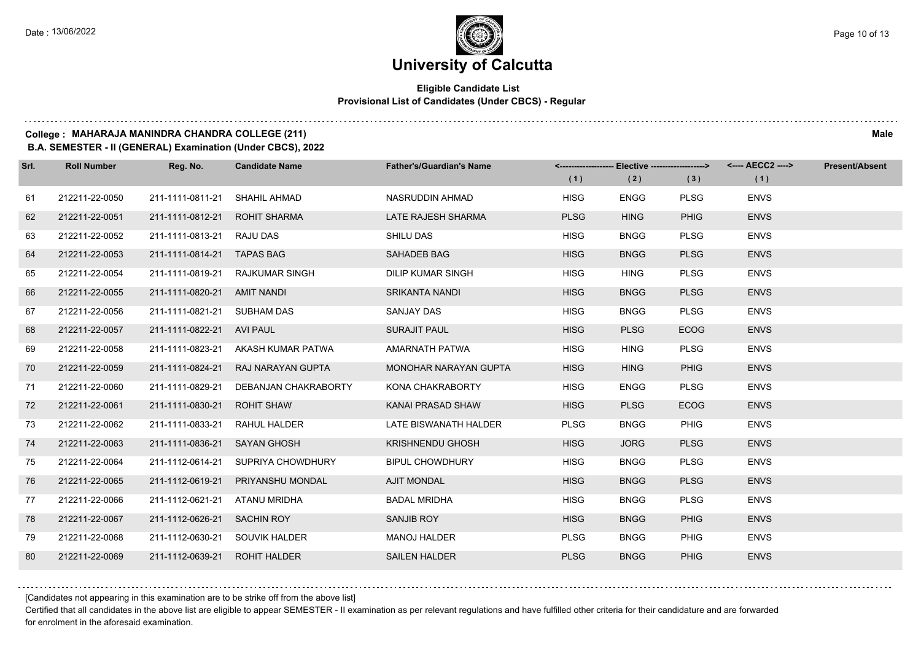#### **Eligible Candidate List Provisional List of Candidates (Under CBCS) - Regular**

#### **College : MAHARAJA MANINDRA CHANDRA COLLEGE (211) Male**

**B.A. SEMESTER - II (GENERAL) Examination (Under CBCS), 2022**

| Srl. | <b>Roll Number</b> | Reg. No.                       | <b>Candidate Name</b>                 | <b>Father's/Guardian's Name</b> |             | <------------------- Elective -------------------> |             | <---- AECC2 ----> | <b>Present/Absent</b> |
|------|--------------------|--------------------------------|---------------------------------------|---------------------------------|-------------|----------------------------------------------------|-------------|-------------------|-----------------------|
|      |                    |                                |                                       |                                 | (1)         | (2)                                                | (3)         | (1)               |                       |
| 61   | 212211-22-0050     | 211-1111-0811-21               | <b>SHAHIL AHMAD</b>                   | NASRUDDIN AHMAD                 | <b>HISG</b> | <b>ENGG</b>                                        | <b>PLSG</b> | <b>ENVS</b>       |                       |
| 62   | 212211-22-0051     | 211-1111-0812-21               | <b>ROHIT SHARMA</b>                   | LATE RAJESH SHARMA              | <b>PLSG</b> | <b>HING</b>                                        | <b>PHIG</b> | <b>ENVS</b>       |                       |
| 63   | 212211-22-0052     | 211-1111-0813-21 RAJU DAS      |                                       | <b>SHILU DAS</b>                | <b>HISG</b> | <b>BNGG</b>                                        | <b>PLSG</b> | <b>ENVS</b>       |                       |
| 64   | 212211-22-0053     | 211-1111-0814-21 TAPAS BAG     |                                       | SAHADEB BAG                     | <b>HISG</b> | <b>BNGG</b>                                        | <b>PLSG</b> | <b>ENVS</b>       |                       |
| 65   | 212211-22-0054     |                                | 211-1111-0819-21 RAJKUMAR SINGH       | DILIP KUMAR SINGH               | <b>HISG</b> | <b>HING</b>                                        | <b>PLSG</b> | <b>ENVS</b>       |                       |
| 66   | 212211-22-0055     | 211-1111-0820-21 AMIT NANDI    |                                       | <b>SRIKANTA NANDI</b>           | <b>HISG</b> | <b>BNGG</b>                                        | <b>PLSG</b> | <b>ENVS</b>       |                       |
| 67   | 212211-22-0056     | 211-1111-0821-21 SUBHAM DAS    |                                       | <b>SANJAY DAS</b>               | <b>HISG</b> | <b>BNGG</b>                                        | <b>PLSG</b> | <b>ENVS</b>       |                       |
| 68   | 212211-22-0057     | 211-1111-0822-21 AVI PAUL      |                                       | <b>SURAJIT PAUL</b>             | <b>HISG</b> | <b>PLSG</b>                                        | <b>ECOG</b> | <b>ENVS</b>       |                       |
| 69   | 212211-22-0058     |                                | 211-1111-0823-21 AKASH KUMAR PATWA    | AMARNATH PATWA                  | <b>HISG</b> | <b>HING</b>                                        | <b>PLSG</b> | <b>ENVS</b>       |                       |
| 70   | 212211-22-0059     | 211-1111-0824-21               | RAJ NARAYAN GUPTA                     | <b>MONOHAR NARAYAN GUPTA</b>    | <b>HISG</b> | <b>HING</b>                                        | <b>PHIG</b> | <b>ENVS</b>       |                       |
| 71   | 212211-22-0060     |                                | 211-1111-0829-21 DEBANJAN CHAKRABORTY | KONA CHAKRABORTY                | <b>HISG</b> | <b>ENGG</b>                                        | <b>PLSG</b> | <b>ENVS</b>       |                       |
| 72   | 212211-22-0061     | 211-1111-0830-21               | <b>ROHIT SHAW</b>                     | KANAI PRASAD SHAW               | <b>HISG</b> | <b>PLSG</b>                                        | <b>ECOG</b> | <b>ENVS</b>       |                       |
| 73   | 212211-22-0062     | 211-1111-0833-21 RAHUL HALDER  |                                       | LATE BISWANATH HALDER           | <b>PLSG</b> | <b>BNGG</b>                                        | <b>PHIG</b> | <b>ENVS</b>       |                       |
| 74   | 212211-22-0063     | 211-1111-0836-21 SAYAN GHOSH   |                                       | <b>KRISHNENDU GHOSH</b>         | <b>HISG</b> | <b>JORG</b>                                        | <b>PLSG</b> | <b>ENVS</b>       |                       |
| 75   | 212211-22-0064     |                                | 211-1112-0614-21 SUPRIYA CHOWDHURY    | <b>BIPUL CHOWDHURY</b>          | <b>HISG</b> | <b>BNGG</b>                                        | <b>PLSG</b> | <b>ENVS</b>       |                       |
| 76   | 212211-22-0065     | 211-1112-0619-21               | PRIYANSHU MONDAL                      | <b>AJIT MONDAL</b>              | <b>HISG</b> | <b>BNGG</b>                                        | <b>PLSG</b> | <b>ENVS</b>       |                       |
| 77   | 212211-22-0066     | 211-1112-0621-21               | ATANU MRIDHA                          | <b>BADAL MRIDHA</b>             | <b>HISG</b> | <b>BNGG</b>                                        | <b>PLSG</b> | <b>ENVS</b>       |                       |
| 78   | 212211-22-0067     | 211-1112-0626-21 SACHIN ROY    |                                       | <b>SANJIB ROY</b>               | <b>HISG</b> | <b>BNGG</b>                                        | <b>PHIG</b> | <b>ENVS</b>       |                       |
| 79   | 212211-22-0068     | 211-1112-0630-21 SOUVIK HALDER |                                       | <b>MANOJ HALDER</b>             | <b>PLSG</b> | <b>BNGG</b>                                        | <b>PHIG</b> | <b>ENVS</b>       |                       |
| 80   | 212211-22-0069     | 211-1112-0639-21 ROHIT HALDER  |                                       | <b>SAILEN HALDER</b>            | <b>PLSG</b> | <b>BNGG</b>                                        | <b>PHIG</b> | <b>ENVS</b>       |                       |

[Candidates not appearing in this examination are to be strike off from the above list]

Certified that all candidates in the above list are eligible to appear SEMESTER - II examination as per relevant regulations and have fulfilled other criteria for their candidature and are forwarded for enrolment in the aforesaid examination.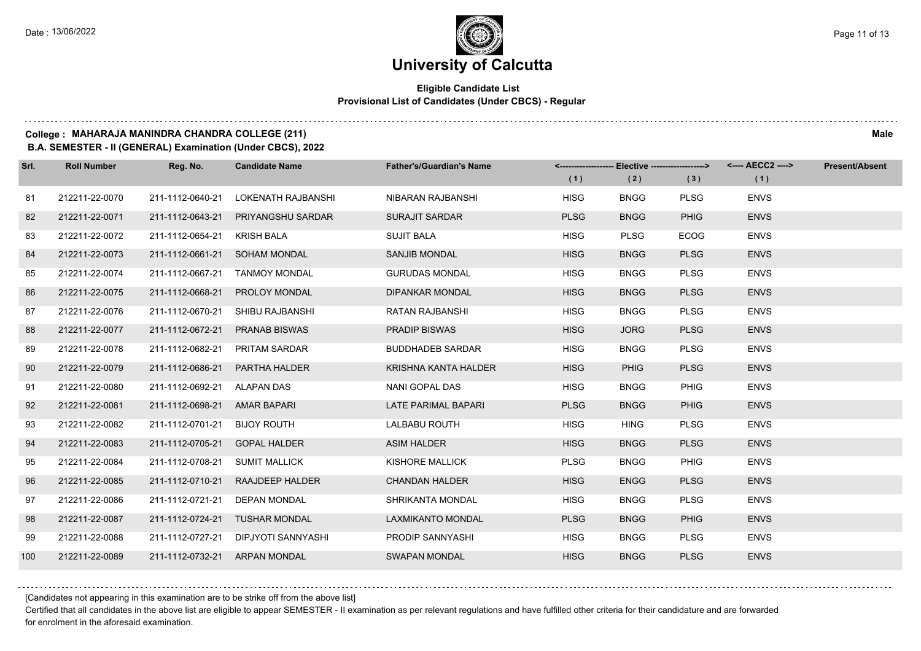#### **Eligible Candidate List Provisional List of Candidates (Under CBCS) - Regular**

#### **College : MAHARAJA MANINDRA CHANDRA COLLEGE (211) Male**

**B.A. SEMESTER - II (GENERAL) Examination (Under CBCS), 2022**

| Srl. | <b>Roll Number</b> | Reg. No.                       | <b>Candidate Name</b>               | <b>Father's/Guardian's Name</b> |             |             |             | <-------------------- Elective -------------------> <---- AECC2 ----> | <b>Present/Absent</b> |
|------|--------------------|--------------------------------|-------------------------------------|---------------------------------|-------------|-------------|-------------|-----------------------------------------------------------------------|-----------------------|
|      |                    |                                |                                     |                                 | (1)         | (2)         | (3)         | (1)                                                                   |                       |
| 81   | 212211-22-0070     | 211-1112-0640-21               | LOKENATH RAJBANSHI                  | NIBARAN RAJBANSHI               | <b>HISG</b> | <b>BNGG</b> | <b>PLSG</b> | <b>ENVS</b>                                                           |                       |
| 82   | 212211-22-0071     | 211-1112-0643-21               | <b>PRIYANGSHU SARDAR</b>            | <b>SURAJIT SARDAR</b>           | <b>PLSG</b> | <b>BNGG</b> | <b>PHIG</b> | <b>ENVS</b>                                                           |                       |
| 83   | 212211-22-0072     | 211-1112-0654-21               | KRISH BALA                          | <b>SUJIT BALA</b>               | <b>HISG</b> | <b>PLSG</b> | <b>ECOG</b> | <b>ENVS</b>                                                           |                       |
| 84   | 212211-22-0073     |                                | 211-1112-0661-21 SOHAM MONDAL       | <b>SANJIB MONDAL</b>            | <b>HISG</b> | <b>BNGG</b> | <b>PLSG</b> | <b>ENVS</b>                                                           |                       |
| 85   | 212211-22-0074     | 211-1112-0667-21               | <b>TANMOY MONDAL</b>                | <b>GURUDAS MONDAL</b>           | <b>HISG</b> | <b>BNGG</b> | <b>PLSG</b> | <b>ENVS</b>                                                           |                       |
| 86   | 212211-22-0075     | 211-1112-0668-21               | <b>PROLOY MONDAL</b>                | <b>DIPANKAR MONDAL</b>          | <b>HISG</b> | <b>BNGG</b> | <b>PLSG</b> | <b>ENVS</b>                                                           |                       |
| 87   | 212211-22-0076     | 211-1112-0670-21               | SHIBU RAJBANSHI                     | RATAN RAJBANSHI                 | <b>HISG</b> | <b>BNGG</b> | <b>PLSG</b> | <b>ENVS</b>                                                           |                       |
| 88   | 212211-22-0077     | 211-1112-0672-21               | <b>PRANAB BISWAS</b>                | <b>PRADIP BISWAS</b>            | <b>HISG</b> | <b>JORG</b> | <b>PLSG</b> | <b>ENVS</b>                                                           |                       |
| 89   | 212211-22-0078     | 211-1112-0682-21               | <b>PRITAM SARDAR</b>                | <b>BUDDHADEB SARDAR</b>         | <b>HISG</b> | <b>BNGG</b> | <b>PLSG</b> | <b>ENVS</b>                                                           |                       |
| 90   | 212211-22-0079     | 211-1112-0686-21               | PARTHA HALDER                       | KRISHNA KANTA HALDER            | <b>HISG</b> | <b>PHIG</b> | <b>PLSG</b> | <b>ENVS</b>                                                           |                       |
| 91   | 212211-22-0080     | 211-1112-0692-21 ALAPAN DAS    |                                     | NANI GOPAL DAS                  | <b>HISG</b> | <b>BNGG</b> | <b>PHIG</b> | <b>ENVS</b>                                                           |                       |
| 92   | 212211-22-0081     | 211-1112-0698-21 AMAR BAPARI   |                                     | LATE PARIMAL BAPARI             | <b>PLSG</b> | <b>BNGG</b> | <b>PHIG</b> | <b>ENVS</b>                                                           |                       |
| 93   | 212211-22-0082     | 211-1112-0701-21               | <b>BIJOY ROUTH</b>                  | <b>LALBABU ROUTH</b>            | <b>HISG</b> | <b>HING</b> | <b>PLSG</b> | <b>ENVS</b>                                                           |                       |
| 94   | 212211-22-0083     | 211-1112-0705-21               | <b>GOPAL HALDER</b>                 | <b>ASIM HALDER</b>              | <b>HISG</b> | <b>BNGG</b> | <b>PLSG</b> | <b>ENVS</b>                                                           |                       |
| 95   | 212211-22-0084     | 211-1112-0708-21 SUMIT MALLICK |                                     | <b>KISHORE MALLICK</b>          | <b>PLSG</b> | <b>BNGG</b> | PHIG        | <b>ENVS</b>                                                           |                       |
| 96   | 212211-22-0085     | 211-1112-0710-21               | RAAJDEEP HALDER                     | <b>CHANDAN HALDER</b>           | <b>HISG</b> | <b>ENGG</b> | <b>PLSG</b> | <b>ENVS</b>                                                           |                       |
| 97   | 212211-22-0086     | 211-1112-0721-21               | <b>DEPAN MONDAL</b>                 | SHRIKANTA MONDAL                | <b>HISG</b> | <b>BNGG</b> | <b>PLSG</b> | <b>ENVS</b>                                                           |                       |
| 98   | 212211-22-0087     | 211-1112-0724-21               | <b>TUSHAR MONDAL</b>                | LAXMIKANTO MONDAL               | <b>PLSG</b> | <b>BNGG</b> | <b>PHIG</b> | <b>ENVS</b>                                                           |                       |
| 99   | 212211-22-0088     |                                | 211-1112-0727-21 DIPJYOTI SANNYASHI | PRODIP SANNYASHI                | <b>HISG</b> | <b>BNGG</b> | <b>PLSG</b> | <b>ENVS</b>                                                           |                       |
| 100  | 212211-22-0089     | 211-1112-0732-21 ARPAN MONDAL  |                                     | <b>SWAPAN MONDAL</b>            | <b>HISG</b> | <b>BNGG</b> | <b>PLSG</b> | <b>ENVS</b>                                                           |                       |

[Candidates not appearing in this examination are to be strike off from the above list]

Certified that all candidates in the above list are eligible to appear SEMESTER - II examination as per relevant regulations and have fulfilled other criteria for their candidature and are forwarded for enrolment in the aforesaid examination.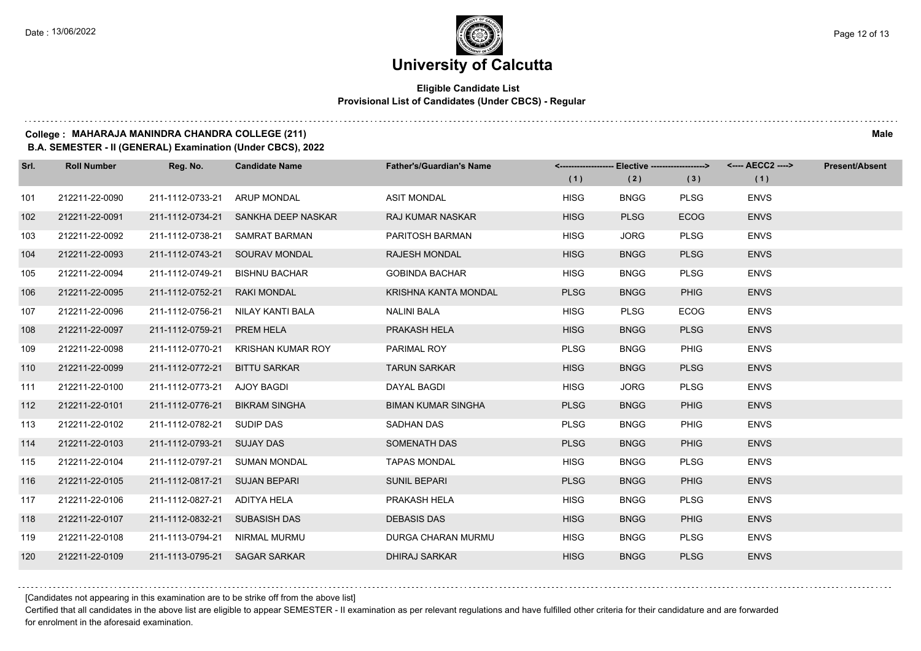#### **Eligible Candidate List Provisional List of Candidates (Under CBCS) - Regular**

#### **College : MAHARAJA MANINDRA CHANDRA COLLEGE (211) Male**

**B.A. SEMESTER - II (GENERAL) Examination (Under CBCS), 2022**

| Srl. | <b>Roll Number</b> | Reg. No.                      | <b>Candidate Name</b>             | <b>Father's/Guardian's Name</b> | (1)         | (2)         | (3)         | <-------------------- Elective -------------------> <---- AECC2 ----><br>(1) | <b>Present/Absent</b> |
|------|--------------------|-------------------------------|-----------------------------------|---------------------------------|-------------|-------------|-------------|------------------------------------------------------------------------------|-----------------------|
| 101  | 212211-22-0090     | 211-1112-0733-21              | <b>ARUP MONDAL</b>                | <b>ASIT MONDAL</b>              | <b>HISG</b> | <b>BNGG</b> | <b>PLSG</b> | <b>ENVS</b>                                                                  |                       |
| 102  | 212211-22-0091     | 211-1112-0734-21              | SANKHA DEEP NASKAR                | <b>RAJ KUMAR NASKAR</b>         | <b>HISG</b> | <b>PLSG</b> | <b>ECOG</b> | <b>ENVS</b>                                                                  |                       |
| 103  | 212211-22-0092     | 211-1112-0738-21              | SAMRAT BARMAN                     | PARITOSH BARMAN                 | <b>HISG</b> | <b>JORG</b> | <b>PLSG</b> | <b>ENVS</b>                                                                  |                       |
| 104  | 212211-22-0093     | 211-1112-0743-21              | <b>SOURAV MONDAL</b>              | <b>RAJESH MONDAL</b>            | <b>HISG</b> | <b>BNGG</b> | <b>PLSG</b> | <b>ENVS</b>                                                                  |                       |
| 105  | 212211-22-0094     | 211-1112-0749-21              | <b>BISHNU BACHAR</b>              | <b>GOBINDA BACHAR</b>           | <b>HISG</b> | <b>BNGG</b> | <b>PLSG</b> | <b>ENVS</b>                                                                  |                       |
| 106  | 212211-22-0095     | 211-1112-0752-21              | <b>RAKI MONDAL</b>                | KRISHNA KANTA MONDAL            | <b>PLSG</b> | <b>BNGG</b> | <b>PHIG</b> | <b>ENVS</b>                                                                  |                       |
| 107  | 212211-22-0096     |                               | 211-1112-0756-21 NILAY KANTI BALA | <b>NALINI BALA</b>              | <b>HISG</b> | <b>PLSG</b> | ECOG        | <b>ENVS</b>                                                                  |                       |
| 108  | 212211-22-0097     | 211-1112-0759-21              | <b>PREM HELA</b>                  | PRAKASH HELA                    | <b>HISG</b> | <b>BNGG</b> | <b>PLSG</b> | <b>ENVS</b>                                                                  |                       |
| 109  | 212211-22-0098     | 211-1112-0770-21              | KRISHAN KUMAR ROY                 | PARIMAL ROY                     | <b>PLSG</b> | <b>BNGG</b> | PHIG        | <b>ENVS</b>                                                                  |                       |
| 110  | 212211-22-0099     | 211-1112-0772-21              | <b>BITTU SARKAR</b>               | <b>TARUN SARKAR</b>             | <b>HISG</b> | <b>BNGG</b> | <b>PLSG</b> | <b>ENVS</b>                                                                  |                       |
| 111  | 212211-22-0100     | 211-1112-0773-21 AJOY BAGDI   |                                   | DAYAL BAGDI                     | <b>HISG</b> | <b>JORG</b> | <b>PLSG</b> | <b>ENVS</b>                                                                  |                       |
| 112  | 212211-22-0101     | 211-1112-0776-21              | <b>BIKRAM SINGHA</b>              | <b>BIMAN KUMAR SINGHA</b>       | <b>PLSG</b> | <b>BNGG</b> | <b>PHIG</b> | <b>ENVS</b>                                                                  |                       |
| 113  | 212211-22-0102     | 211-1112-0782-21              | SUDIP DAS                         | <b>SADHAN DAS</b>               | <b>PLSG</b> | <b>BNGG</b> | PHIG        | <b>ENVS</b>                                                                  |                       |
| 114  | 212211-22-0103     | 211-1112-0793-21 SUJAY DAS    |                                   | <b>SOMENATH DAS</b>             | <b>PLSG</b> | <b>BNGG</b> | <b>PHIG</b> | <b>ENVS</b>                                                                  |                       |
| 115  | 212211-22-0104     | 211-1112-0797-21              | <b>SUMAN MONDAL</b>               | <b>TAPAS MONDAL</b>             | <b>HISG</b> | <b>BNGG</b> | <b>PLSG</b> | <b>ENVS</b>                                                                  |                       |
| 116  | 212211-22-0105     | 211-1112-0817-21 SUJAN BEPARI |                                   | <b>SUNIL BEPARI</b>             | <b>PLSG</b> | <b>BNGG</b> | <b>PHIG</b> | <b>ENVS</b>                                                                  |                       |
| 117  | 212211-22-0106     | 211-1112-0827-21              | <b>ADITYA HELA</b>                | PRAKASH HELA                    | <b>HISG</b> | <b>BNGG</b> | <b>PLSG</b> | <b>ENVS</b>                                                                  |                       |
| 118  | 212211-22-0107     | 211-1112-0832-21 SUBASISH DAS |                                   | <b>DEBASIS DAS</b>              | <b>HISG</b> | <b>BNGG</b> | <b>PHIG</b> | <b>ENVS</b>                                                                  |                       |
| 119  | 212211-22-0108     | 211-1113-0794-21              | NIRMAL MURMU                      | DURGA CHARAN MURMU              | <b>HISG</b> | <b>BNGG</b> | <b>PLSG</b> | <b>ENVS</b>                                                                  |                       |
| 120  | 212211-22-0109     | 211-1113-0795-21 SAGAR SARKAR |                                   | <b>DHIRAJ SARKAR</b>            | <b>HISG</b> | <b>BNGG</b> | <b>PLSG</b> | <b>ENVS</b>                                                                  |                       |

[Candidates not appearing in this examination are to be strike off from the above list]

Certified that all candidates in the above list are eligible to appear SEMESTER - II examination as per relevant regulations and have fulfilled other criteria for their candidature and are forwarded for enrolment in the aforesaid examination.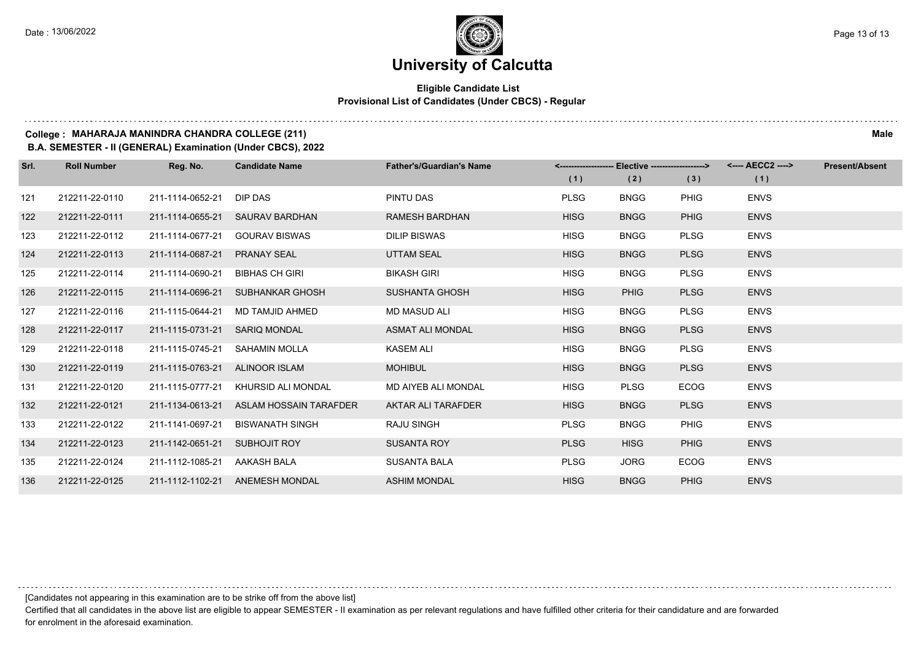#### **Eligible Candidate List Provisional List of Candidates (Under CBCS) - Regular**

#### **College : MAHARAJA MANINDRA CHANDRA COLLEGE (211) Male**

**B.A. SEMESTER - II (GENERAL) Examination (Under CBCS), 2022**

| Srl. | <b>Roll Number</b> | Reg. No.         | <b>Candidate Name</b>     | <b>Father's/Guardian's Name</b> | <-------------------- | Elective -------------------> |             | <---- AECC2 ----> | <b>Present/Absent</b> |
|------|--------------------|------------------|---------------------------|---------------------------------|-----------------------|-------------------------------|-------------|-------------------|-----------------------|
|      |                    |                  |                           |                                 | (1)                   | (2)                           | (3)         | (1)               |                       |
| 121  | 212211-22-0110     | 211-1114-0652-21 | DIP DAS                   | PINTU DAS                       | <b>PLSG</b>           | <b>BNGG</b>                   | <b>PHIG</b> | <b>ENVS</b>       |                       |
| 122  | 212211-22-0111     | 211-1114-0655-21 | <b>SAURAV BARDHAN</b>     | <b>RAMESH BARDHAN</b>           | <b>HISG</b>           | <b>BNGG</b>                   | <b>PHIG</b> | <b>ENVS</b>       |                       |
| 123  | 212211-22-0112     | 211-1114-0677-21 | <b>GOURAV BISWAS</b>      | <b>DILIP BISWAS</b>             | <b>HISG</b>           | <b>BNGG</b>                   | <b>PLSG</b> | <b>ENVS</b>       |                       |
| 124  | 212211-22-0113     | 211-1114-0687-21 | <b>PRANAY SEAL</b>        | <b>UTTAM SEAL</b>               | <b>HISG</b>           | <b>BNGG</b>                   | <b>PLSG</b> | <b>ENVS</b>       |                       |
| 125  | 212211-22-0114     | 211-1114-0690-21 | <b>BIBHAS CH GIRI</b>     | <b>BIKASH GIRI</b>              | <b>HISG</b>           | <b>BNGG</b>                   | <b>PLSG</b> | <b>ENVS</b>       |                       |
| 126  | 212211-22-0115     | 211-1114-0696-21 | <b>SUBHANKAR GHOSH</b>    | <b>SUSHANTA GHOSH</b>           | <b>HISG</b>           | <b>PHIG</b>                   | <b>PLSG</b> | <b>ENVS</b>       |                       |
| 127  | 212211-22-0116     | 211-1115-0644-21 | <b>MD TAMJID AHMED</b>    | <b>MD MASUD ALI</b>             | <b>HISG</b>           | <b>BNGG</b>                   | <b>PLSG</b> | <b>ENVS</b>       |                       |
| 128  | 212211-22-0117     | 211-1115-0731-21 | <b>SARIQ MONDAL</b>       | <b>ASMAT ALI MONDAL</b>         | <b>HISG</b>           | <b>BNGG</b>                   | <b>PLSG</b> | <b>ENVS</b>       |                       |
| 129  | 212211-22-0118     | 211-1115-0745-21 | <b>SAHAMIN MOLLA</b>      | <b>KASEM ALI</b>                | <b>HISG</b>           | <b>BNGG</b>                   | <b>PLSG</b> | <b>ENVS</b>       |                       |
| 130  | 212211-22-0119     | 211-1115-0763-21 | <b>ALINOOR ISLAM</b>      | <b>MOHIBUL</b>                  | <b>HISG</b>           | <b>BNGG</b>                   | <b>PLSG</b> | <b>ENVS</b>       |                       |
| 131  | 212211-22-0120     | 211-1115-0777-21 | <b>KHURSID ALI MONDAL</b> | <b>MD AIYEB ALI MONDAL</b>      | <b>HISG</b>           | <b>PLSG</b>                   | <b>ECOG</b> | <b>ENVS</b>       |                       |
| 132  | 212211-22-0121     | 211-1134-0613-21 | ASLAM HOSSAIN TARAFDER    | AKTAR ALI TARAFDER              | <b>HISG</b>           | <b>BNGG</b>                   | <b>PLSG</b> | <b>ENVS</b>       |                       |
| 133  | 212211-22-0122     | 211-1141-0697-21 | <b>BISWANATH SINGH</b>    | <b>RAJU SINGH</b>               | <b>PLSG</b>           | <b>BNGG</b>                   | <b>PHIG</b> | <b>ENVS</b>       |                       |
| 134  | 212211-22-0123     | 211-1142-0651-21 | <b>SUBHOJIT ROY</b>       | <b>SUSANTA ROY</b>              | <b>PLSG</b>           | <b>HISG</b>                   | <b>PHIG</b> | <b>ENVS</b>       |                       |
| 135  | 212211-22-0124     | 211-1112-1085-21 | AAKASH BALA               | <b>SUSANTA BALA</b>             | <b>PLSG</b>           | <b>JORG</b>                   | <b>ECOG</b> | <b>ENVS</b>       |                       |
| 136  | 212211-22-0125     | 211-1112-1102-21 | <b>ANEMESH MONDAL</b>     | <b>ASHIM MONDAL</b>             | <b>HISG</b>           | <b>BNGG</b>                   | <b>PHIG</b> | <b>ENVS</b>       |                       |

[Candidates not appearing in this examination are to be strike off from the above list]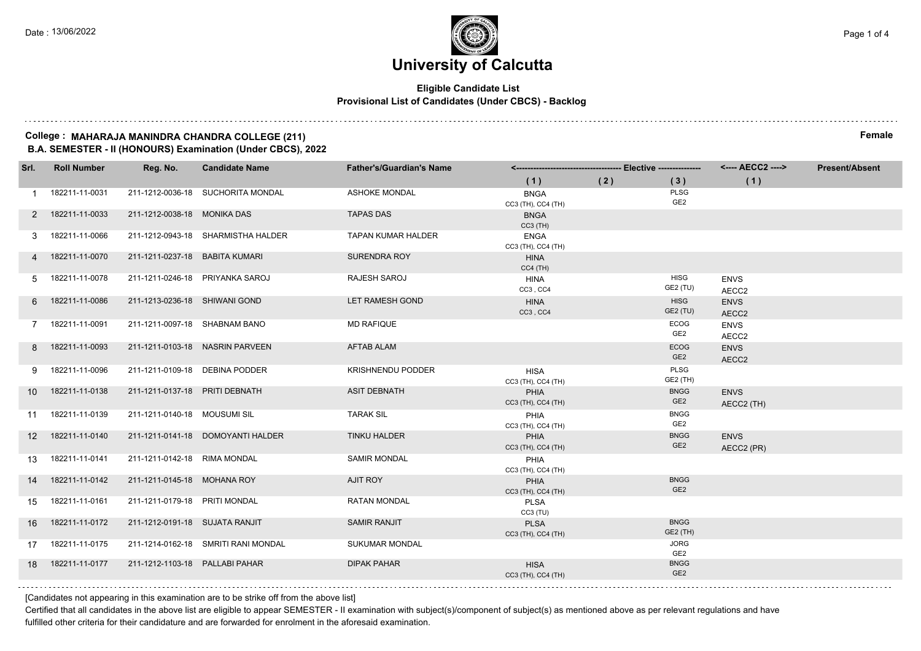#### **Eligible Candidate List Provisional List of Candidates (Under CBCS) - Backlog**

#### **College : MAHARAJA MANINDRA CHANDRA COLLEGE (211) Female B.A. SEMESTER - II (HONOURS) Examination (Under CBCS), 2022**

| Srl.             | <b>Roll Number</b> | Reg. No.                       | <b>Candidate Name</b>               | <b>Father's/Guardian's Name</b> |                                   |     |                                |                           | <b>Present/Absent</b> |
|------------------|--------------------|--------------------------------|-------------------------------------|---------------------------------|-----------------------------------|-----|--------------------------------|---------------------------|-----------------------|
|                  |                    |                                |                                     |                                 | (1)                               | (2) | (3)                            | (1)                       |                       |
| 1                | 182211-11-0031     |                                | 211-1212-0036-18 SUCHORITA MONDAL   | <b>ASHOKE MONDAL</b>            | <b>BNGA</b><br>CC3 (TH), CC4 (TH) |     | <b>PLSG</b><br>GE <sub>2</sub> |                           |                       |
| 2                | 182211-11-0033     | 211-1212-0038-18 MONIKA DAS    |                                     | <b>TAPAS DAS</b>                | <b>BNGA</b><br>$CC3$ (TH)         |     |                                |                           |                       |
| 3                | 182211-11-0066     |                                | 211-1212-0943-18 SHARMISTHA HALDER  | <b>TAPAN KUMAR HALDER</b>       | <b>ENGA</b><br>CC3 (TH), CC4 (TH) |     |                                |                           |                       |
| 4                | 182211-11-0070     | 211-1211-0237-18 BABITA KUMARI |                                     | <b>SURENDRA ROY</b>             | <b>HINA</b><br>$CC4$ (TH)         |     |                                |                           |                       |
| 5                | 182211-11-0078     |                                | 211-1211-0246-18 PRIYANKA SAROJ     | RAJESH SAROJ                    | HINA<br>CC3, CC4                  |     | <b>HISG</b><br>GE2 (TU)        | <b>ENVS</b><br>AECC2      |                       |
| 6                | 182211-11-0086     | 211-1213-0236-18 SHIWANI GOND  |                                     | LET RAMESH GOND                 | <b>HINA</b><br>CC3, CC4           |     | <b>HISG</b><br>GE2 (TU)        | <b>ENVS</b><br>AECC2      |                       |
| 7                | 182211-11-0091     | 211-1211-0097-18 SHABNAM BANO  |                                     | <b>MD RAFIQUE</b>               |                                   |     | ECOG<br>GE <sub>2</sub>        | <b>ENVS</b><br>AECC2      |                       |
| 8                | 182211-11-0093     |                                | 211-1211-0103-18 NASRIN PARVEEN     | <b>AFTAB ALAM</b>               |                                   |     | <b>ECOG</b><br>GE <sub>2</sub> | <b>ENVS</b><br>AECC2      |                       |
| 9                | 182211-11-0096     | 211-1211-0109-18 DEBINA PODDER |                                     | <b>KRISHNENDU PODDER</b>        | <b>HISA</b><br>CC3 (TH), CC4 (TH) |     | <b>PLSG</b><br>GE2 (TH)        |                           |                       |
| 10               | 182211-11-0138     | 211-1211-0137-18 PRITI DEBNATH |                                     | <b>ASIT DEBNATH</b>             | PHIA<br>CC3 (TH), CC4 (TH)        |     | <b>BNGG</b><br>GE <sub>2</sub> | <b>ENVS</b><br>AECC2 (TH) |                       |
| 11               | 182211-11-0139     | 211-1211-0140-18 MOUSUMI SIL   |                                     | <b>TARAK SIL</b>                | PHIA<br>CC3 (TH), CC4 (TH)        |     | <b>BNGG</b><br>GE <sub>2</sub> |                           |                       |
| 12 <sup>12</sup> | 182211-11-0140     |                                | 211-1211-0141-18 DOMOYANTI HALDER   | <b>TINKU HALDER</b>             | PHIA<br>CC3 (TH), CC4 (TH)        |     | <b>BNGG</b><br>GE <sub>2</sub> | <b>ENVS</b><br>AECC2 (PR) |                       |
| 13               | 182211-11-0141     | 211-1211-0142-18 RIMA MONDAL   |                                     | <b>SAMIR MONDAL</b>             | PHIA<br>CC3 (TH), CC4 (TH)        |     |                                |                           |                       |
| 14               | 182211-11-0142     | 211-1211-0145-18 MOHANA ROY    |                                     | <b>AJIT ROY</b>                 | PHIA<br>CC3 (TH), CC4 (TH)        |     | <b>BNGG</b><br>GE <sub>2</sub> |                           |                       |
| 15               | 182211-11-0161     | 211-1211-0179-18 PRITI MONDAL  |                                     | <b>RATAN MONDAL</b>             | <b>PLSA</b><br>CC3 (TU)           |     |                                |                           |                       |
| 16               | 182211-11-0172     | 211-1212-0191-18 SUJATA RANJIT |                                     | <b>SAMIR RANJIT</b>             | <b>PLSA</b><br>CC3 (TH), CC4 (TH) |     | <b>BNGG</b><br>GE2 (TH)        |                           |                       |
| 17               | 182211-11-0175     |                                | 211-1214-0162-18 SMRITI RANI MONDAL | <b>SUKUMAR MONDAL</b>           |                                   |     | <b>JORG</b><br>GE2             |                           |                       |
|                  | 18 182211-11-0177  | 211-1212-1103-18 PALLABI PAHAR |                                     | <b>DIPAK PAHAR</b>              | <b>HISA</b><br>CC3 (TH), CC4 (TH) |     | <b>BNGG</b><br>GE <sub>2</sub> |                           |                       |

[Candidates not appearing in this examination are to be strike off from the above list]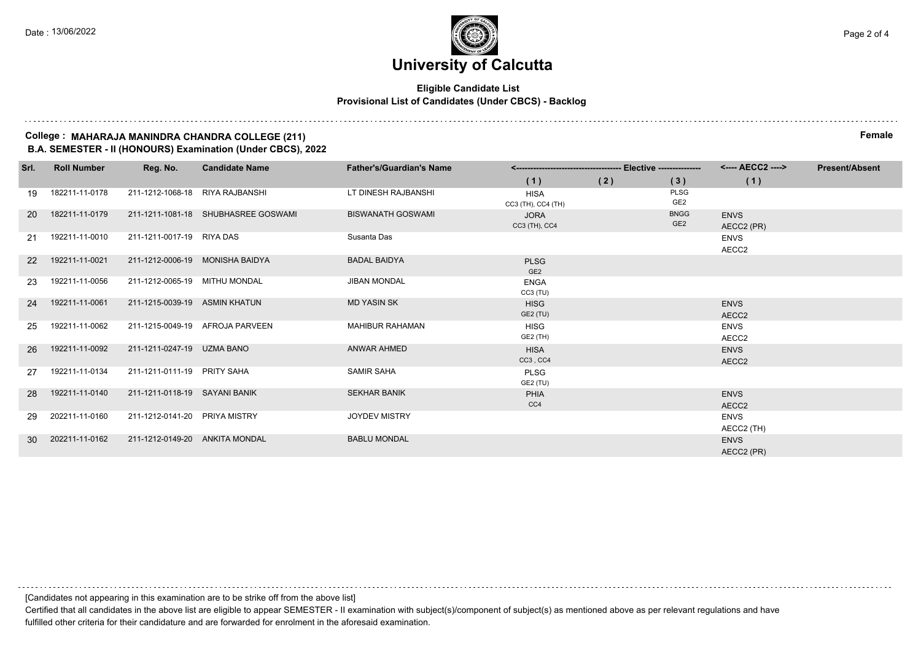#### **Eligible Candidate List Provisional List of Candidates (Under CBCS) - Backlog**

#### **College : MAHARAJA MANINDRA CHANDRA COLLEGE (211) Female B.A. SEMESTER - II (HONOURS) Examination (Under CBCS), 2022**

| Srl.      | <b>Roll Number</b> | Reg. No.                        | <b>Candidate Name</b>               | <b>Father's/Guardian's Name</b> |                                   |     |                                | <---- AECC2 ---->                | <b>Present/Absent</b> |
|-----------|--------------------|---------------------------------|-------------------------------------|---------------------------------|-----------------------------------|-----|--------------------------------|----------------------------------|-----------------------|
|           |                    |                                 |                                     |                                 | (1)                               | (2) | (3)                            | (1)                              |                       |
| 19        | 182211-11-0178     | 211-1212-1068-18 RIYA RAJBANSHI |                                     | LT DINESH RAJBANSHI             | <b>HISA</b><br>CC3 (TH), CC4 (TH) |     | PLSG<br>GE <sub>2</sub>        |                                  |                       |
| <b>20</b> | 182211-11-0179     |                                 | 211-1211-1081-18 SHUBHASREE GOSWAMI | <b>BISWANATH GOSWAMI</b>        | <b>JORA</b><br>CC3 (TH), CC4      |     | <b>BNGG</b><br>GE <sub>2</sub> | <b>ENVS</b><br>AECC2 (PR)        |                       |
| 21        | 192211-11-0010     | 211-1211-0017-19 RIYA DAS       |                                     | Susanta Das                     |                                   |     |                                | <b>ENVS</b><br>AECC2             |                       |
| 22        | 192211-11-0021     | 211-1212-0006-19 MONISHA BAIDYA |                                     | <b>BADAL BAIDYA</b>             | <b>PLSG</b><br>GE <sub>2</sub>    |     |                                |                                  |                       |
| 23        | 192211-11-0056     | 211-1212-0065-19 MITHU MONDAL   |                                     | <b>JIBAN MONDAL</b>             | <b>ENGA</b><br>$CC3$ (TU)         |     |                                |                                  |                       |
| 24        | 192211-11-0061     | 211-1215-0039-19 ASMIN KHATUN   |                                     | <b>MD YASIN SK</b>              | <b>HISG</b><br>GE2 (TU)           |     |                                | <b>ENVS</b><br>AECC <sub>2</sub> |                       |
| 25        | 192211-11-0062     |                                 | 211-1215-0049-19 AFROJA PARVEEN     | <b>MAHIBUR RAHAMAN</b>          | <b>HISG</b><br>GE2 (TH)           |     |                                | <b>ENVS</b><br>AECC2             |                       |
| 26        | 192211-11-0092     | 211-1211-0247-19 UZMA BANO      |                                     | <b>ANWAR AHMED</b>              | <b>HISA</b><br>CC3, CC4           |     |                                | <b>ENVS</b><br>AECC2             |                       |
| 27        | 192211-11-0134     | 211-1211-0111-19 PRITY SAHA     |                                     | <b>SAMIR SAHA</b>               | <b>PLSG</b><br>GE2 (TU)           |     |                                |                                  |                       |
| 28        | 192211-11-0140     | 211-1211-0118-19 SAYANI BANIK   |                                     | <b>SEKHAR BANIK</b>             | <b>PHIA</b><br>CC4                |     |                                | <b>ENVS</b><br>AECC2             |                       |
| 29        | 202211-11-0160     | 211-1212-0141-20 PRIYA MISTRY   |                                     | <b>JOYDEV MISTRY</b>            |                                   |     |                                | <b>ENVS</b><br>AECC2 (TH)        |                       |
| 30        | 202211-11-0162     | 211-1212-0149-20 ANKITA MONDAL  |                                     | <b>BABLU MONDAL</b>             |                                   |     |                                | <b>ENVS</b><br>AECC2 (PR)        |                       |

[Candidates not appearing in this examination are to be strike off from the above list]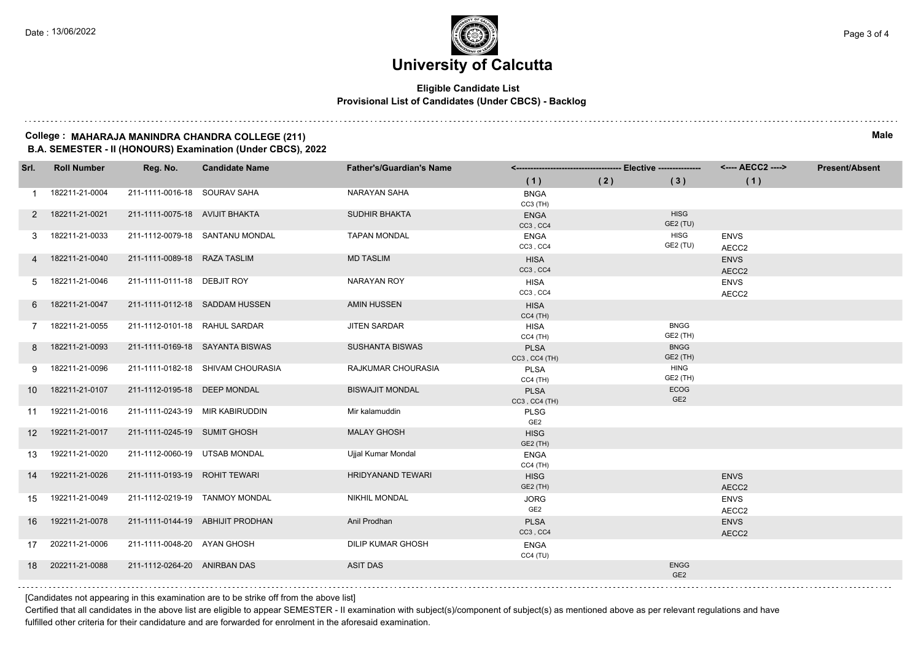#### **Eligible Candidate List Provisional List of Candidates (Under CBCS) - Backlog**

#### **College : MAHARAJA MANINDRA CHANDRA COLLEGE (211) Male B.A. SEMESTER - II (HONOURS) Examination (Under CBCS), 2022**

| Srl. | <b>Roll Number</b> | Reg. No.                        | <b>Candidate Name</b>             | <b>Father's/Guardian's Name</b> |                                | -- Elective --------------- |                                | <---- AECC2 ---->    | <b>Present/Absent</b> |
|------|--------------------|---------------------------------|-----------------------------------|---------------------------------|--------------------------------|-----------------------------|--------------------------------|----------------------|-----------------------|
|      |                    |                                 |                                   |                                 | (1)                            | (2)                         | (3)                            | (1)                  |                       |
|      | 182211-21-0004     | 211-1111-0016-18 SOURAV SAHA    |                                   | <b>NARAYAN SAHA</b>             | <b>BNGA</b><br>$CC3$ (TH)      |                             |                                |                      |                       |
| 2    | 182211-21-0021     | 211-1111-0075-18 AVIJIT BHAKTA  |                                   | <b>SUDHIR BHAKTA</b>            | <b>ENGA</b><br>CC3, CC4        |                             | <b>HISG</b><br>GE2 (TU)        |                      |                       |
|      | 182211-21-0033     |                                 | 211-1112-0079-18 SANTANU MONDAL   | <b>TAPAN MONDAL</b>             | <b>ENGA</b><br>CC3, CC4        |                             | <b>HISG</b><br>GE2 (TU)        | <b>ENVS</b><br>AECC2 |                       |
|      | 182211-21-0040     | 211-1111-0089-18 RAZA TASLIM    |                                   | <b>MD TASLIM</b>                | <b>HISA</b><br>CC3, CC4        |                             |                                | <b>ENVS</b><br>AECC2 |                       |
| 5    | 182211-21-0046     | 211-1111-0111-18 DEBJIT ROY     |                                   | <b>NARAYAN ROY</b>              | <b>HISA</b><br>CC3, CC4        |                             |                                | <b>ENVS</b><br>AECC2 |                       |
| 6    | 182211-21-0047     |                                 | 211-1111-0112-18 SADDAM HUSSEN    | <b>AMIN HUSSEN</b>              | <b>HISA</b><br>$CC4$ (TH)      |                             |                                |                      |                       |
| 7    | 182211-21-0055     | 211-1112-0101-18 RAHUL SARDAR   |                                   | <b>JITEN SARDAR</b>             | HISA<br>$CC4$ (TH)             |                             | <b>BNGG</b><br><b>GE2 (TH)</b> |                      |                       |
| 8    | 182211-21-0093     |                                 | 211-1111-0169-18 SAYANTA BISWAS   | <b>SUSHANTA BISWAS</b>          | <b>PLSA</b><br>CC3, CC4 (TH)   |                             | <b>BNGG</b><br>GE2 (TH)        |                      |                       |
| 9    | 182211-21-0096     |                                 | 211-1111-0182-18 SHIVAM CHOURASIA | RAJKUMAR CHOURASIA              | <b>PLSA</b><br>$CC4$ (TH)      |                             | <b>HING</b><br><b>GE2 (TH)</b> |                      |                       |
| 10   | 182211-21-0107     | 211-1112-0195-18 DEEP MONDAL    |                                   | <b>BISWAJIT MONDAL</b>          | <b>PLSA</b><br>CC3, CC4 (TH)   |                             | ECOG<br>GE <sub>2</sub>        |                      |                       |
| 11   | 192211-21-0016     | 211-1111-0243-19 MIR KABIRUDDIN |                                   | Mir kalamuddin                  | PLSG<br>GE <sub>2</sub>        |                             |                                |                      |                       |
| 12   | 192211-21-0017     | 211-1111-0245-19 SUMIT GHOSH    |                                   | <b>MALAY GHOSH</b>              | <b>HISG</b><br>GE2 (TH)        |                             |                                |                      |                       |
| 13   | 192211-21-0020     | 211-1112-0060-19 UTSAB MONDAL   |                                   | Ujjal Kumar Mondal              | <b>ENGA</b><br>$CC4$ (TH)      |                             |                                |                      |                       |
| 14   | 192211-21-0026     | 211-1111-0193-19 ROHIT TEWARI   |                                   | <b>HRIDYANAND TEWARI</b>        | <b>HISG</b><br>GE2 (TH)        |                             |                                | <b>ENVS</b><br>AECC2 |                       |
| 15   | 192211-21-0049     |                                 | 211-1112-0219-19 TANMOY MONDAL    | <b>NIKHIL MONDAL</b>            | <b>JORG</b><br>GE <sub>2</sub> |                             |                                | <b>ENVS</b><br>AECC2 |                       |
| 16   | 192211-21-0078     |                                 | 211-1111-0144-19 ABHIJIT PRODHAN  | Anil Prodhan                    | <b>PLSA</b><br>CC3, CC4        |                             |                                | <b>ENVS</b><br>AECC2 |                       |
| 17   | 202211-21-0006     | 211-1111-0048-20 AYAN GHOSH     |                                   | <b>DILIP KUMAR GHOSH</b>        | <b>ENGA</b><br>CC4(TU)         |                             |                                |                      |                       |
| 18   | 202211-21-0088     | 211-1112-0264-20 ANIRBAN DAS    |                                   | <b>ASIT DAS</b>                 |                                |                             | <b>ENGG</b><br>GE <sub>2</sub> |                      |                       |
|      |                    |                                 |                                   |                                 |                                |                             |                                |                      |                       |

[Candidates not appearing in this examination are to be strike off from the above list]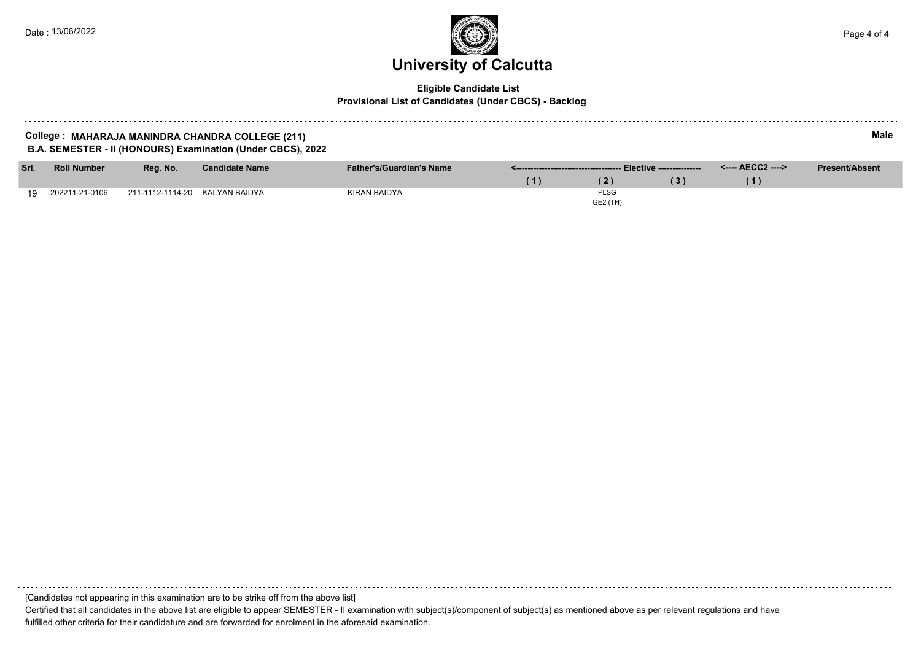#### **Eligible Candidate List Provisional List of Candidates (Under CBCS) - Backlog**

#### **College : MAHARAJA MANINDRA CHANDRA COLLEGE (211) Male B.A. SEMESTER - II (HONOURS) Examination (Under CBCS), 2022**

| Srl. | <b>Roll Number</b> | Reg. No.                       | <b>Candidate Name</b> | <b>Father's/Guardian's Name</b> |                 | <---- AECC2 ----> | <b>Present/Absent</b> |
|------|--------------------|--------------------------------|-----------------------|---------------------------------|-----------------|-------------------|-----------------------|
|      |                    |                                |                       |                                 |                 |                   |                       |
| 10   | 202211-21-0106     | 211-1112-1114-20 KALYAN BAIDYA |                       | KIRAN BAIDYA                    | <b>PLSG</b>     |                   |                       |
|      |                    |                                |                       |                                 | <b>GE2 (TH)</b> |                   |                       |

[Candidates not appearing in this examination are to be strike off from the above list]

Certified that all candidates in the above list are eligible to appear SEMESTER - II examination with subject(s)/component of subject(s) as mentioned above as per relevant regulations and have fulfilled other criteria for their candidature and are forwarded for enrolment in the aforesaid examination.

a shekara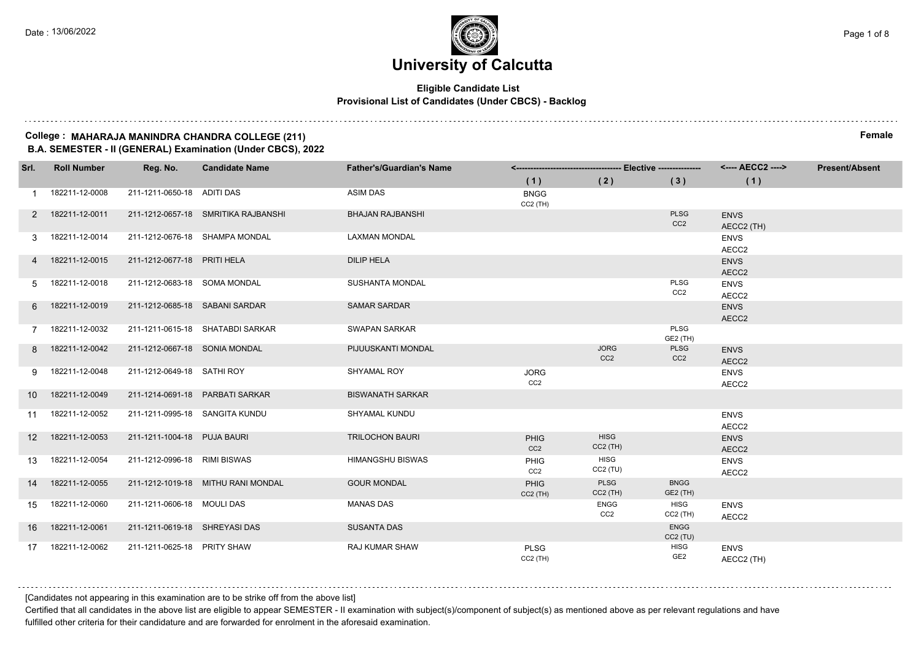#### **Eligible Candidate List Provisional List of Candidates (Under CBCS) - Backlog**

#### **College : MAHARAJA MANINDRA CHANDRA COLLEGE (211) Female B.A. SEMESTER - II (GENERAL) Examination (Under CBCS), 2022**

**Srl. Roll Number Reg. No. Candidate Name Father's/Guardian's Name <------------------------------------- Elective --------------- <---- AECC2 ----> ( 1 ) ( 2 ) ( 3 ) ( 1 ) Present/Absent** 1 182211-12-0008 211-1211-0650-18 ADITI DAS ASIM DAS ASIM DAS CC2 (TH) 2 182211-12-0011 211-1212-0657-18 SMRITIKA RAJBANSHI BHAJAN RAJBANSHI PLSG C<sub>C2</sub> **ENVS** AECC2 (TH) 3 182211-12-0014 211-1212-0676-18 SHAMPA MONDAL LAXMAN MONDAL ENVS AECC2 4 182211-12-0015 211-1212-0677-18 PRITI HELA DILIP HELA ENVS AECC2 5 182211-12-0018 211-1212-0683-18 SOMA MONDAL SUSHANTA MONDAL PLSG CC2 ENVS AECC<sub>2</sub> 6 182211-12-0019 211-1212-0685-18 SABANI SARDAR SAMAR SARDAR ENVS AECC2 7 182211-12-0032 211-1211-0615-18 SHATABDI SARKAR SWAPAN SARKAR PLSG GE2 (TH) 8 182211-12-0042 211-1212-0667-18 SONIA MONDAL PIJUUSKANTI MONDAL JORG C<sub>C2</sub> PLSG CC<sub>2</sub> ENVS AECC2 9 182211-12-0048 211-1212-0649-18 SATHI ROY SHYAMAL ROY JORG C<sub>C2</sub> ENVS AECC2 10 182211-12-0049 211-1214-0691-18 PARBATI SARKAR BISWANATH SARKAR 11 182211-12-0052 211-1211-0995-18 SANGITA KUNDU SHYAMAL KUNDU ENVS AECC2 12 182211-12-0053 211-1211-1004-18 PUJA BAURI TRILOCHON BAURI PHIG CC<sub>2</sub> **HISG** CC2 (TH) ENVS AECC2 13 182211-12-0054 211-1212-0996-18 RIMI BISWAS HIMANGSHU BISWAS PHIG CC<sub>2</sub> HISG CC2 (TU) ENVS AECC2 14 182211-12-0055 211-1212-1019-18 MITHU RANI MONDAL GOUR MONDAL PHIG CC2 (TH) PLSG CC2 (TH) BNGG GE2 (TH) 15 182211-12-0060 211-1211-0606-18 MOULI DAS MANAS DAS ENGG CC2 **HISG** CC2 (TH) ENVS AECC2 16 182211-12-0061 211-1211-0619-18 SHREYASI DAS SUSANTA DAS ENGG CC2 (TU) 17 182211-12-0062 211-1211-0625-18 PRITY SHAW RAJ KUMAR SHAW PLSG CC2 (TH) **HISG** GE2 ENVS AECC2 (TH)

[Candidates not appearing in this examination are to be strike off from the above list]

Certified that all candidates in the above list are eligible to appear SEMESTER - II examination with subject(s)/component of subject(s) as mentioned above as per relevant regulations and have fulfilled other criteria for their candidature and are forwarded for enrolment in the aforesaid examination.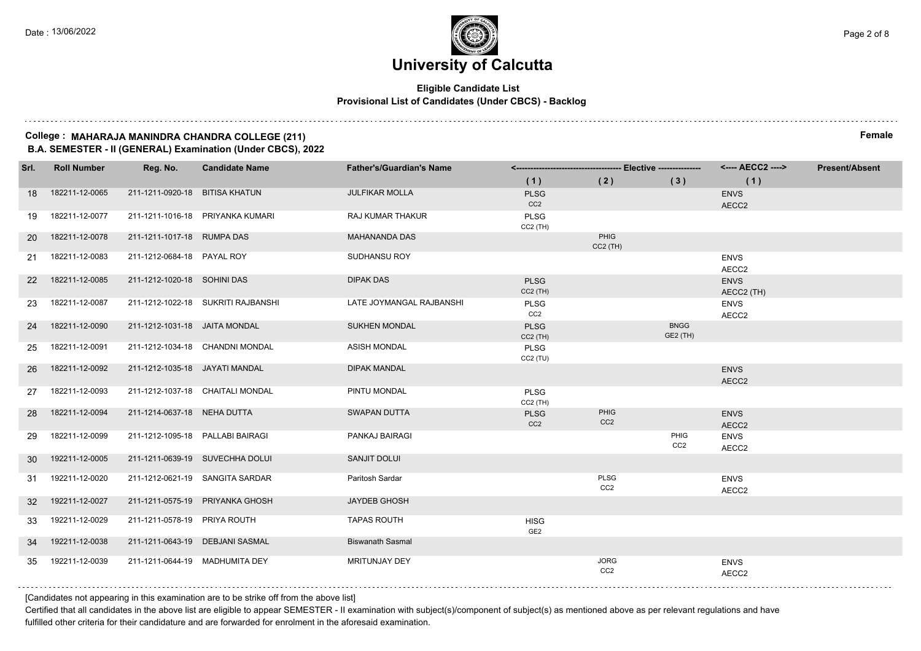#### **Eligible Candidate List Provisional List of Candidates (Under CBCS) - Backlog**

#### **College : MAHARAJA MANINDRA CHANDRA COLLEGE (211) Female B.A. SEMESTER - II (GENERAL) Examination (Under CBCS), 2022**

| Srl.            | <b>Roll Number</b> | Reg. No.                         | <b>Candidate Name</b>              | <b>Father's/Guardian's Name</b> |                                |                                |                                | <---- AECC2 ---->         | <b>Present/Absent</b> |
|-----------------|--------------------|----------------------------------|------------------------------------|---------------------------------|--------------------------------|--------------------------------|--------------------------------|---------------------------|-----------------------|
|                 |                    |                                  |                                    |                                 | (1)                            | (2)                            | (3)                            | (1)                       |                       |
| 18              | 182211-12-0065     | 211-1211-0920-18 BITISA KHATUN   |                                    | <b>JULFIKAR MOLLA</b>           | <b>PLSG</b><br>CC <sub>2</sub> |                                |                                | <b>ENVS</b><br>AECC2      |                       |
| 19              | 182211-12-0077     |                                  | 211-1211-1016-18 PRIYANKA KUMARI   | RAJ KUMAR THAKUR                | <b>PLSG</b><br>$CC2$ (TH)      |                                |                                |                           |                       |
| 20              | 182211-12-0078     | 211-1211-1017-18 RUMPA DAS       |                                    | <b>MAHANANDA DAS</b>            |                                | PHIG<br>$CC2$ (TH)             |                                |                           |                       |
| 21              | 182211-12-0083     | 211-1212-0684-18 PAYAL ROY       |                                    | <b>SUDHANSU ROY</b>             |                                |                                |                                | <b>ENVS</b><br>AECC2      |                       |
| 22              | 182211-12-0085     | 211-1212-1020-18 SOHINI DAS      |                                    | <b>DIPAK DAS</b>                | <b>PLSG</b><br>$CC2$ (TH)      |                                |                                | <b>ENVS</b><br>AECC2 (TH) |                       |
| 23              | 182211-12-0087     |                                  | 211-1212-1022-18 SUKRITI RAJBANSHI | LATE JOYMANGAL RAJBANSHI        | <b>PLSG</b><br>CC <sub>2</sub> |                                |                                | <b>ENVS</b><br>AECC2      |                       |
| 24              | 182211-12-0090     | 211-1212-1031-18 JAITA MONDAL    |                                    | <b>SUKHEN MONDAL</b>            | <b>PLSG</b><br>$CC2$ (TH)      |                                | <b>BNGG</b><br><b>GE2 (TH)</b> |                           |                       |
| 25              | 182211-12-0091     |                                  | 211-1212-1034-18 CHANDNI MONDAL    | <b>ASISH MONDAL</b>             | <b>PLSG</b><br>CC2(TU)         |                                |                                |                           |                       |
| 26              | 182211-12-0092     | 211-1212-1035-18 JAYATI MANDAL   |                                    | <b>DIPAK MANDAL</b>             |                                |                                |                                | <b>ENVS</b><br>AECC2      |                       |
| 27              | 182211-12-0093     |                                  | 211-1212-1037-18 CHAITALI MONDAL   | PINTU MONDAL                    | <b>PLSG</b><br>$CC2$ (TH)      |                                |                                |                           |                       |
| 28              | 182211-12-0094     | 211-1214-0637-18 NEHA DUTTA      |                                    | <b>SWAPAN DUTTA</b>             | <b>PLSG</b><br>CC <sub>2</sub> | PHIG<br>CC <sub>2</sub>        |                                | <b>ENVS</b><br>AECC2      |                       |
| 29              | 182211-12-0099     | 211-1212-1095-18 PALLABI BAIRAGI |                                    | PANKAJ BAIRAGI                  |                                |                                | PHIG<br>CC <sub>2</sub>        | <b>ENVS</b><br>AECC2      |                       |
| 30              | 192211-12-0005     |                                  | 211-1211-0639-19 SUVECHHA DOLUI    | <b>SANJIT DOLUI</b>             |                                |                                |                                |                           |                       |
| 31              | 192211-12-0020     |                                  | 211-1212-0621-19 SANGITA SARDAR    | Paritosh Sardar                 |                                | PLSG<br>CC <sub>2</sub>        |                                | <b>ENVS</b><br>AECC2      |                       |
| 32 <sup>2</sup> | 192211-12-0027     |                                  | 211-1211-0575-19 PRIYANKA GHOSH    | <b>JAYDEB GHOSH</b>             |                                |                                |                                |                           |                       |
| 33              | 192211-12-0029     | 211-1211-0578-19 PRIYA ROUTH     |                                    | <b>TAPAS ROUTH</b>              | <b>HISG</b><br>GE <sub>2</sub> |                                |                                |                           |                       |
| 34              | 192211-12-0038     |                                  | 211-1211-0643-19 DEBJANI SASMAL    | <b>Biswanath Sasmal</b>         |                                |                                |                                |                           |                       |
| 35              | 192211-12-0039     | 211-1211-0644-19 MADHUMITA DEY   |                                    | MRITUNJAY DEY                   |                                | <b>JORG</b><br>CC <sub>2</sub> |                                | <b>ENVS</b><br>AECC2      |                       |

[Candidates not appearing in this examination are to be strike off from the above list]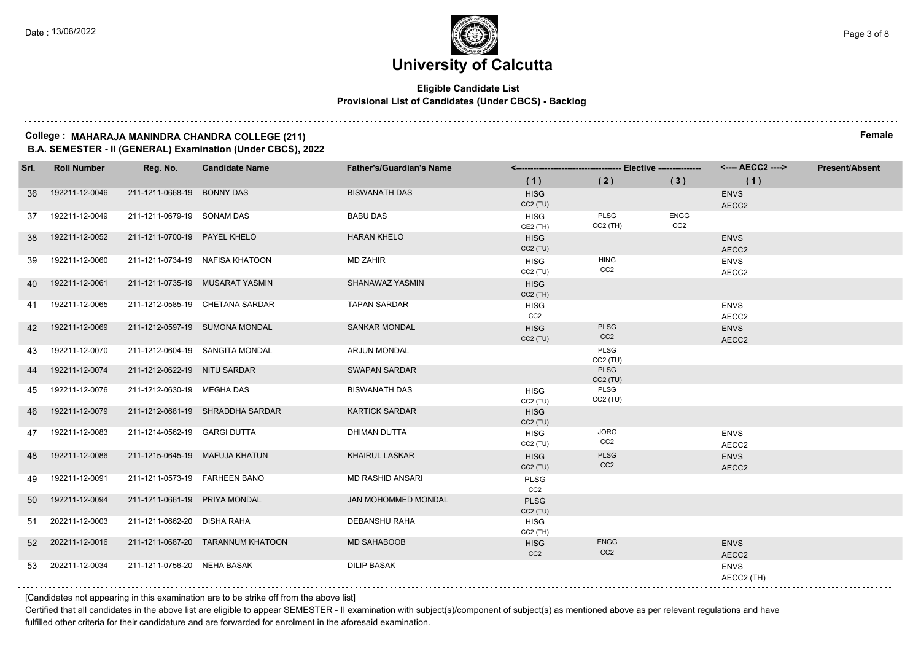#### **Eligible Candidate List Provisional List of Candidates (Under CBCS) - Backlog**

#### **College : MAHARAJA MANINDRA CHANDRA COLLEGE (211) Female B.A. SEMESTER - II (GENERAL) Examination (Under CBCS), 2022**

| Srl. | <b>Roll Number</b> | Reg. No.                       | <b>Candidate Name</b>             | <b>Father's/Guardian's Name</b> |                                |                                |                                | <---- AECC2 ---->         | <b>Present/Absent</b> |
|------|--------------------|--------------------------------|-----------------------------------|---------------------------------|--------------------------------|--------------------------------|--------------------------------|---------------------------|-----------------------|
|      |                    |                                |                                   |                                 | (1)                            | (2)                            | (3)                            | (1)                       |                       |
| 36   | 192211-12-0046     | 211-1211-0668-19 BONNY DAS     |                                   | <b>BISWANATH DAS</b>            | <b>HISG</b><br>CC2(TU)         |                                |                                | <b>ENVS</b><br>AECC2      |                       |
| 37   | 192211-12-0049     | 211-1211-0679-19 SONAM DAS     |                                   | <b>BABU DAS</b>                 | <b>HISG</b><br>GE2 (TH)        | PLSG<br>$CC2$ (TH)             | <b>ENGG</b><br>CC <sub>2</sub> |                           |                       |
| 38   | 192211-12-0052     | 211-1211-0700-19 PAYEL KHELO   |                                   | <b>HARAN KHELO</b>              | <b>HISG</b><br>CC2(TU)         |                                |                                | <b>ENVS</b><br>AECC2      |                       |
| 39   | 192211-12-0060     |                                | 211-1211-0734-19 NAFISA KHATOON   | MD ZAHIR                        | <b>HISG</b><br>CC2(TU)         | <b>HING</b><br>CC <sub>2</sub> |                                | <b>ENVS</b><br>AECC2      |                       |
| 40   | 192211-12-0061     |                                | 211-1211-0735-19 MUSARAT YASMIN   | SHANAWAZ YASMIN                 | <b>HISG</b><br>$CC2$ (TH)      |                                |                                |                           |                       |
| 41   | 192211-12-0065     |                                | 211-1212-0585-19 CHETANA SARDAR   | <b>TAPAN SARDAR</b>             | <b>HISG</b><br>CC <sub>2</sub> |                                |                                | <b>ENVS</b><br>AECC2      |                       |
| 42   | 192211-12-0069     |                                | 211-1212-0597-19 SUMONA MONDAL    | <b>SANKAR MONDAL</b>            | <b>HISG</b><br>CC2(TU)         | <b>PLSG</b><br>CC <sub>2</sub> |                                | <b>ENVS</b><br>AECC2      |                       |
| 43.  | 192211-12-0070     |                                | 211-1212-0604-19 SANGITA MONDAL   | <b>ARJUN MONDAL</b>             |                                | PLSG<br>$CC2$ (TU)             |                                |                           |                       |
| 44   | 192211-12-0074     | 211-1212-0622-19 NITU SARDAR   |                                   | <b>SWAPAN SARDAR</b>            |                                | <b>PLSG</b><br>$CC2$ (TU)      |                                |                           |                       |
| 45   | 192211-12-0076     | 211-1212-0630-19 MEGHA DAS     |                                   | <b>BISWANATH DAS</b>            | <b>HISG</b><br>CC2(TU)         | PLSG<br>$CC2$ (TU)             |                                |                           |                       |
| 46   | 192211-12-0079     |                                | 211-1212-0681-19 SHRADDHA SARDAR  | <b>KARTICK SARDAR</b>           | <b>HISG</b><br>CC2(TU)         |                                |                                |                           |                       |
| 47   | 192211-12-0083     | 211-1214-0562-19 GARGI DUTTA   |                                   | <b>DHIMAN DUTTA</b>             | <b>HISG</b><br>CC2(TU)         | <b>JORG</b><br>CC <sub>2</sub> |                                | <b>ENVS</b><br>AECC2      |                       |
| 48   | 192211-12-0086     | 211-1215-0645-19 MAFUJA KHATUN |                                   | <b>KHAIRUL LASKAR</b>           | <b>HISG</b><br>CC2(TU)         | <b>PLSG</b><br>CC <sub>2</sub> |                                | <b>ENVS</b><br>AECC2      |                       |
| 49   | 192211-12-0091     | 211-1211-0573-19 FARHEEN BANO  |                                   | <b>MD RASHID ANSARI</b>         | <b>PLSG</b><br>CC <sub>2</sub> |                                |                                |                           |                       |
| 50   | 192211-12-0094     | 211-1211-0661-19 PRIYA MONDAL  |                                   | JAN MOHOMMED MONDAL             | <b>PLSG</b><br>CC2(TU)         |                                |                                |                           |                       |
| 51   | 202211-12-0003     | 211-1211-0662-20 DISHA RAHA    |                                   | <b>DEBANSHU RAHA</b>            | <b>HISG</b><br>$CC2$ (TH)      |                                |                                |                           |                       |
| 52   | 202211-12-0016     |                                | 211-1211-0687-20 TARANNUM KHATOON | <b>MD SAHABOOB</b>              | <b>HISG</b><br>CC <sub>2</sub> | <b>ENGG</b><br>CC <sub>2</sub> |                                | <b>ENVS</b><br>AECC2      |                       |
| 53   | 202211-12-0034     | 211-1211-0756-20 NEHA BASAK    |                                   | <b>DILIP BASAK</b>              |                                |                                |                                | <b>ENVS</b><br>AECC2 (TH) |                       |

[Candidates not appearing in this examination are to be strike off from the above list]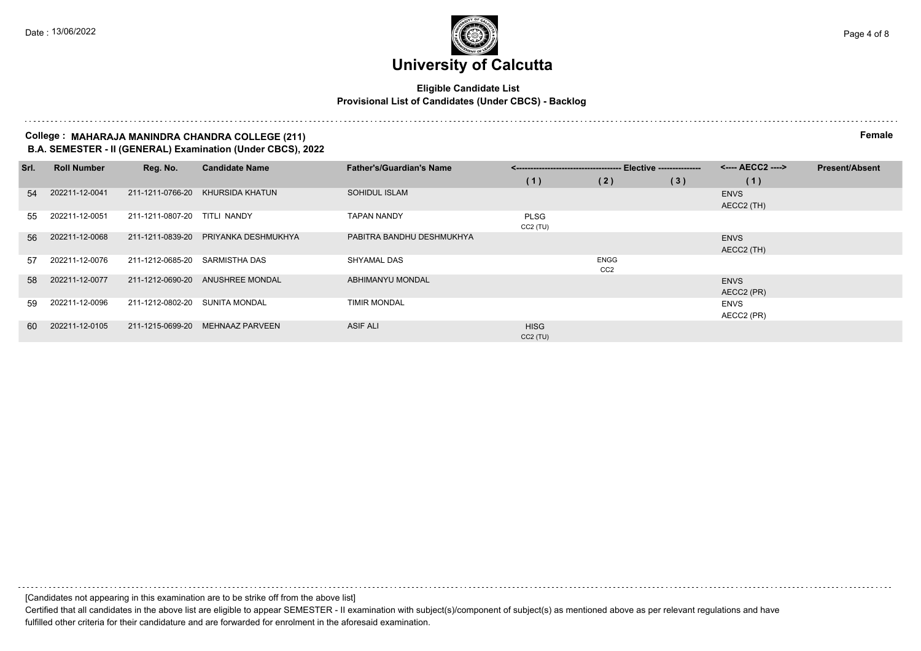#### **Eligible Candidate List Provisional List of Candidates (Under CBCS) - Backlog**

#### **College : MAHARAJA MANINDRA CHANDRA COLLEGE (211) Female B.A. SEMESTER - II (GENERAL) Examination (Under CBCS), 2022**

| Srl. | <b>Roll Number</b> | Reg. No.         | <b>Candidate Name</b>  | <b>Father's/Guardian's Name</b> |             | --- Elective --------------- |     | <---- AECC2 ----> | <b>Present/Absent</b> |
|------|--------------------|------------------|------------------------|---------------------------------|-------------|------------------------------|-----|-------------------|-----------------------|
|      |                    |                  |                        |                                 | (1)         | (2)                          | (3) | (1)               |                       |
| 54   | 202211-12-0041     | 211-1211-0766-20 | KHURSIDA KHATUN        | SOHIDUL ISLAM                   |             |                              |     | <b>ENVS</b>       |                       |
|      |                    |                  |                        |                                 |             |                              |     | AECC2 (TH)        |                       |
| 55   | 202211-12-0051     | 211-1211-0807-20 | TITLI NANDY            | <b>TAPAN NANDY</b>              | <b>PLSG</b> |                              |     |                   |                       |
|      |                    |                  |                        |                                 | CC2 (TU)    |                              |     |                   |                       |
| 56   | 202211-12-0068     | 211-1211-0839-20 | PRIYANKA DESHMUKHYA    | PABITRA BANDHU DESHMUKHYA       |             |                              |     | <b>ENVS</b>       |                       |
|      |                    |                  |                        |                                 |             |                              |     | AECC2 (TH)        |                       |
| 57   | 202211-12-0076     | 211-1212-0685-20 | SARMISTHA DAS          | SHYAMAL DAS                     |             | <b>ENGG</b>                  |     |                   |                       |
|      |                    |                  |                        |                                 |             | CC <sub>2</sub>              |     |                   |                       |
| 58   | 202211-12-0077     | 211-1212-0690-20 | ANUSHREE MONDAL        | ABHIMANYU MONDAL                |             |                              |     | <b>ENVS</b>       |                       |
|      |                    |                  |                        |                                 |             |                              |     | AECC2 (PR)        |                       |
| 59   | 202211-12-0096     | 211-1212-0802-20 | SUNITA MONDAL          | <b>TIMIR MONDAL</b>             |             |                              |     | ENVS              |                       |
|      |                    |                  |                        |                                 |             |                              |     | AECC2 (PR)        |                       |
| 60   | 202211-12-0105     | 211-1215-0699-20 | <b>MEHNAAZ PARVEEN</b> | <b>ASIF ALI</b>                 | <b>HISG</b> |                              |     |                   |                       |
|      |                    |                  |                        |                                 | $CC2$ (TU)  |                              |     |                   |                       |

[Candidates not appearing in this examination are to be strike off from the above list] Certified that all candidates in the above list are eligible to appear SEMESTER - II examination with subject(s)/component of subject(s) as mentioned above as per relevant regulations and have

fulfilled other criteria for their candidature and are forwarded for enrolment in the aforesaid examination.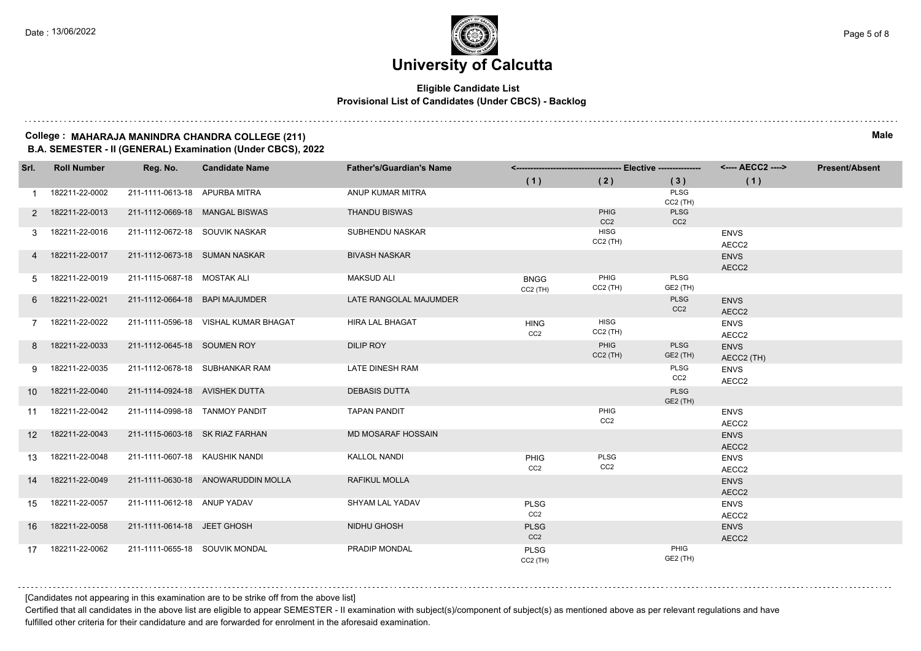#### **Eligible Candidate List Provisional List of Candidates (Under CBCS) - Backlog**

#### **College : MAHARAJA MANINDRA CHANDRA COLLEGE (211) Male B.A. SEMESTER - II (GENERAL) Examination (Under CBCS), 2022**

| Srl.            | <b>Roll Number</b> | Reg. No.                        | <b>Candidate Name</b>                | <b>Father's/Guardian's Name</b> |                                |                           |                                | <---- AECC2 ---->         | <b>Present/Absent</b> |
|-----------------|--------------------|---------------------------------|--------------------------------------|---------------------------------|--------------------------------|---------------------------|--------------------------------|---------------------------|-----------------------|
|                 |                    |                                 |                                      |                                 | (1)                            | (2)                       | (3)                            | (1)                       |                       |
| $\mathbf{1}$    | 182211-22-0002     | 211-1111-0613-18 APURBA MITRA   |                                      | ANUP KUMAR MITRA                |                                |                           | PLSG                           |                           |                       |
| 2               | 182211-22-0013     |                                 | 211-1112-0669-18 MANGAL BISWAS       | <b>THANDU BISWAS</b>            |                                | PHIG                      | $CC2$ (TH)<br>PLSG             |                           |                       |
|                 |                    |                                 |                                      |                                 |                                | CC <sub>2</sub>           | CC <sub>2</sub>                |                           |                       |
| 3               | 182211-22-0016     | 211-1112-0672-18 SOUVIK NASKAR  |                                      | <b>SUBHENDU NASKAR</b>          |                                | <b>HISG</b><br>$CC2$ (TH) |                                | <b>ENVS</b><br>AECC2      |                       |
|                 | 182211-22-0017     | 211-1112-0673-18 SUMAN NASKAR   |                                      | <b>BIVASH NASKAR</b>            |                                |                           |                                | <b>ENVS</b><br>AECC2      |                       |
| 5               | 182211-22-0019     | 211-1115-0687-18 MOSTAK ALI     |                                      | <b>MAKSUD ALI</b>               | <b>BNGG</b><br>$CC2$ (TH)      | PHIG<br>$CC2$ (TH)        | <b>PLSG</b><br>GE2 (TH)        |                           |                       |
| 6               | 182211-22-0021     | 211-1112-0664-18 BAPI MAJUMDER  |                                      | LATE RANGOLAL MAJUMDER          |                                |                           | <b>PLSG</b><br>CC <sub>2</sub> | <b>ENVS</b><br>AECC2      |                       |
| 7               | 182211-22-0022     |                                 | 211-1111-0596-18 VISHAL KUMAR BHAGAT | <b>HIRA LAL BHAGAT</b>          | <b>HING</b><br>CC <sub>2</sub> | <b>HISG</b><br>$CC2$ (TH) |                                | <b>ENVS</b><br>AECC2      |                       |
| 8               | 182211-22-0033     | 211-1112-0645-18 SOUMEN ROY     |                                      | <b>DILIP ROY</b>                |                                | PHIG<br>$CC2$ (TH)        | <b>PLSG</b><br>GE2 (TH)        | <b>ENVS</b><br>AECC2 (TH) |                       |
| 9               | 182211-22-0035     |                                 | 211-1112-0678-18 SUBHANKAR RAM       | LATE DINESH RAM                 |                                |                           | PLSG<br>CC2                    | <b>ENVS</b><br>AECC2      |                       |
| 10 <sup>°</sup> | 182211-22-0040     | 211-1114-0924-18 AVISHEK DUTTA  |                                      | <b>DEBASIS DUTTA</b>            |                                |                           | <b>PLSG</b><br>GE2 (TH)        |                           |                       |
| 11              | 182211-22-0042     | 211-1114-0998-18 TANMOY PANDIT  |                                      | <b>TAPAN PANDIT</b>             |                                | PHIG<br>CC <sub>2</sub>   |                                | <b>ENVS</b><br>AECC2      |                       |
| 12 <sup>2</sup> | 182211-22-0043     | 211-1115-0603-18 SK RIAZ FARHAN |                                      | <b>MD MOSARAF HOSSAIN</b>       |                                |                           |                                | <b>ENVS</b><br>AECC2      |                       |
| 13              | 182211-22-0048     | 211-1111-0607-18 KAUSHIK NANDI  |                                      | <b>KALLOL NANDI</b>             | <b>PHIG</b><br>CC <sub>2</sub> | PLSG<br>CC <sub>2</sub>   |                                | <b>ENVS</b><br>AECC2      |                       |
| 14              | 182211-22-0049     |                                 | 211-1111-0630-18 ANOWARUDDIN MOLLA   | <b>RAFIKUL MOLLA</b>            |                                |                           |                                | <b>ENVS</b><br>AECC2      |                       |
| 15              | 182211-22-0057     | 211-1111-0612-18 ANUP YADAV     |                                      | <b>SHYAM LAL YADAV</b>          | <b>PLSG</b><br>CC <sub>2</sub> |                           |                                | <b>ENVS</b><br>AECC2      |                       |
| 16              | 182211-22-0058     | 211-1111-0614-18 JEET GHOSH     |                                      | NIDHU GHOSH                     | <b>PLSG</b><br>CC <sub>2</sub> |                           |                                | <b>ENVS</b><br>AECC2      |                       |
| 17              | 182211-22-0062     | 211-1111-0655-18 SOUVIK MONDAL  |                                      | PRADIP MONDAL                   | <b>PLSG</b><br>$CC2$ (TH)      |                           | PHIG<br>GE2 (TH)               |                           |                       |

[Candidates not appearing in this examination are to be strike off from the above list]

Certified that all candidates in the above list are eligible to appear SEMESTER - II examination with subject(s)/component of subject(s) as mentioned above as per relevant regulations and have fulfilled other criteria for their candidature and are forwarded for enrolment in the aforesaid examination.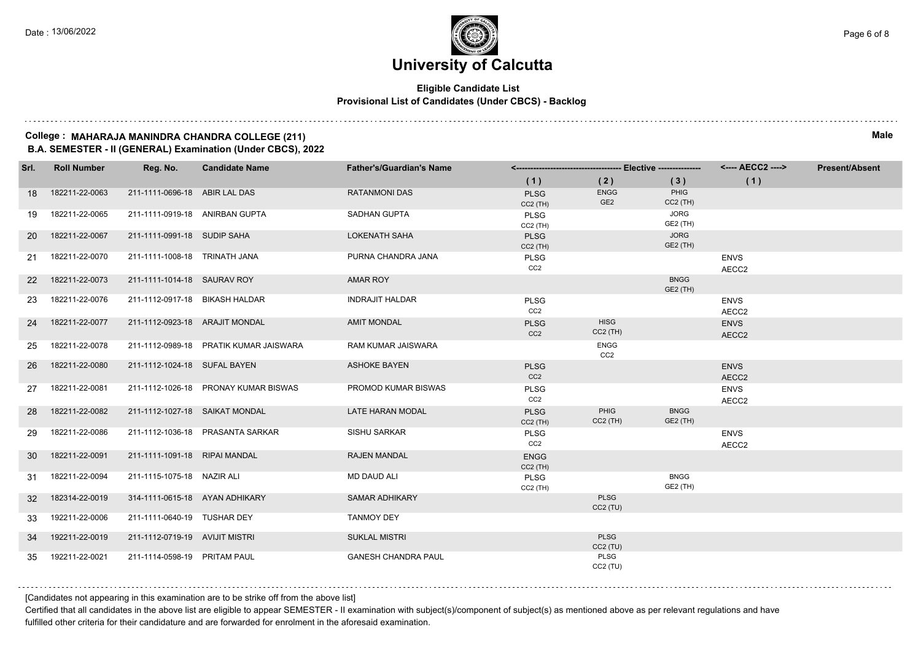#### **Eligible Candidate List Provisional List of Candidates (Under CBCS) - Backlog**

#### **College : MAHARAJA MANINDRA CHANDRA COLLEGE (211) Male B.A. SEMESTER - II (GENERAL) Examination (Under CBCS), 2022**

| Srl.            | <b>Roll Number</b> | Reg. No.                       | <b>Candidate Name</b>                  | <b>Father's/Guardian's Name</b> |                                |                                |                         | <---- AECC2 ---->    | <b>Present/Absent</b> |
|-----------------|--------------------|--------------------------------|----------------------------------------|---------------------------------|--------------------------------|--------------------------------|-------------------------|----------------------|-----------------------|
|                 |                    |                                |                                        |                                 | (1)                            | (2)                            | (3)                     | (1)                  |                       |
| 18              | 182211-22-0063     | 211-1111-0696-18 ABIR LAL DAS  |                                        | <b>RATANMONI DAS</b>            | <b>PLSG</b><br>$CC2$ (TH)      | <b>ENGG</b><br>GE <sub>2</sub> | PHIG<br>$CC2$ (TH)      |                      |                       |
| 19              | 182211-22-0065     | 211-1111-0919-18 ANIRBAN GUPTA |                                        | <b>SADHAN GUPTA</b>             | <b>PLSG</b><br>$CC2$ (TH)      |                                | <b>JORG</b><br>GE2 (TH) |                      |                       |
| <b>20</b>       | 182211-22-0067     | 211-1111-0991-18 SUDIP SAHA    |                                        | <b>LOKENATH SAHA</b>            | <b>PLSG</b><br>$CC2$ (TH)      |                                | <b>JORG</b><br>GE2 (TH) |                      |                       |
| 21              | 182211-22-0070     | 211-1111-1008-18 TRINATH JANA  |                                        | PURNA CHANDRA JANA              | <b>PLSG</b><br>CC <sub>2</sub> |                                |                         | <b>ENVS</b><br>AECC2 |                       |
| <b>22</b>       | 182211-22-0073     | 211-1111-1014-18 SAURAV ROY    |                                        | AMAR ROY                        |                                |                                | <b>BNGG</b><br>GE2 (TH) |                      |                       |
| 23              | 182211-22-0076     | 211-1112-0917-18 BIKASH HALDAR |                                        | <b>INDRAJIT HALDAR</b>          | <b>PLSG</b><br>CC <sub>2</sub> |                                |                         | <b>ENVS</b><br>AECC2 |                       |
| 24              | 182211-22-0077     | 211-1112-0923-18 ARAJIT MONDAL |                                        | <b>AMIT MONDAL</b>              | <b>PLSG</b><br>CC <sub>2</sub> | <b>HISG</b><br>$CC2$ (TH)      |                         | <b>ENVS</b><br>AECC2 |                       |
| 25              | 182211-22-0078     |                                | 211-1112-0989-18 PRATIK KUMAR JAISWARA | RAM KUMAR JAISWARA              |                                | <b>ENGG</b><br>CC2             |                         |                      |                       |
| 26              | 182211-22-0080     | 211-1112-1024-18 SUFAL BAYEN   |                                        | <b>ASHOKE BAYEN</b>             | <b>PLSG</b><br>CC <sub>2</sub> |                                |                         | <b>ENVS</b><br>AECC2 |                       |
| 27              | 182211-22-0081     |                                | 211-1112-1026-18 PRONAY KUMAR BISWAS   | PROMOD KUMAR BISWAS             | <b>PLSG</b><br>CC <sub>2</sub> |                                |                         | <b>ENVS</b><br>AECC2 |                       |
| 28              | 182211-22-0082     | 211-1112-1027-18 SAIKAT MONDAL |                                        | <b>LATE HARAN MODAL</b>         | <b>PLSG</b><br>$CC2$ (TH)      | PHIG<br>$CC2$ (TH)             | <b>BNGG</b><br>GE2 (TH) |                      |                       |
| 29              | 182211-22-0086     |                                | 211-1112-1036-18 PRASANTA SARKAR       | SISHU SARKAR                    | <b>PLSG</b><br>CC <sub>2</sub> |                                |                         | <b>ENVS</b><br>AECC2 |                       |
| 30              | 182211-22-0091     | 211-1111-1091-18 RIPAI MANDAL  |                                        | <b>RAJEN MANDAL</b>             | <b>ENGG</b><br>$CC2$ (TH)      |                                |                         |                      |                       |
| 31              | 182211-22-0094     | 211-1115-1075-18 NAZIR ALI     |                                        | <b>MD DAUD ALI</b>              | <b>PLSG</b><br>$CC2$ (TH)      |                                | <b>BNGG</b><br>GE2 (TH) |                      |                       |
| 32 <sup>°</sup> | 182314-22-0019     | 314-1111-0615-18 AYAN ADHIKARY |                                        | <b>SAMAR ADHIKARY</b>           |                                | <b>PLSG</b><br>$CC2$ (TU)      |                         |                      |                       |
| 33              | 192211-22-0006     | 211-1111-0640-19 TUSHAR DEY    |                                        | <b>TANMOY DEY</b>               |                                |                                |                         |                      |                       |
| 34              | 192211-22-0019     | 211-1112-0719-19 AVIJIT MISTRI |                                        | <b>SUKLAL MISTRI</b>            |                                | <b>PLSG</b><br>$CC2$ (TU)      |                         |                      |                       |
| 35              | 192211-22-0021     | 211-1114-0598-19 PRITAM PAUL   |                                        | <b>GANESH CHANDRA PAUL</b>      |                                | PLSG<br>$CC2$ (TU)             |                         |                      |                       |

[Candidates not appearing in this examination are to be strike off from the above list]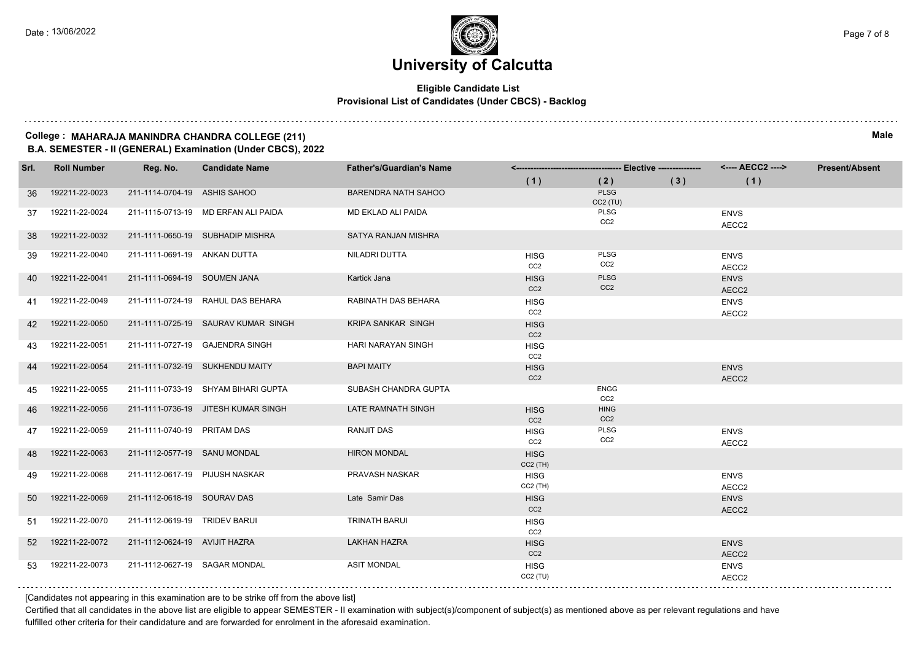#### **Eligible Candidate List Provisional List of Candidates (Under CBCS) - Backlog**

#### **College : MAHARAJA MANINDRA CHANDRA COLLEGE (211) Male B.A. SEMESTER - II (GENERAL) Examination (Under CBCS), 2022**

| Srl. | <b>Roll Number</b> | Reg. No.                       | <b>Candidate Name</b>               | <b>Father's/Guardian's Name</b> |                                |                                |     | <---- AECC2 ---->    | <b>Present/Absent</b> |
|------|--------------------|--------------------------------|-------------------------------------|---------------------------------|--------------------------------|--------------------------------|-----|----------------------|-----------------------|
|      |                    |                                |                                     |                                 | (1)                            | (2)                            | (3) | (1)                  |                       |
| 36   | 192211-22-0023     | 211-1114-0704-19 ASHIS SAHOO   |                                     | BARENDRA NATH SAHOO             |                                | <b>PLSG</b><br>CC2 (TU)        |     |                      |                       |
| 37   | 192211-22-0024     |                                | 211-1115-0713-19 MD ERFAN ALI PAIDA | <b>MD EKLAD ALI PAIDA</b>       |                                | PLSG<br>CC2                    |     | <b>ENVS</b><br>AECC2 |                       |
| 38   | 192211-22-0032     |                                | 211-1111-0650-19 SUBHADIP MISHRA    | SATYA RANJAN MISHRA             |                                |                                |     |                      |                       |
| 39   | 192211-22-0040     | 211-1111-0691-19 ANKAN DUTTA   |                                     | NILADRI DUTTA                   | <b>HISG</b><br>CC <sub>2</sub> | <b>PLSG</b><br>CC <sub>2</sub> |     | <b>ENVS</b><br>AECC2 |                       |
| 40   | 192211-22-0041     | 211-1111-0694-19 SOUMEN JANA   |                                     | Kartick Jana                    | <b>HISG</b><br>CC <sub>2</sub> | PLSG<br>CC <sub>2</sub>        |     | <b>ENVS</b><br>AECC2 |                       |
| 41   | 192211-22-0049     |                                | 211-1111-0724-19 RAHUL DAS BEHARA   | RABINATH DAS BEHARA             | <b>HISG</b><br>CC <sub>2</sub> |                                |     | <b>ENVS</b><br>AECC2 |                       |
| 42   | 192211-22-0050     |                                | 211-1111-0725-19 SAURAV KUMAR SINGH | <b>KRIPA SANKAR SINGH</b>       | <b>HISG</b><br>CC <sub>2</sub> |                                |     |                      |                       |
| 43   | 192211-22-0051     |                                | 211-1111-0727-19 GAJENDRA SINGH     | HARI NARAYAN SINGH              | <b>HISG</b><br>CC <sub>2</sub> |                                |     |                      |                       |
| 44   | 192211-22-0054     |                                | 211-1111-0732-19 SUKHENDU MAITY     | <b>BAPI MAITY</b>               | <b>HISG</b><br>CC <sub>2</sub> |                                |     | <b>ENVS</b><br>AECC2 |                       |
| 45   | 192211-22-0055     |                                | 211-1111-0733-19 SHYAM BIHARI GUPTA | SUBASH CHANDRA GUPTA            |                                | <b>ENGG</b><br>CC <sub>2</sub> |     |                      |                       |
| 46   | 192211-22-0056     |                                | 211-1111-0736-19 JITESH KUMAR SINGH | LATE RAMNATH SINGH              | <b>HISG</b><br>CC <sub>2</sub> | <b>HING</b><br>CC <sub>2</sub> |     |                      |                       |
| 47   | 192211-22-0059     | 211-1111-0740-19 PRITAM DAS    |                                     | RANJIT DAS                      | <b>HISG</b><br>CC <sub>2</sub> | PLSG<br>CC <sub>2</sub>        |     | <b>ENVS</b><br>AECC2 |                       |
| 48   | 192211-22-0063     | 211-1112-0577-19 SANU MONDAL   |                                     | <b>HIRON MONDAL</b>             | <b>HISG</b><br>$CC2$ (TH)      |                                |     |                      |                       |
| 49   | 192211-22-0068     | 211-1112-0617-19 PIJUSH NASKAR |                                     | PRAVASH NASKAR                  | <b>HISG</b><br>$CC2$ (TH)      |                                |     | <b>ENVS</b><br>AECC2 |                       |
| 50   | 192211-22-0069     | 211-1112-0618-19 SOURAV DAS    |                                     | Late Samir Das                  | <b>HISG</b><br>CC <sub>2</sub> |                                |     | <b>ENVS</b><br>AECC2 |                       |
| 51   | 192211-22-0070     | 211-1112-0619-19 TRIDEV BARUI  |                                     | <b>TRINATH BARUI</b>            | <b>HISG</b><br>CC <sub>2</sub> |                                |     |                      |                       |
| 52   | 192211-22-0072     | 211-1112-0624-19 AVIJIT HAZRA  |                                     | <b>LAKHAN HAZRA</b>             | <b>HISG</b><br>CC <sub>2</sub> |                                |     | <b>ENVS</b><br>AECC2 |                       |
| 53   | 192211-22-0073     | 211-1112-0627-19 SAGAR MONDAL  |                                     | <b>ASIT MONDAL</b>              | <b>HISG</b><br>CC2(TU)         |                                |     | <b>ENVS</b><br>AECC2 |                       |

[Candidates not appearing in this examination are to be strike off from the above list]